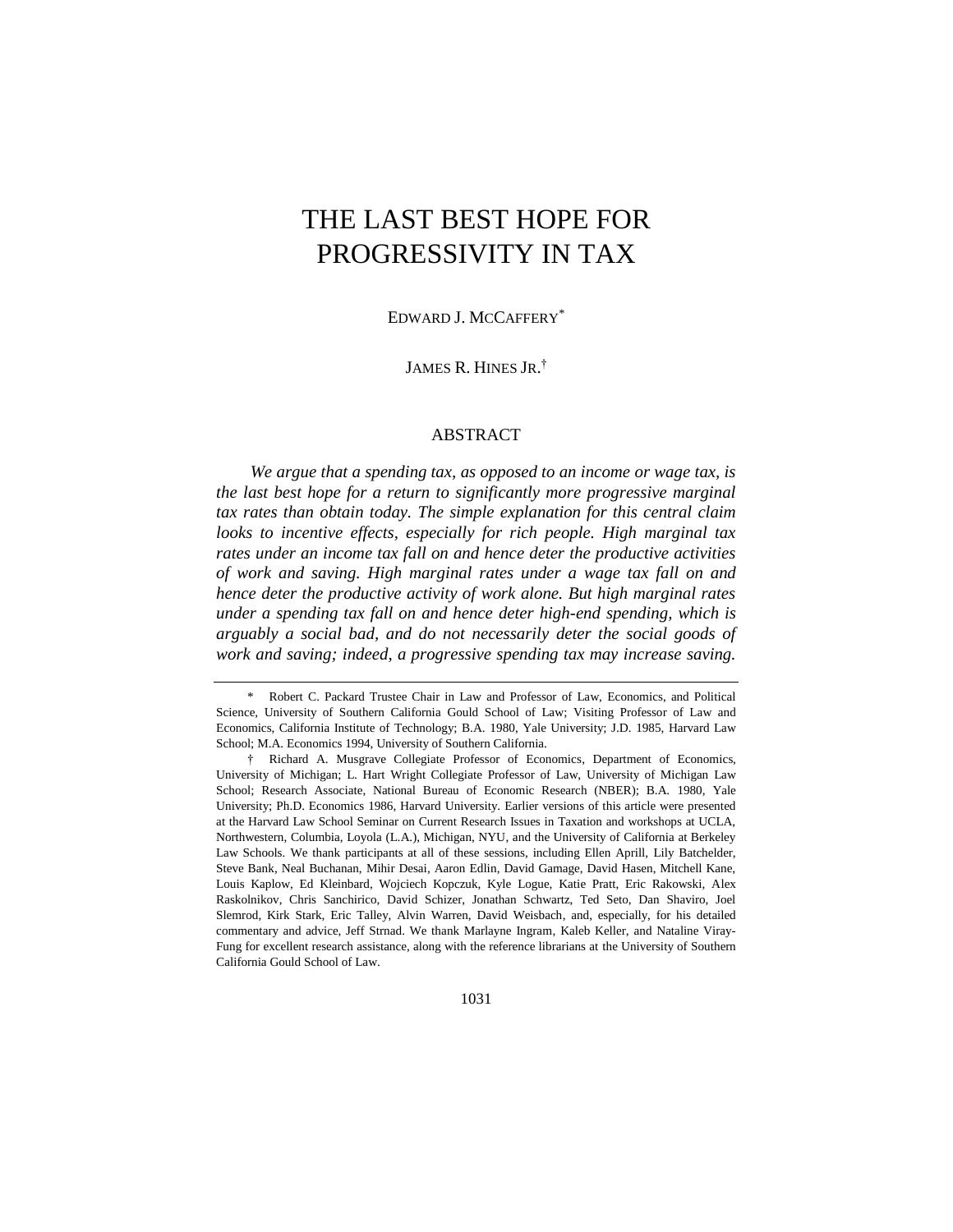# THE LAST BEST HOPE FOR PROGRESSIVITY IN TAX

EDWARD J. MCCAFFERY\*

JAMES R. HINES JR. †

## ABSTRACT

*We argue that a spending tax, as opposed to an income or wage tax, is the last best hope for a return to significantly more progressive marginal tax rates than obtain today. The simple explanation for this central claim looks to incentive effects, especially for rich people. High marginal tax rates under an income tax fall on and hence deter the productive activities of work and saving. High marginal rates under a wage tax fall on and hence deter the productive activity of work alone. But high marginal rates under a spending tax fall on and hence deter high-end spending, which is arguably a social bad, and do not necessarily deter the social goods of work and saving; indeed, a progressive spending tax may increase saving.* 

<sup>\*</sup> Robert C. Packard Trustee Chair in Law and Professor of Law, Economics, and Political Science, University of Southern California Gould School of Law; Visiting Professor of Law and Economics, California Institute of Technology; B.A. 1980, Yale University; J.D. 1985, Harvard Law School; M.A. Economics 1994, University of Southern California.

<sup>†</sup> Richard A. Musgrave Collegiate Professor of Economics, Department of Economics, University of Michigan; L. Hart Wright Collegiate Professor of Law, University of Michigan Law School; Research Associate, National Bureau of Economic Research (NBER); B.A. 1980, Yale University; Ph.D. Economics 1986, Harvard University. Earlier versions of this article were presented at the Harvard Law School Seminar on Current Research Issues in Taxation and workshops at UCLA, Northwestern, Columbia, Loyola (L.A.), Michigan, NYU, and the University of California at Berkeley Law Schools. We thank participants at all of these sessions, including Ellen Aprill, Lily Batchelder, Steve Bank, Neal Buchanan, Mihir Desai, Aaron Edlin, David Gamage, David Hasen, Mitchell Kane, Louis Kaplow, Ed Kleinbard, Wojciech Kopczuk, Kyle Logue, Katie Pratt, Eric Rakowski, Alex Raskolnikov, Chris Sanchirico, David Schizer, Jonathan Schwartz, Ted Seto, Dan Shaviro, Joel Slemrod, Kirk Stark, Eric Talley, Alvin Warren, David Weisbach, and, especially, for his detailed commentary and advice, Jeff Strnad. We thank Marlayne Ingram, Kaleb Keller, and Nataline Viray-Fung for excellent research assistance, along with the reference librarians at the University of Southern California Gould School of Law.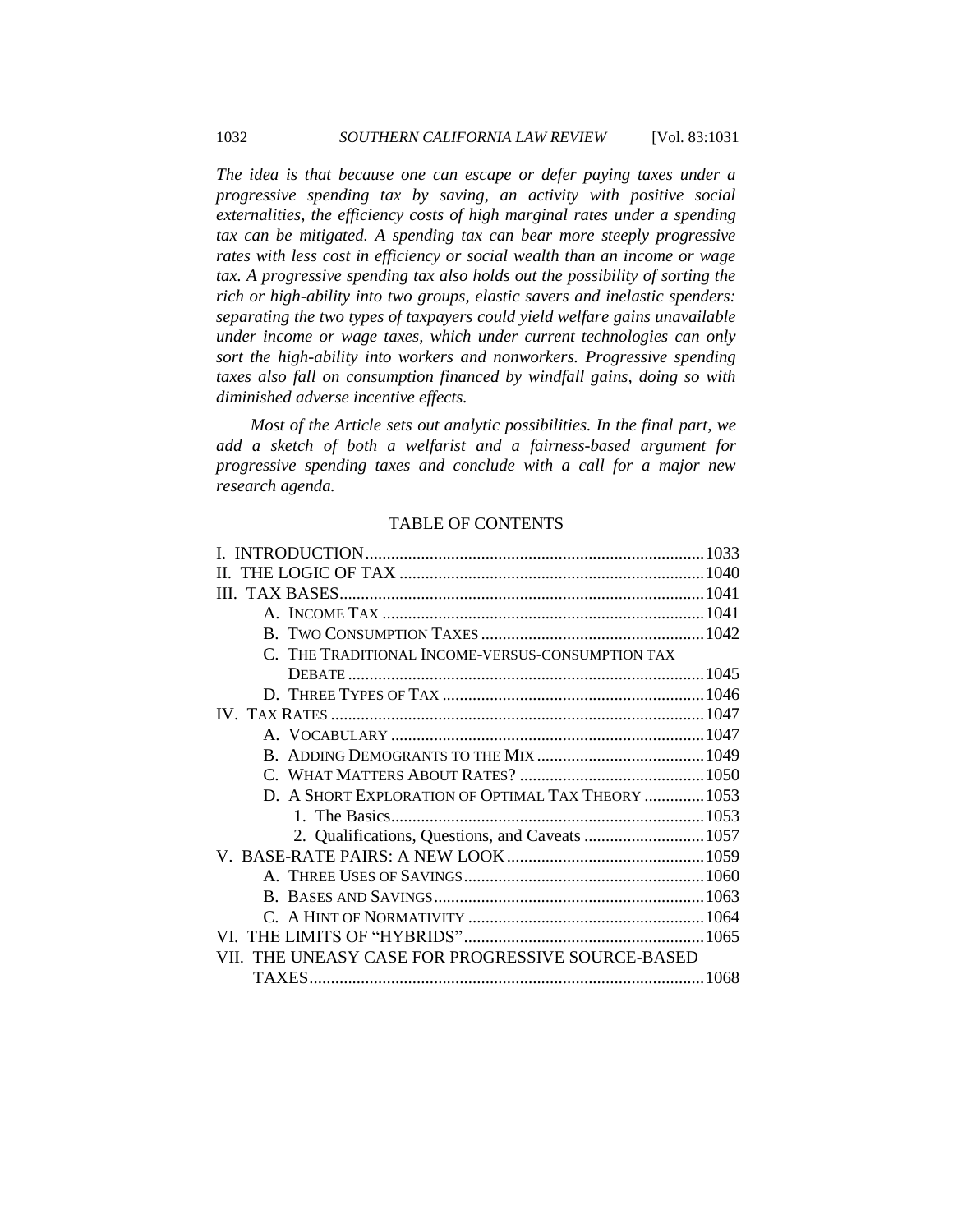*The idea is that because one can escape or defer paying taxes under a progressive spending tax by saving, an activity with positive social externalities, the efficiency costs of high marginal rates under a spending tax can be mitigated. A spending tax can bear more steeply progressive rates with less cost in efficiency or social wealth than an income or wage tax. A progressive spending tax also holds out the possibility of sorting the rich or high-ability into two groups, elastic savers and inelastic spenders: separating the two types of taxpayers could yield welfare gains unavailable under income or wage taxes, which under current technologies can only sort the high-ability into workers and nonworkers. Progressive spending taxes also fall on consumption financed by windfall gains, doing so with diminished adverse incentive effects.*

*Most of the Article sets out analytic possibilities. In the final part, we add a sketch of both a welfarist and a fairness-based argument for progressive spending taxes and conclude with a call for a major new research agenda.*

## TABLE OF CONTENTS

| C. THE TRADITIONAL INCOME-VERSUS-CONSUMPTION TAX   |  |
|----------------------------------------------------|--|
|                                                    |  |
|                                                    |  |
|                                                    |  |
|                                                    |  |
|                                                    |  |
|                                                    |  |
| D. A SHORT EXPLORATION OF OPTIMAL TAX THEORY  1053 |  |
|                                                    |  |
|                                                    |  |
|                                                    |  |
|                                                    |  |
|                                                    |  |
|                                                    |  |
|                                                    |  |
| VII. THE UNEASY CASE FOR PROGRESSIVE SOURCE-BASED  |  |
| TAXES.                                             |  |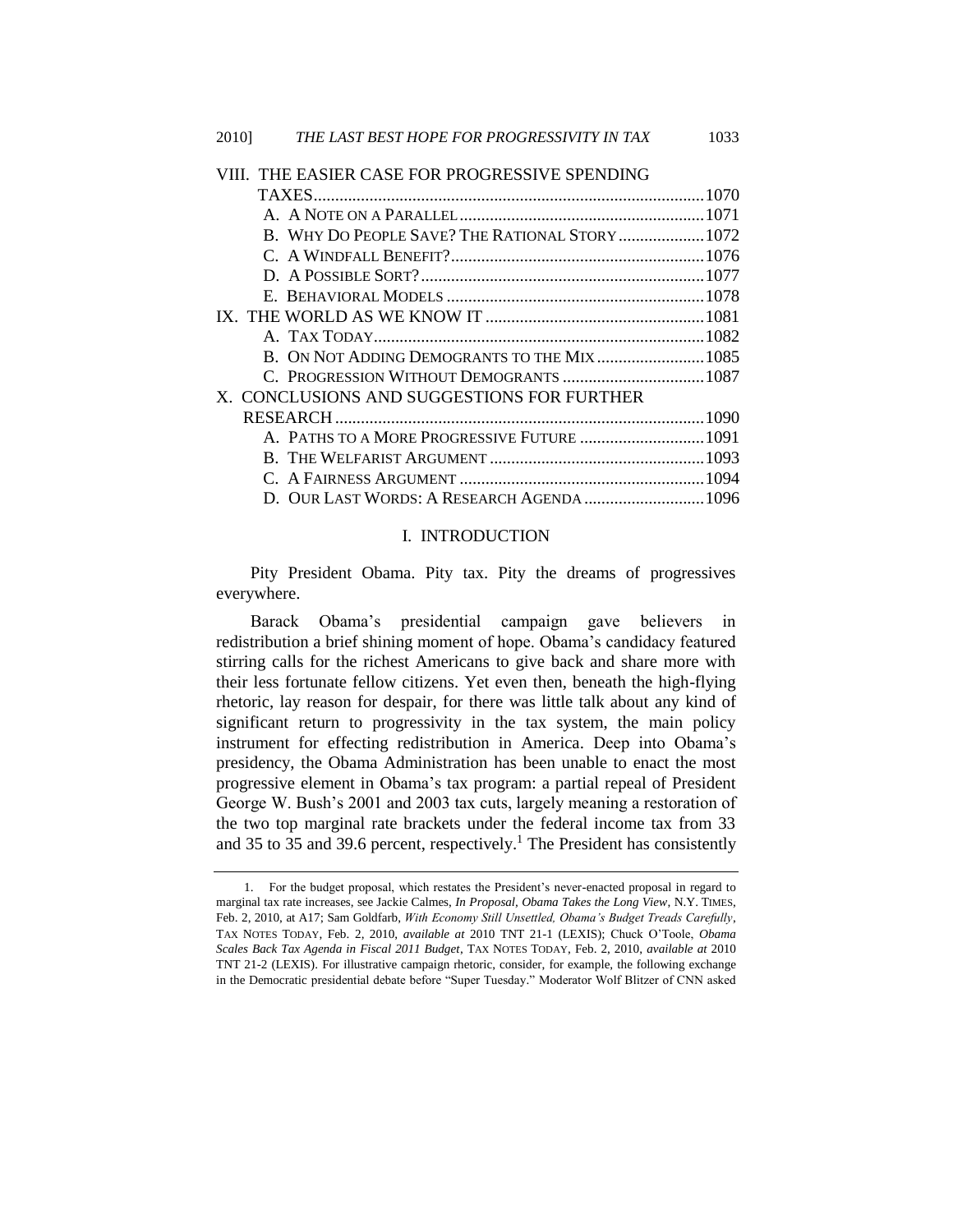# [VIII. THE EASIER CASE FOR PROGRESSIVE SPENDING](#page-39-0)

|  | B. WHY DO PEOPLE SAVE? THE RATIONAL STORY  1072 |  |
|--|-------------------------------------------------|--|
|  |                                                 |  |
|  |                                                 |  |
|  |                                                 |  |
|  |                                                 |  |
|  |                                                 |  |
|  |                                                 |  |
|  | C. PROGRESSION WITHOUT DEMOGRANTS  1087         |  |
|  | X. CONCLUSIONS AND SUGGESTIONS FOR FURTHER      |  |
|  |                                                 |  |
|  | A. PATHS TO A MORE PROGRESSIVE FUTURE  1091     |  |
|  |                                                 |  |
|  |                                                 |  |
|  | D. OUR LAST WORDS: A RESEARCH AGENDA  1096      |  |

#### <span id="page-2-0"></span>I. INTRODUCTION

Pity President Obama. Pity tax. Pity the dreams of progressives everywhere.

Barack Obama's presidential campaign gave believers in redistribution a brief shining moment of hope. Obama's candidacy featured stirring calls for the richest Americans to give back and share more with their less fortunate fellow citizens. Yet even then, beneath the high-flying rhetoric, lay reason for despair, for there was little talk about any kind of significant return to progressivity in the tax system, the main policy instrument for effecting redistribution in America. Deep into Obama's presidency, the Obama Administration has been unable to enact the most progressive element in Obama's tax program: a partial repeal of President George W. Bush's 2001 and 2003 tax cuts, largely meaning a restoration of the two top marginal rate brackets under the federal income tax from 33 and 35 to 35 and 39.6 percent, respectively.<sup>1</sup> The President has consistently

<sup>1.</sup> For the budget proposal, which restates the President's never-enacted proposal in regard to marginal tax rate increases, see Jackie Calmes, *In Proposal, Obama Takes the Long View*, N.Y. TIMES, Feb. 2, 2010, at A17; Sam Goldfarb, *With Economy Still Unsettled, Obama's Budget Treads Carefully*, TAX NOTES TODAY, Feb. 2, 2010, *available at* 2010 TNT 21-1 (LEXIS); Chuck O'Toole, *Obama Scales Back Tax Agenda in Fiscal 2011 Budget*, TAX NOTES TODAY, Feb. 2, 2010, *available at* 2010 TNT 21-2 (LEXIS). For illustrative campaign rhetoric, consider, for example, the following exchange in the Democratic presidential debate before "Super Tuesday." Moderator Wolf Blitzer of CNN asked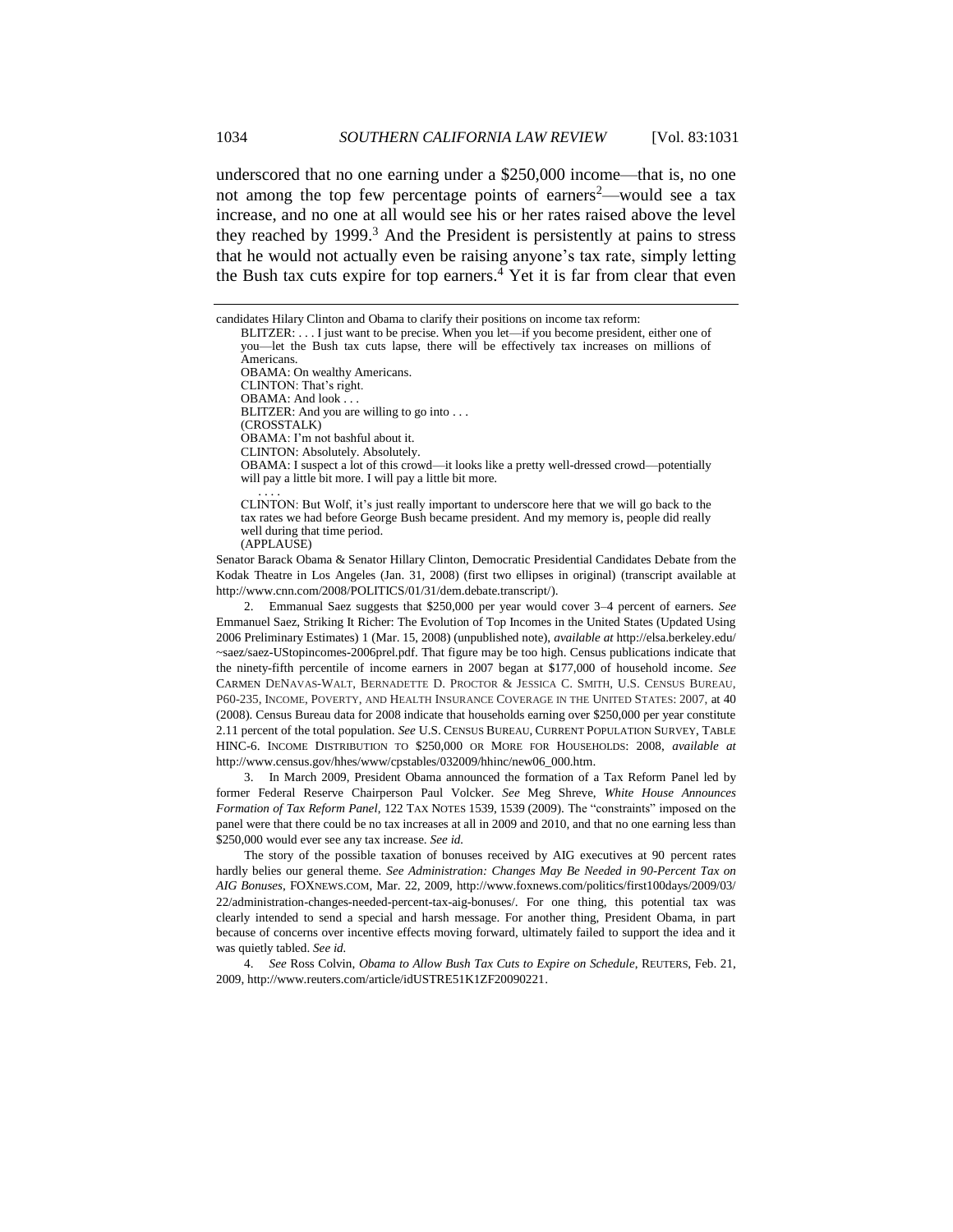underscored that no one earning under a \$250,000 income—that is, no one not among the top few percentage points of earners<sup>2</sup>—would see a tax increase, and no one at all would see his or her rates raised above the level they reached by 1999.<sup>3</sup> And the President is persistently at pains to stress that he would not actually even be raising anyone's tax rate, simply letting the Bush tax cuts expire for top earners.<sup>4</sup> Yet it is far from clear that even

2.11 percent of the total population. *See* U.S. CENSUS BUREAU, CURRENT POPULATION SURVEY, TABLE HINC-6. INCOME DISTRIBUTION TO \$250,000 OR MORE FOR HOUSEHOLDS: 2008, *available at*  http://www.census.gov/hhes/www/cpstables/032009/hhinc/new06\_000.htm.

3. In March 2009, President Obama announced the formation of a Tax Reform Panel led by former Federal Reserve Chairperson Paul Volcker. *See* Meg Shreve, *White House Announces Formation of Tax Reform Panel*, 122 TAX NOTES 1539, 1539 (2009). The "constraints" imposed on the panel were that there could be no tax increases at all in 2009 and 2010, and that no one earning less than \$250,000 would ever see any tax increase. *See id.* 

The story of the possible taxation of bonuses received by AIG executives at 90 percent rates hardly belies our general theme. *See Administration: Changes May Be Needed in 90-Percent Tax on AIG Bonuses*, FOXNEWS.COM, Mar. 22, 2009, http://www.foxnews.com/politics/first100days/2009/03/ 22/administration-changes-needed-percent-tax-aig-bonuses/. For one thing, this potential tax was clearly intended to send a special and harsh message. For another thing, President Obama, in part because of concerns over incentive effects moving forward, ultimately failed to support the idea and it was quietly tabled. *See id.* 

4. *See* Ross Colvin, *Obama to Allow Bush Tax Cuts to Expire on Schedule*, REUTERS, Feb. 21, 2009, http://www.reuters.com/article/idUSTRE51K1ZF20090221.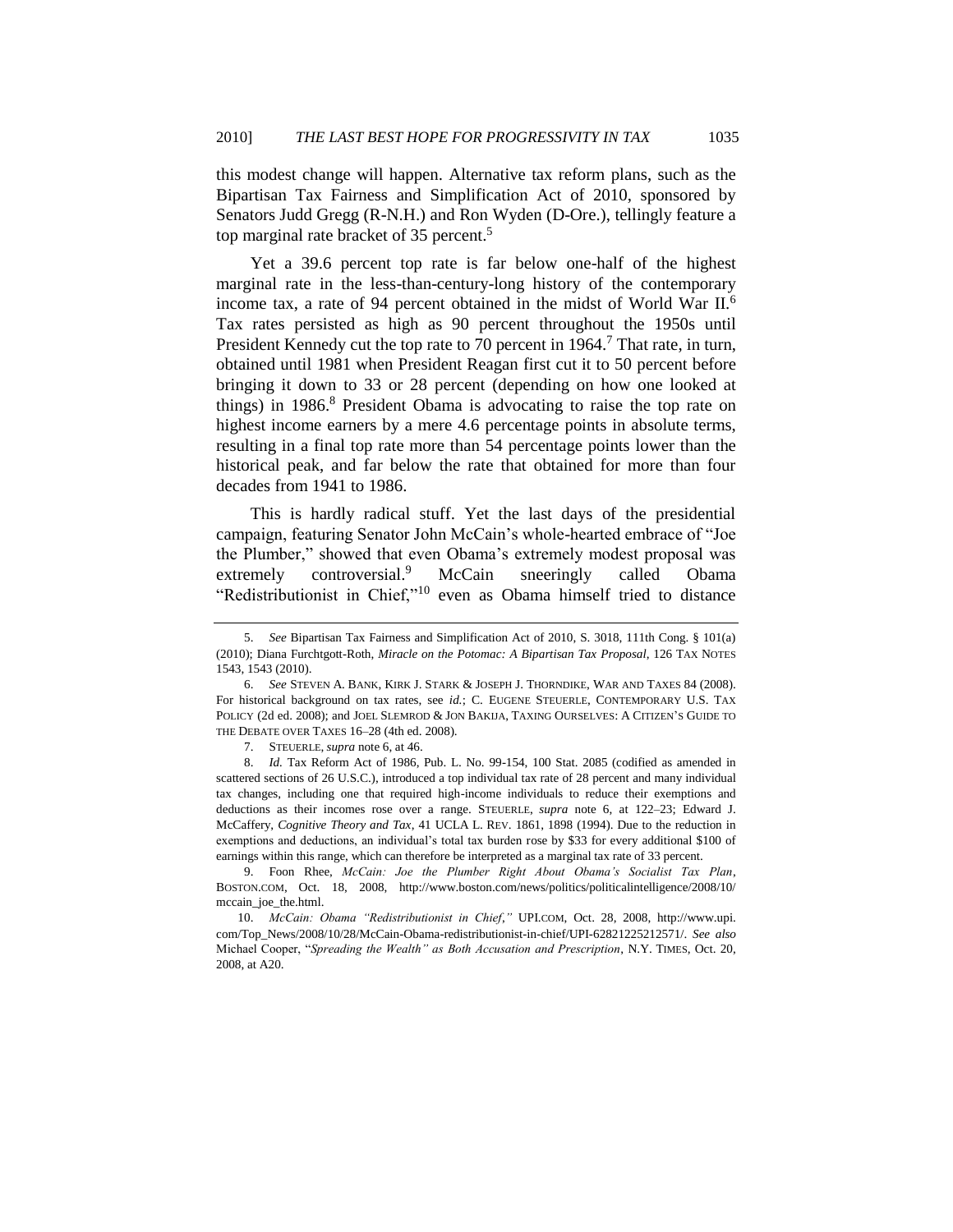this modest change will happen. Alternative tax reform plans, such as the Bipartisan Tax Fairness and Simplification Act of 2010, sponsored by Senators Judd Gregg (R-N.H.) and Ron Wyden (D-Ore.), tellingly feature a top marginal rate bracket of 35 percent.<sup>5</sup>

<span id="page-4-0"></span>Yet a 39.6 percent top rate is far below one-half of the highest marginal rate in the less-than-century-long history of the contemporary income tax, a rate of 94 percent obtained in the midst of World War II.<sup>6</sup> Tax rates persisted as high as 90 percent throughout the 1950s until President Kennedy cut the top rate to 70 percent in 1964.<sup>7</sup> That rate, in turn, obtained until 1981 when President Reagan first cut it to 50 percent before bringing it down to 33 or 28 percent (depending on how one looked at things) in 1986.<sup>8</sup> President Obama is advocating to raise the top rate on highest income earners by a mere 4.6 percentage points in absolute terms, resulting in a final top rate more than 54 percentage points lower than the historical peak, and far below the rate that obtained for more than four decades from 1941 to 1986.

This is hardly radical stuff. Yet the last days of the presidential campaign, featuring Senator John McCain's whole-hearted embrace of "Joe the Plumber," showed that even Obama's extremely modest proposal was extremely controversial.<sup>9</sup> McCain sneeringly called Obama "Redistributionist in Chief,"<sup>10</sup> even as Obama himself tried to distance

<sup>5.</sup> *See* Bipartisan Tax Fairness and Simplification Act of 2010, S. 3018, 111th Cong. § 101(a) (2010); Diana Furchtgott-Roth, *Miracle on the Potomac: A Bipartisan Tax Proposal*, 126 TAX NOTES 1543, 1543 (2010).

<sup>6.</sup> *See* STEVEN A. BANK, KIRK J. STARK & JOSEPH J. THORNDIKE, WAR AND TAXES 84 (2008). For historical background on tax rates, see *id.*; C. EUGENE STEUERLE, CONTEMPORARY U.S. TAX POLICY (2d ed. 2008); and JOEL SLEMROD & JON BAKIJA, TAXING OURSELVES: A CITIZEN'S GUIDE TO THE DEBATE OVER TAXES 16–28 (4th ed. 2008).

<sup>7.</sup> STEUERLE, *supra* not[e 6,](#page-4-0) at 46.

<sup>8.</sup> *Id.* Tax Reform Act of 1986, Pub. L. No. 99-154, 100 Stat. 2085 (codified as amended in scattered sections of 26 U.S.C.), introduced a top individual tax rate of 28 percent and many individual tax changes, including one that required high-income individuals to reduce their exemptions and deductions as their incomes rose over a range. STEUERLE, *supra* note [6,](#page-4-0) at 122–23; Edward J. McCaffery, *Cognitive Theory and Tax*, 41 UCLA L. REV. 1861, 1898 (1994). Due to the reduction in exemptions and deductions, an individual's total tax burden rose by \$33 for every additional \$100 of earnings within this range, which can therefore be interpreted as a marginal tax rate of 33 percent.

<sup>9.</sup> Foon Rhee, *McCain: Joe the Plumber Right About Obama's Socialist Tax Plan*, BOSTON.COM, Oct. 18, 2008, http://www.boston.com/news/politics/politicalintelligence/2008/10/ mccain\_joe\_the.html.

<sup>10.</sup> *McCain: Obama "Redistributionist in Chief*,*"* UPI.COM, Oct. 28, 2008, http://www.upi. com/Top\_News/2008/10/28/McCain-Obama-redistributionist-in-chief/UPI-62821225212571/. *See also* Michael Cooper, ―*Spreading the Wealth" as Both Accusation and Prescription*, N.Y. TIMES, Oct. 20, 2008, at A20.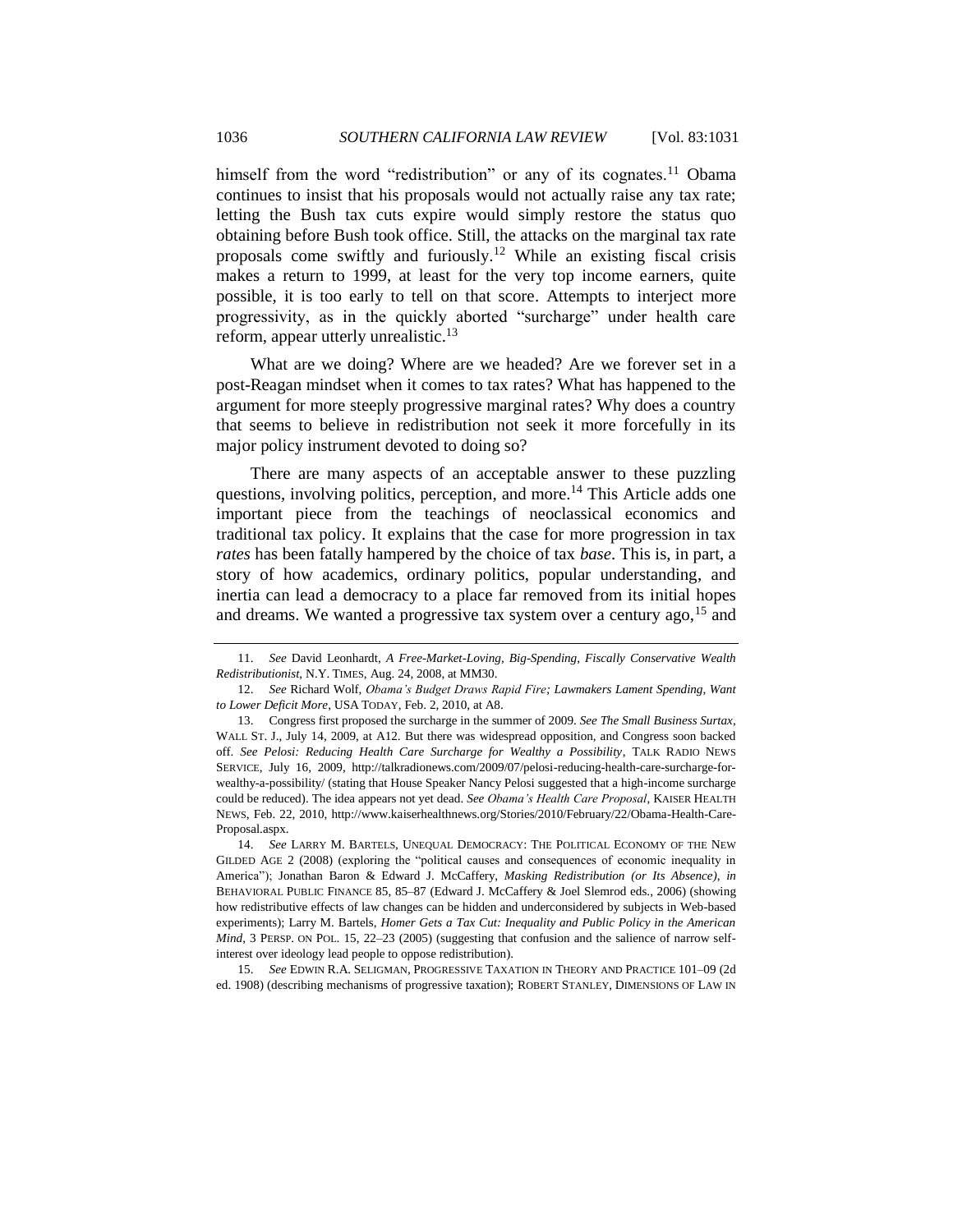<span id="page-5-0"></span>himself from the word "redistribution" or any of its cognates.<sup>11</sup> Obama continues to insist that his proposals would not actually raise any tax rate; letting the Bush tax cuts expire would simply restore the status quo obtaining before Bush took office. Still, the attacks on the marginal tax rate proposals come swiftly and furiously.<sup>12</sup> While an existing fiscal crisis makes a return to 1999, at least for the very top income earners, quite possible, it is too early to tell on that score. Attempts to interject more progressivity, as in the quickly aborted "surcharge" under health care reform, appear utterly unrealistic.<sup>13</sup>

What are we doing? Where are we headed? Are we forever set in a post-Reagan mindset when it comes to tax rates? What has happened to the argument for more steeply progressive marginal rates? Why does a country that seems to believe in redistribution not seek it more forcefully in its major policy instrument devoted to doing so?

<span id="page-5-2"></span>There are many aspects of an acceptable answer to these puzzling questions, involving politics, perception, and more.<sup>14</sup> This Article adds one important piece from the teachings of neoclassical economics and traditional tax policy. It explains that the case for more progression in tax *rates* has been fatally hampered by the choice of tax *base*. This is, in part, a story of how academics, ordinary politics, popular understanding, and inertia can lead a democracy to a place far removed from its initial hopes and dreams. We wanted a progressive tax system over a century ago,  $15$  and

15. *See* EDWIN R.A. SELIGMAN, PROGRESSIVE TAXATION IN THEORY AND PRACTICE 101–09 (2d ed. 1908) (describing mechanisms of progressive taxation); ROBERT STANLEY, DIMENSIONS OF LAW IN

<span id="page-5-1"></span><sup>11.</sup> *See* David Leonhardt, *A Free-Market-Loving, Big-Spending, Fiscally Conservative Wealth Redistributionist*, N.Y. TIMES, Aug. 24, 2008, at MM30.

<sup>12.</sup> *See* Richard Wolf, *Obama's Budget Draws Rapid Fire; Lawmakers Lament Spending, Want to Lower Deficit More*, USA TODAY, Feb. 2, 2010, at A8.

<sup>13.</sup> Congress first proposed the surcharge in the summer of 2009. *See The Small Business Surtax*, WALL ST. J., July 14, 2009, at A12. But there was widespread opposition, and Congress soon backed off. *See Pelosi: Reducing Health Care Surcharge for Wealthy a Possibility*, TALK RADIO NEWS SERVICE, July 16, 2009, http://talkradionews.com/2009/07/pelosi-reducing-health-care-surcharge-forwealthy-a-possibility/ (stating that House Speaker Nancy Pelosi suggested that a high-income surcharge could be reduced). The idea appears not yet dead. *See Obama's Health Care Proposal*, KAISER HEALTH NEWS, Feb. 22, 2010, http://www.kaiserhealthnews.org/Stories/2010/February/22/Obama-Health-Care-Proposal.aspx.

<sup>14.</sup> *See* LARRY M. BARTELS, UNEQUAL DEMOCRACY: THE POLITICAL ECONOMY OF THE NEW GILDED AGE 2 (2008) (exploring the "political causes and consequences of economic inequality in America‖); Jonathan Baron & Edward J. McCaffery, *Masking Redistribution (or Its Absence)*, *in* BEHAVIORAL PUBLIC FINANCE 85, 85–87 (Edward J. McCaffery & Joel Slemrod eds., 2006) (showing how redistributive effects of law changes can be hidden and underconsidered by subjects in Web-based experiments); Larry M. Bartels, *Homer Gets a Tax Cut: Inequality and Public Policy in the American Mind*, 3 PERSP. ON POL. 15, 22–23 (2005) (suggesting that confusion and the salience of narrow selfinterest over ideology lead people to oppose redistribution).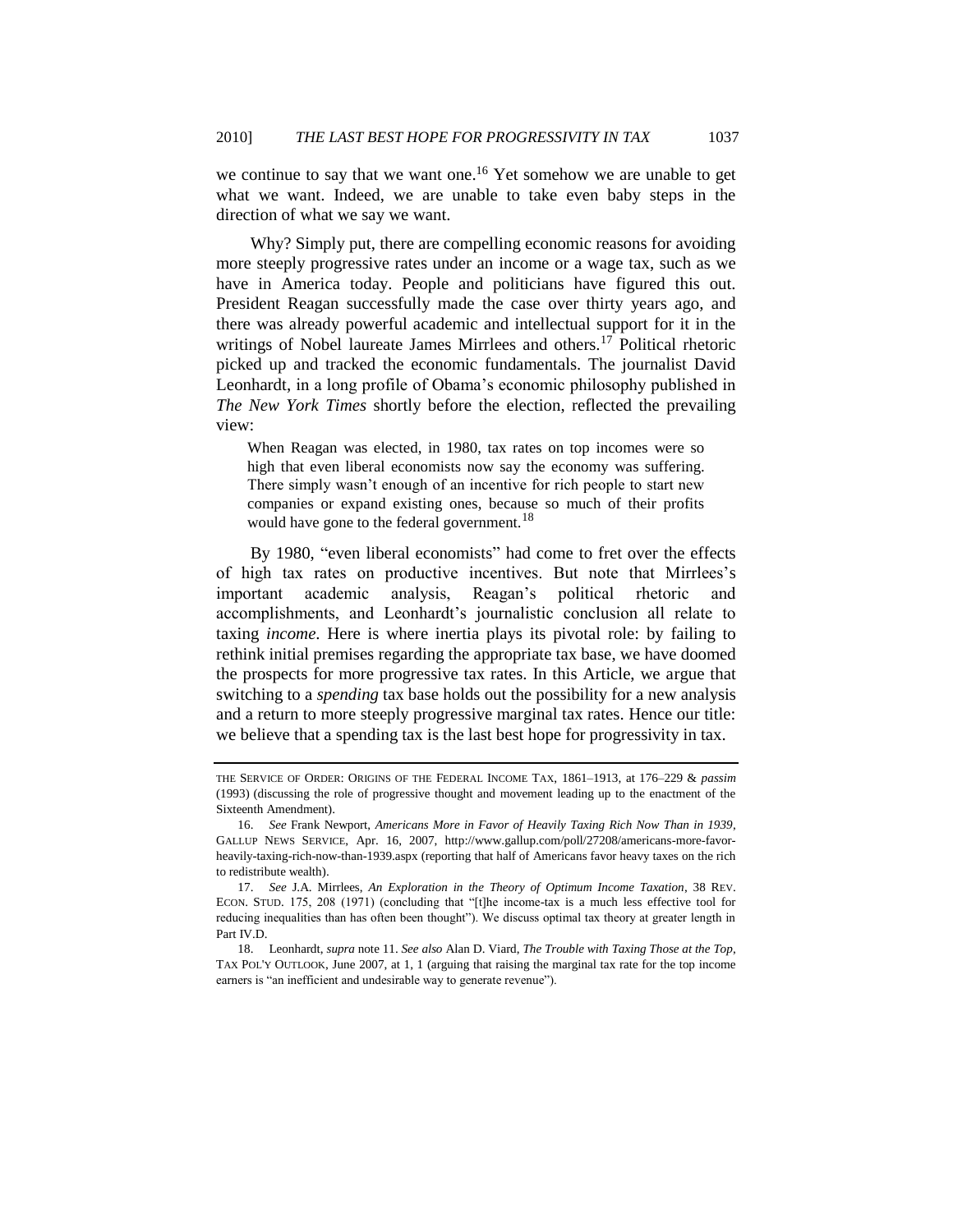we continue to say that we want one.<sup>16</sup> Yet somehow we are unable to get what we want. Indeed, we are unable to take even baby steps in the direction of what we say we want.

Why? Simply put, there are compelling economic reasons for avoiding more steeply progressive rates under an income or a wage tax, such as we have in America today. People and politicians have figured this out. President Reagan successfully made the case over thirty years ago, and there was already powerful academic and intellectual support for it in the writings of Nobel laureate James Mirrlees and others.<sup>17</sup> Political rhetoric picked up and tracked the economic fundamentals. The journalist David Leonhardt, in a long profile of Obama's economic philosophy published in *The New York Times* shortly before the election, reflected the prevailing view:

<span id="page-6-1"></span><span id="page-6-0"></span>When Reagan was elected, in 1980, tax rates on top incomes were so high that even liberal economists now say the economy was suffering. There simply wasn't enough of an incentive for rich people to start new companies or expand existing ones, because so much of their profits would have gone to the federal government.<sup>18</sup>

By 1980, "even liberal economists" had come to fret over the effects of high tax rates on productive incentives. But note that Mirrlees's important academic analysis, Reagan's political rhetoric and accomplishments, and Leonhardt's journalistic conclusion all relate to taxing *income*. Here is where inertia plays its pivotal role: by failing to rethink initial premises regarding the appropriate tax base, we have doomed the prospects for more progressive tax rates. In this Article, we argue that switching to a *spending* tax base holds out the possibility for a new analysis and a return to more steeply progressive marginal tax rates. Hence our title: we believe that a spending tax is the last best hope for progressivity in tax.

THE SERVICE OF ORDER: ORIGINS OF THE FEDERAL INCOME TAX, 1861–1913, at 176–229 & *passim* (1993) (discussing the role of progressive thought and movement leading up to the enactment of the Sixteenth Amendment).

<sup>16.</sup> *See* Frank Newport, *Americans More in Favor of Heavily Taxing Rich Now Than in 1939*, GALLUP NEWS SERVICE, Apr. 16, 2007, http://www.gallup.com/poll/27208/americans-more-favorheavily-taxing-rich-now-than-1939.aspx (reporting that half of Americans favor heavy taxes on the rich to redistribute wealth).

<sup>17.</sup> *See* J.A. Mirrlees, *An Exploration in the Theory of Optimum Income Taxation*, 38 REV. ECON. STUD. 175, 208 (1971) (concluding that "[t]he income-tax is a much less effective tool for reducing inequalities than has often been thought"). We discuss optimal tax theory at greater length in Part IV.D.

<sup>18.</sup> Leonhardt, *supra* note [11.](#page-5-0) *See also* Alan D. Viard, *The Trouble with Taxing Those at the Top*, TAX POL'Y OUTLOOK, June 2007, at 1, 1 (arguing that raising the marginal tax rate for the top income earners is "an inefficient and undesirable way to generate revenue").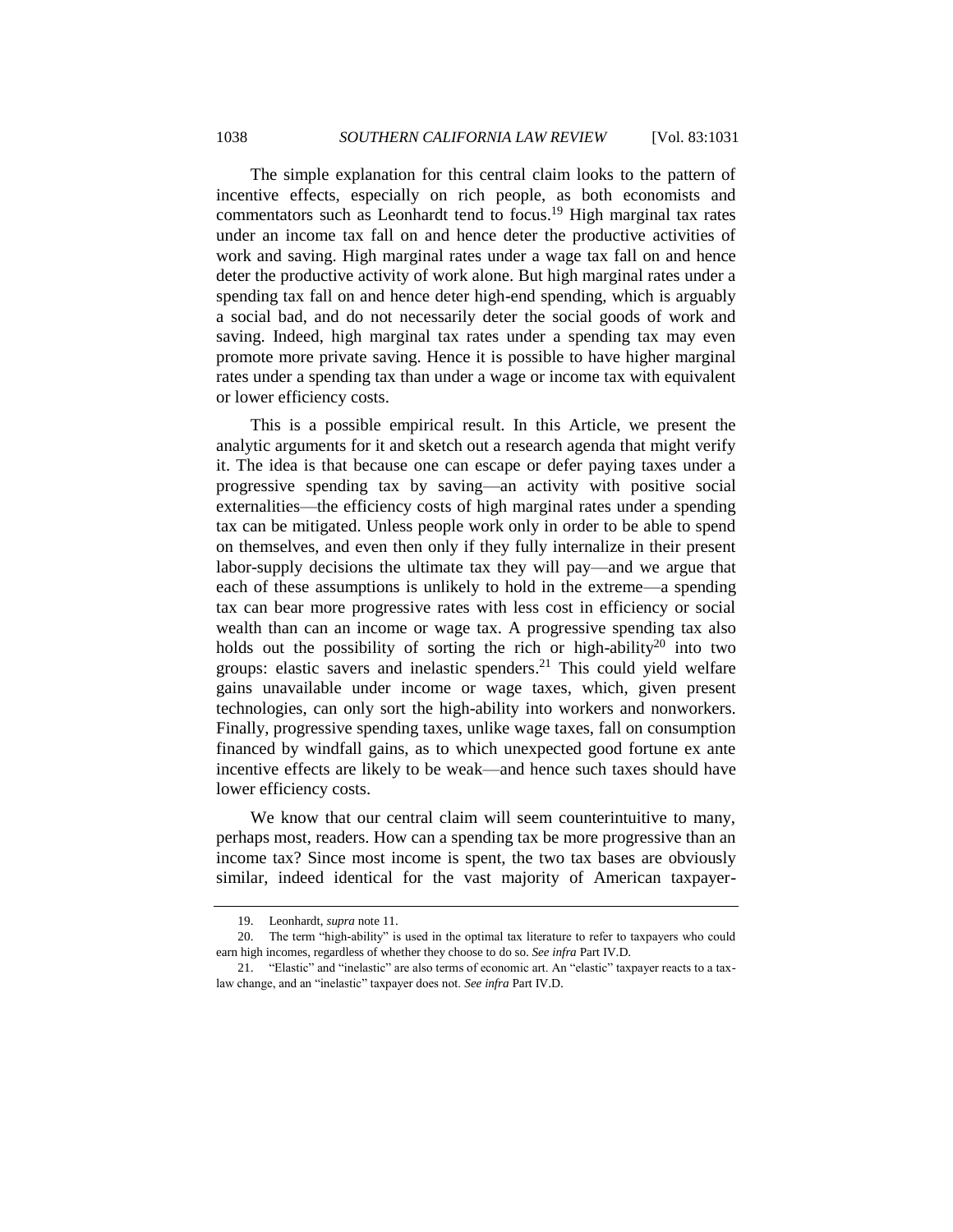The simple explanation for this central claim looks to the pattern of incentive effects, especially on rich people, as both economists and commentators such as Leonhardt tend to focus.<sup>19</sup> High marginal tax rates under an income tax fall on and hence deter the productive activities of work and saving. High marginal rates under a wage tax fall on and hence deter the productive activity of work alone. But high marginal rates under a spending tax fall on and hence deter high-end spending, which is arguably a social bad, and do not necessarily deter the social goods of work and saving. Indeed, high marginal tax rates under a spending tax may even promote more private saving. Hence it is possible to have higher marginal rates under a spending tax than under a wage or income tax with equivalent or lower efficiency costs.

This is a possible empirical result. In this Article, we present the analytic arguments for it and sketch out a research agenda that might verify it. The idea is that because one can escape or defer paying taxes under a progressive spending tax by saving—an activity with positive social externalities—the efficiency costs of high marginal rates under a spending tax can be mitigated. Unless people work only in order to be able to spend on themselves, and even then only if they fully internalize in their present labor-supply decisions the ultimate tax they will pay—and we argue that each of these assumptions is unlikely to hold in the extreme—a spending tax can bear more progressive rates with less cost in efficiency or social wealth than can an income or wage tax. A progressive spending tax also holds out the possibility of sorting the rich or high-ability<sup>20</sup> into two groups: elastic savers and inelastic spenders. <sup>21</sup> This could yield welfare gains unavailable under income or wage taxes, which, given present technologies, can only sort the high-ability into workers and nonworkers. Finally, progressive spending taxes, unlike wage taxes, fall on consumption financed by windfall gains, as to which unexpected good fortune ex ante incentive effects are likely to be weak—and hence such taxes should have lower efficiency costs.

We know that our central claim will seem counterintuitive to many, perhaps most, readers. How can a spending tax be more progressive than an income tax? Since most income is spent, the two tax bases are obviously similar, indeed identical for the vast majority of American taxpayer-

<sup>19.</sup> Leonhardt, *supra* note [11.](#page-5-0)

<sup>20.</sup> The term "high-ability" is used in the optimal tax literature to refer to taxpayers who could earn high incomes, regardless of whether they choose to do so. *See infra* Part IV.D.

<sup>21. &</sup>quot;Elastic" and "inelastic" are also terms of economic art. An "elastic" taxpayer reacts to a taxlaw change, and an "inelastic" taxpayer does not. See infra Part IV.D.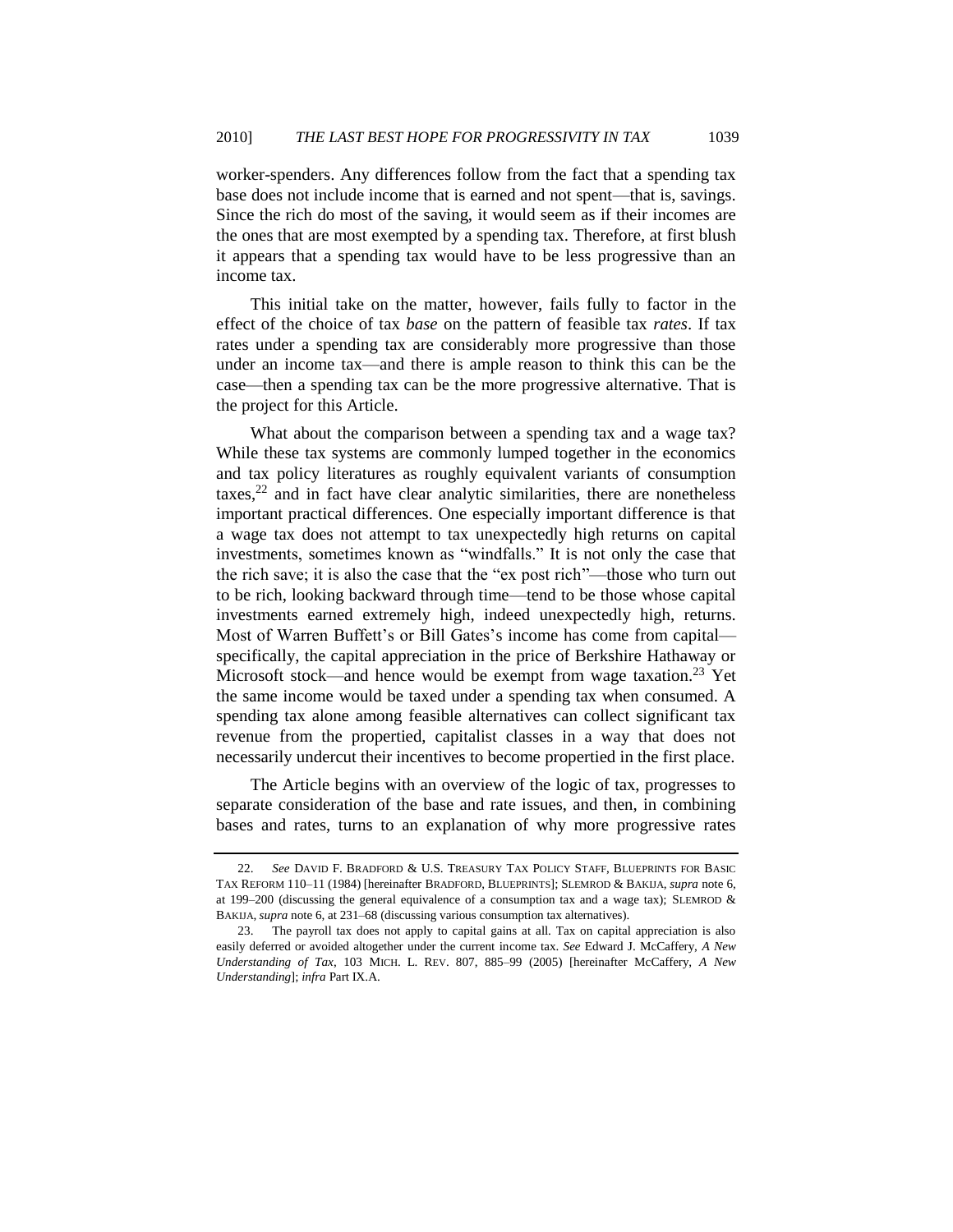worker-spenders. Any differences follow from the fact that a spending tax base does not include income that is earned and not spent—that is, savings. Since the rich do most of the saving, it would seem as if their incomes are the ones that are most exempted by a spending tax. Therefore, at first blush it appears that a spending tax would have to be less progressive than an income tax.

This initial take on the matter, however, fails fully to factor in the effect of the choice of tax *base* on the pattern of feasible tax *rates*. If tax rates under a spending tax are considerably more progressive than those under an income tax—and there is ample reason to think this can be the case—then a spending tax can be the more progressive alternative. That is the project for this Article.

<span id="page-8-1"></span>What about the comparison between a spending tax and a wage tax? While these tax systems are commonly lumped together in the economics and tax policy literatures as roughly equivalent variants of consumption  $\text{taxes}$ <sup>22</sup> and in fact have clear analytic similarities, there are nonetheless important practical differences. One especially important difference is that a wage tax does not attempt to tax unexpectedly high returns on capital investments, sometimes known as "windfalls." It is not only the case that the rich save; it is also the case that the "ex post rich"—those who turn out to be rich, looking backward through time—tend to be those whose capital investments earned extremely high, indeed unexpectedly high, returns. Most of Warren Buffett's or Bill Gates's income has come from capital specifically, the capital appreciation in the price of Berkshire Hathaway or Microsoft stock—and hence would be exempt from wage taxation.<sup>23</sup> Yet the same income would be taxed under a spending tax when consumed. A spending tax alone among feasible alternatives can collect significant tax revenue from the propertied, capitalist classes in a way that does not necessarily undercut their incentives to become propertied in the first place.

<span id="page-8-0"></span>The Article begins with an overview of the logic of tax, progresses to separate consideration of the base and rate issues, and then, in combining bases and rates, turns to an explanation of why more progressive rates

<sup>22.</sup> *See* DAVID F. BRADFORD & U.S. TREASURY TAX POLICY STAFF, BLUEPRINTS FOR BASIC TAX REFORM 110–11 (1984) [hereinafter BRADFORD, BLUEPRINTS]; SLEMROD & BAKIJA, *supra* note [6,](#page-4-0) at 199–200 (discussing the general equivalence of a consumption tax and a wage tax); SLEMROD  $\&$ BAKIJA, *supra* not[e 6,](#page-4-0) at 231–68 (discussing various consumption tax alternatives).

<sup>23.</sup> The payroll tax does not apply to capital gains at all. Tax on capital appreciation is also easily deferred or avoided altogether under the current income tax. *See* Edward J. McCaffery, *A New Understanding of Tax*, 103 MICH. L. REV. 807, 885–99 (2005) [hereinafter McCaffery, *A New Understanding*]; *infra* Part IX.A.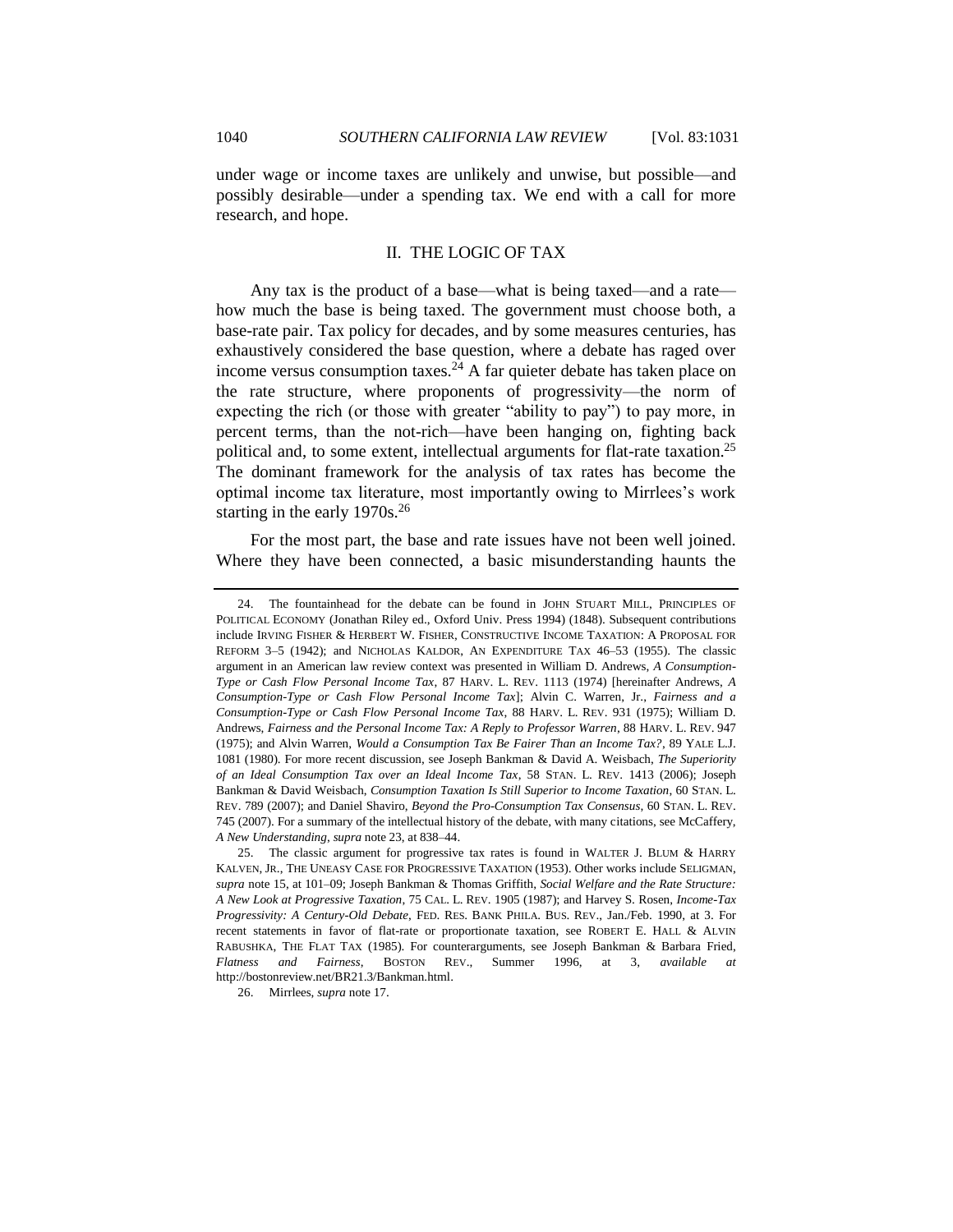under wage or income taxes are unlikely and unwise, but possible—and possibly desirable—under a spending tax. We end with a call for more research, and hope.

#### <span id="page-9-2"></span><span id="page-9-1"></span>II. THE LOGIC OF TAX

<span id="page-9-0"></span>Any tax is the product of a base—what is being taxed—and a rate how much the base is being taxed. The government must choose both, a base-rate pair. Tax policy for decades, and by some measures centuries, has exhaustively considered the base question, where a debate has raged over income versus consumption taxes.<sup>24</sup> A far quieter debate has taken place on the rate structure, where proponents of progressivity—the norm of expecting the rich (or those with greater "ability to pay") to pay more, in percent terms, than the not-rich—have been hanging on, fighting back political and, to some extent, intellectual arguments for flat-rate taxation.<sup>25</sup> The dominant framework for the analysis of tax rates has become the optimal income tax literature, most importantly owing to Mirrlees's work starting in the early  $1970s.<sup>26</sup>$ 

For the most part, the base and rate issues have not been well joined. Where they have been connected, a basic misunderstanding haunts the

<sup>24.</sup> The fountainhead for the debate can be found in JOHN STUART MILL, PRINCIPLES OF POLITICAL ECONOMY (Jonathan Riley ed., Oxford Univ. Press 1994) (1848). Subsequent contributions include IRVING FISHER & HERBERT W. FISHER, CONSTRUCTIVE INCOME TAXATION: A PROPOSAL FOR REFORM 3–5 (1942); and NICHOLAS KALDOR, AN EXPENDITURE TAX 46–53 (1955). The classic argument in an American law review context was presented in William D. Andrews, *A Consumption-Type or Cash Flow Personal Income Tax*, 87 HARV. L. REV. 1113 (1974) [hereinafter Andrews, *A Consumption-Type or Cash Flow Personal Income Tax*]; Alvin C. Warren, Jr., *Fairness and a Consumption-Type or Cash Flow Personal Income Tax*, 88 HARV. L. REV. 931 (1975); William D. Andrews, *Fairness and the Personal Income Tax: A Reply to Professor Warren*, 88 HARV. L. REV. 947 (1975); and Alvin Warren, *Would a Consumption Tax Be Fairer Than an Income Tax?*, 89 YALE L.J. 1081 (1980). For more recent discussion, see Joseph Bankman & David A. Weisbach, *The Superiority of an Ideal Consumption Tax over an Ideal Income Tax*, 58 STAN. L. REV. 1413 (2006); Joseph Bankman & David Weisbach, *Consumption Taxation Is Still Superior to Income Taxation*, 60 STAN. L. REV. 789 (2007); and Daniel Shaviro, *Beyond the Pro-Consumption Tax Consensus*, 60 STAN. L. REV. 745 (2007). For a summary of the intellectual history of the debate, with many citations, see McCaffery, *A New Understanding*, *supra* not[e 23,](#page-8-0) at 838–44.

<sup>25.</sup> The classic argument for progressive tax rates is found in WALTER J. BLUM & HARRY KALVEN, JR., THE UNEASY CASE FOR PROGRESSIVE TAXATION (1953). Other works include SELIGMAN, *supra* not[e 15,](#page-5-1) at 101–09; Joseph Bankman & Thomas Griffith, *Social Welfare and the Rate Structure: A New Look at Progressive Taxation*, 75 CAL. L. REV. 1905 (1987); and Harvey S. Rosen, *Income-Tax Progressivity: A Century-Old Debate*, FED. RES. BANK PHILA. BUS. REV., Jan./Feb. 1990, at 3. For recent statements in favor of flat-rate or proportionate taxation, see ROBERT E. HALL & ALVIN RABUSHKA, THE FLAT TAX (1985). For counterarguments, see Joseph Bankman & Barbara Fried, *Flatness and Fairness*, BOSTON REV., Summer 1996, at 3, *available at* http://bostonreview.net/BR21.3/Bankman.html.

<sup>26.</sup> Mirrlees, *supra* not[e 17.](#page-6-0)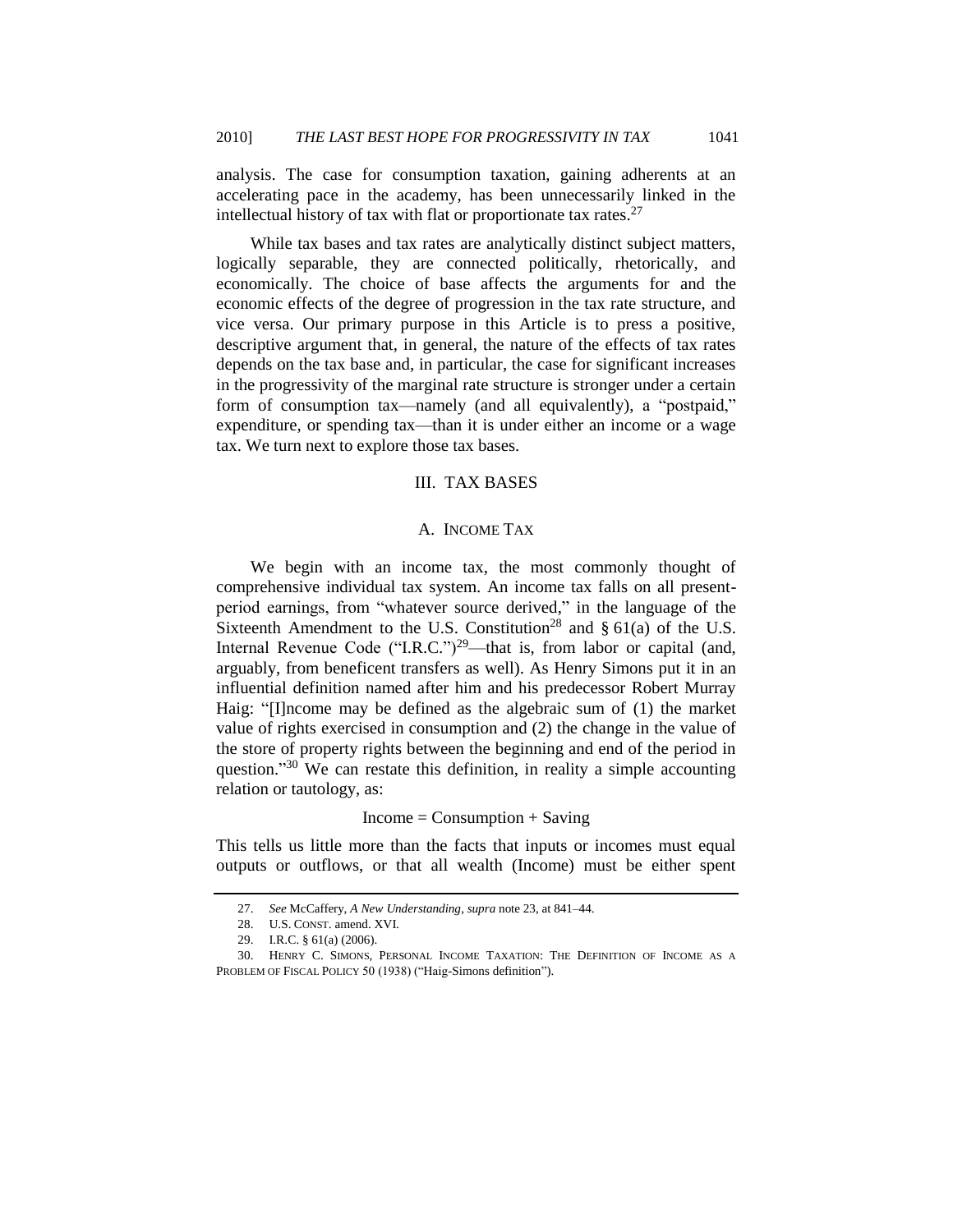analysis. The case for consumption taxation, gaining adherents at an accelerating pace in the academy, has been unnecessarily linked in the intellectual history of tax with flat or proportionate tax rates. $27$ 

While tax bases and tax rates are analytically distinct subject matters, logically separable, they are connected politically, rhetorically, and economically. The choice of base affects the arguments for and the economic effects of the degree of progression in the tax rate structure, and vice versa. Our primary purpose in this Article is to press a positive, descriptive argument that, in general, the nature of the effects of tax rates depends on the tax base and, in particular, the case for significant increases in the progressivity of the marginal rate structure is stronger under a certain form of consumption tax—namely (and all equivalently), a "postpaid," expenditure, or spending tax—than it is under either an income or a wage tax. We turn next to explore those tax bases.

## III. TAX BASES

## A. INCOME TAX

<span id="page-10-1"></span><span id="page-10-0"></span>We begin with an income tax, the most commonly thought of comprehensive individual tax system. An income tax falls on all presentperiod earnings, from "whatever source derived," in the language of the Sixteenth Amendment to the U.S. Constitution<sup>28</sup> and  $\S$  61(a) of the U.S. Internal Revenue Code ("I.R.C.")<sup>29</sup>—that is, from labor or capital (and, arguably, from beneficent transfers as well). As Henry Simons put it in an influential definition named after him and his predecessor Robert Murray Haig: "[I]ncome may be defined as the algebraic sum of (1) the market value of rights exercised in consumption and (2) the change in the value of the store of property rights between the beginning and end of the period in question."<sup>30</sup> We can restate this definition, in reality a simple accounting relation or tautology, as:

#### $Income = Consumption + Saving$

This tells us little more than the facts that inputs or incomes must equal outputs or outflows, or that all wealth (Income) must be either spent

<sup>27.</sup> *See* McCaffery, *A New Understanding*, *supra* not[e 23,](#page-8-0) at 841–44.

<sup>28.</sup> U.S. CONST. amend. XVI.

<sup>29.</sup> I.R.C. § 61(a) (2006).

<sup>30.</sup> HENRY C. SIMONS, PERSONAL INCOME TAXATION: THE DEFINITION OF INCOME AS A PROBLEM OF FISCAL POLICY 50 (1938) ("Haig-Simons definition").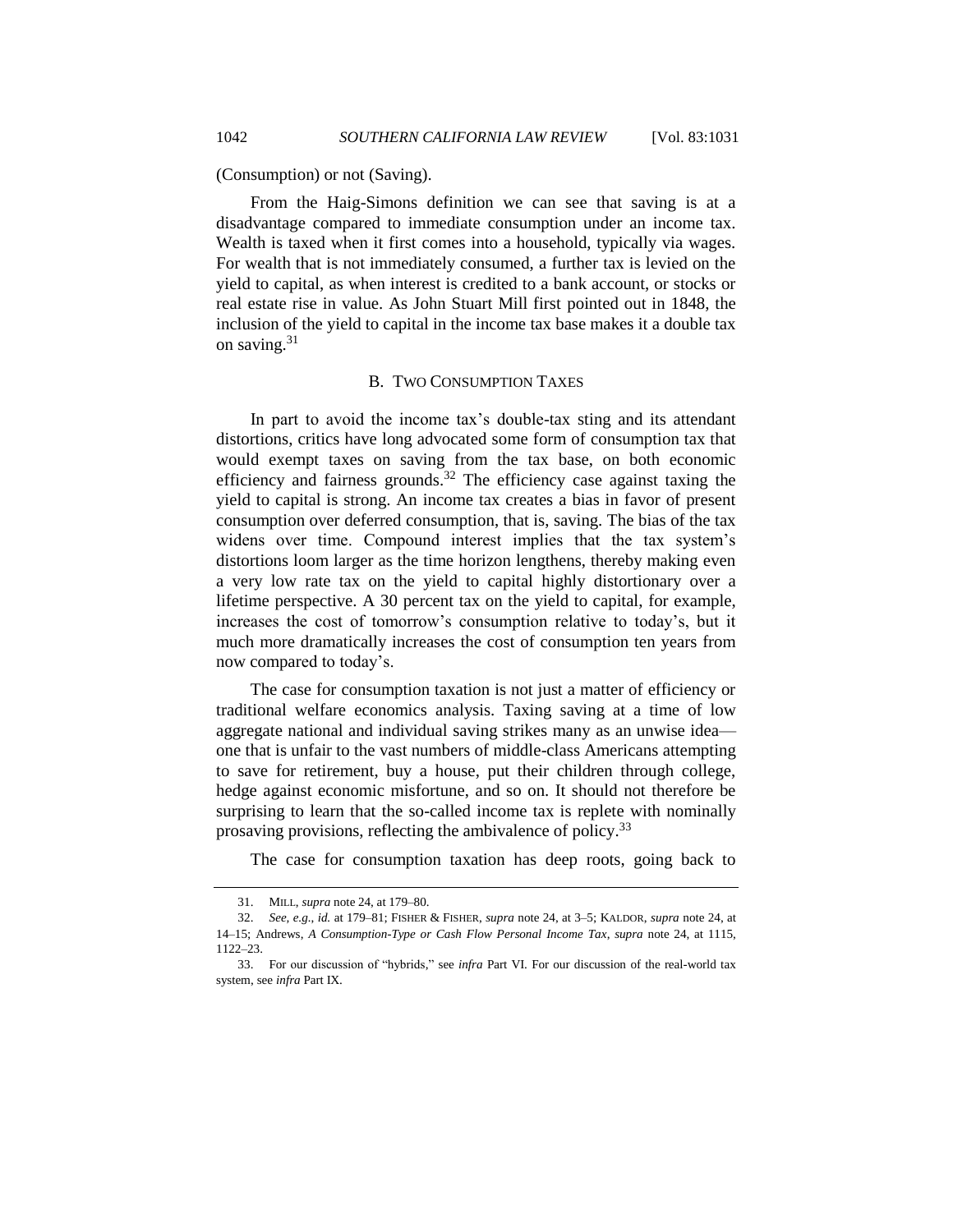(Consumption) or not (Saving).

From the Haig-Simons definition we can see that saving is at a disadvantage compared to immediate consumption under an income tax. Wealth is taxed when it first comes into a household, typically via wages. For wealth that is not immediately consumed, a further tax is levied on the yield to capital, as when interest is credited to a bank account, or stocks or real estate rise in value. As John Stuart Mill first pointed out in 1848, the inclusion of the yield to capital in the income tax base makes it a double tax on saving. $31$ 

#### B. TWO CONSUMPTION TAXES

<span id="page-11-0"></span>In part to avoid the income tax's double-tax sting and its attendant distortions, critics have long advocated some form of consumption tax that would exempt taxes on saving from the tax base, on both economic efficiency and fairness grounds.<sup>32</sup> The efficiency case against taxing the yield to capital is strong. An income tax creates a bias in favor of present consumption over deferred consumption, that is, saving. The bias of the tax widens over time. Compound interest implies that the tax system's distortions loom larger as the time horizon lengthens, thereby making even a very low rate tax on the yield to capital highly distortionary over a lifetime perspective. A 30 percent tax on the yield to capital, for example, increases the cost of tomorrow's consumption relative to today's, but it much more dramatically increases the cost of consumption ten years from now compared to today's.

The case for consumption taxation is not just a matter of efficiency or traditional welfare economics analysis. Taxing saving at a time of low aggregate national and individual saving strikes many as an unwise idea one that is unfair to the vast numbers of middle-class Americans attempting to save for retirement, buy a house, put their children through college, hedge against economic misfortune, and so on. It should not therefore be surprising to learn that the so-called income tax is replete with nominally prosaving provisions, reflecting the ambivalence of policy.<sup>33</sup>

The case for consumption taxation has deep roots, going back to

<sup>31.</sup> MILL, *supra* not[e 24,](#page-9-1) at 179–80.

<sup>32.</sup> *See, e.g.*, *id.* at 179–81; FISHER & FISHER, *supra* note [24,](#page-9-1) at 3–5; KALDOR, *supra* note [24,](#page-9-1) at 14–15; Andrews, *A Consumption-Type or Cash Flow Personal Income Tax*, *supra* note [24,](#page-9-1) at 1115, 1122–23.

<sup>33.</sup> For our discussion of "hybrids," see *infra* Part VI. For our discussion of the real-world tax system, see *infra* Part IX.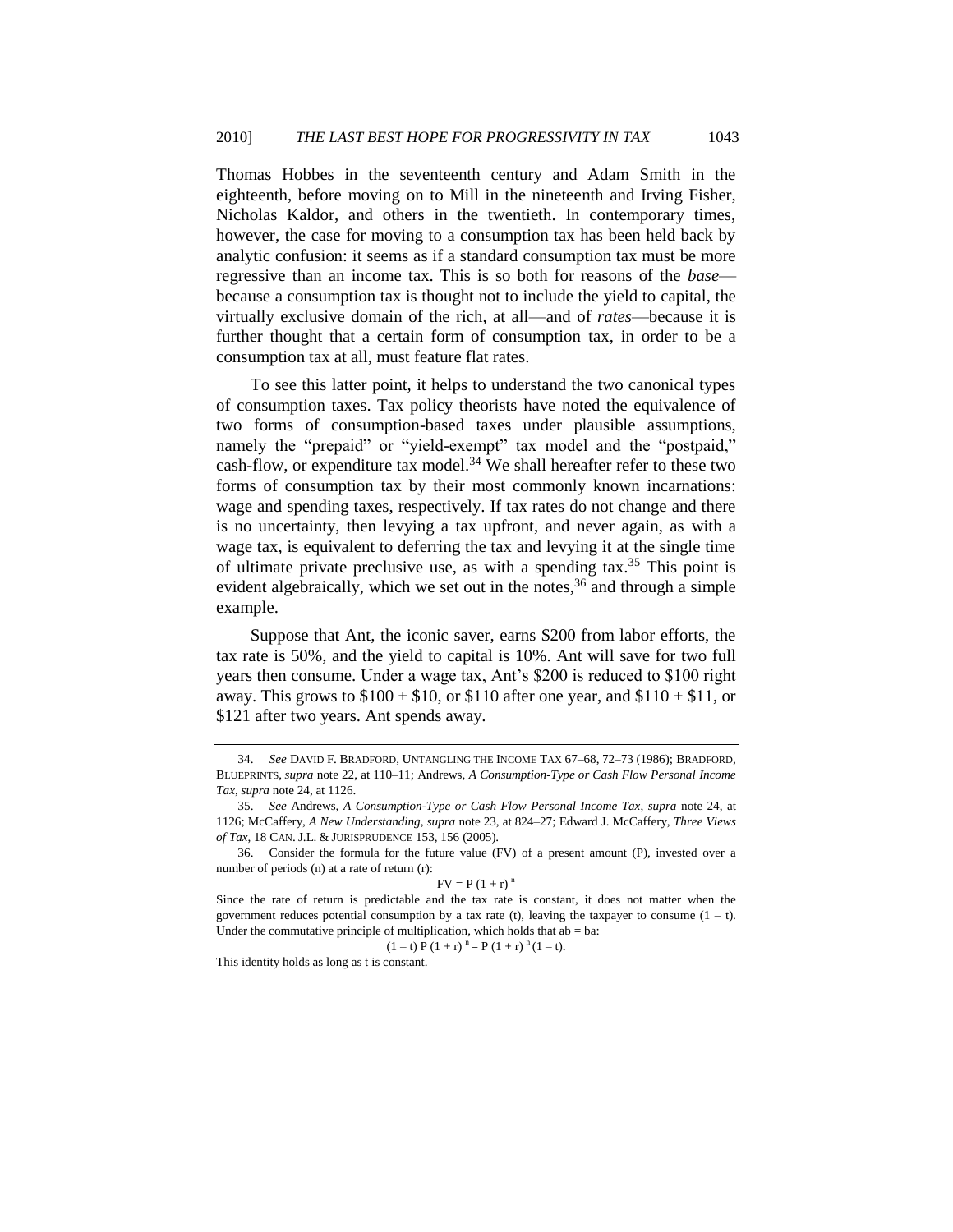Thomas Hobbes in the seventeenth century and Adam Smith in the eighteenth, before moving on to Mill in the nineteenth and Irving Fisher, Nicholas Kaldor, and others in the twentieth. In contemporary times, however, the case for moving to a consumption tax has been held back by analytic confusion: it seems as if a standard consumption tax must be more regressive than an income tax. This is so both for reasons of the *base* because a consumption tax is thought not to include the yield to capital, the virtually exclusive domain of the rich, at all—and of *rates*—because it is further thought that a certain form of consumption tax, in order to be a consumption tax at all, must feature flat rates.

To see this latter point, it helps to understand the two canonical types of consumption taxes. Tax policy theorists have noted the equivalence of two forms of consumption-based taxes under plausible assumptions, namely the "prepaid" or "yield-exempt" tax model and the "postpaid," cash-flow, or expenditure tax model.<sup>34</sup> We shall hereafter refer to these two forms of consumption tax by their most commonly known incarnations: wage and spending taxes, respectively. If tax rates do not change and there is no uncertainty, then levying a tax upfront, and never again, as with a wage tax, is equivalent to deferring the tax and levying it at the single time of ultimate private preclusive use, as with a spending tax.<sup>35</sup> This point is evident algebraically, which we set out in the notes,  $36$  and through a simple example.

Suppose that Ant, the iconic saver, earns \$200 from labor efforts, the tax rate is 50%, and the yield to capital is 10%. Ant will save for two full years then consume. Under a wage tax, Ant's \$200 is reduced to \$100 right away. This grows to  $$100 + $10$ , or  $$110$  after one year, and  $$110 + $11$ , or \$121 after two years. Ant spends away.

$$
FV = P(1+r)^{n}
$$

 $(1-t) P (1+r)$ <sup>n</sup> = P  $(1 + r)$ <sup>n</sup>  $(1-t)$ .

This identity holds as long as t is constant.

<sup>34.</sup> *See* DAVID F. BRADFORD, UNTANGLING THE INCOME TAX 67–68, 72–73 (1986); BRADFORD, BLUEPRINTS, *supra* not[e 22,](#page-8-1) at 110–11; Andrews, *A Consumption-Type or Cash Flow Personal Income Tax*, *supra* not[e 24,](#page-9-1) at 1126.

<sup>35.</sup> *See* Andrews, *A Consumption-Type or Cash Flow Personal Income Tax*, *supra* note [24,](#page-9-1) at 1126; McCaffery, *A New Understanding*, *supra* note [23,](#page-8-0) at 824–27; Edward J. McCaffery, *Three Views of Tax*, 18 CAN. J.L. & JURISPRUDENCE 153, 156 (2005).

<sup>36.</sup> Consider the formula for the future value (FV) of a present amount (P), invested over a number of periods (n) at a rate of return (r):

Since the rate of return is predictable and the tax rate is constant, it does not matter when the government reduces potential consumption by a tax rate (t), leaving the taxpayer to consume  $(1 - t)$ . Under the commutative principle of multiplication, which holds that  $ab = ba$ :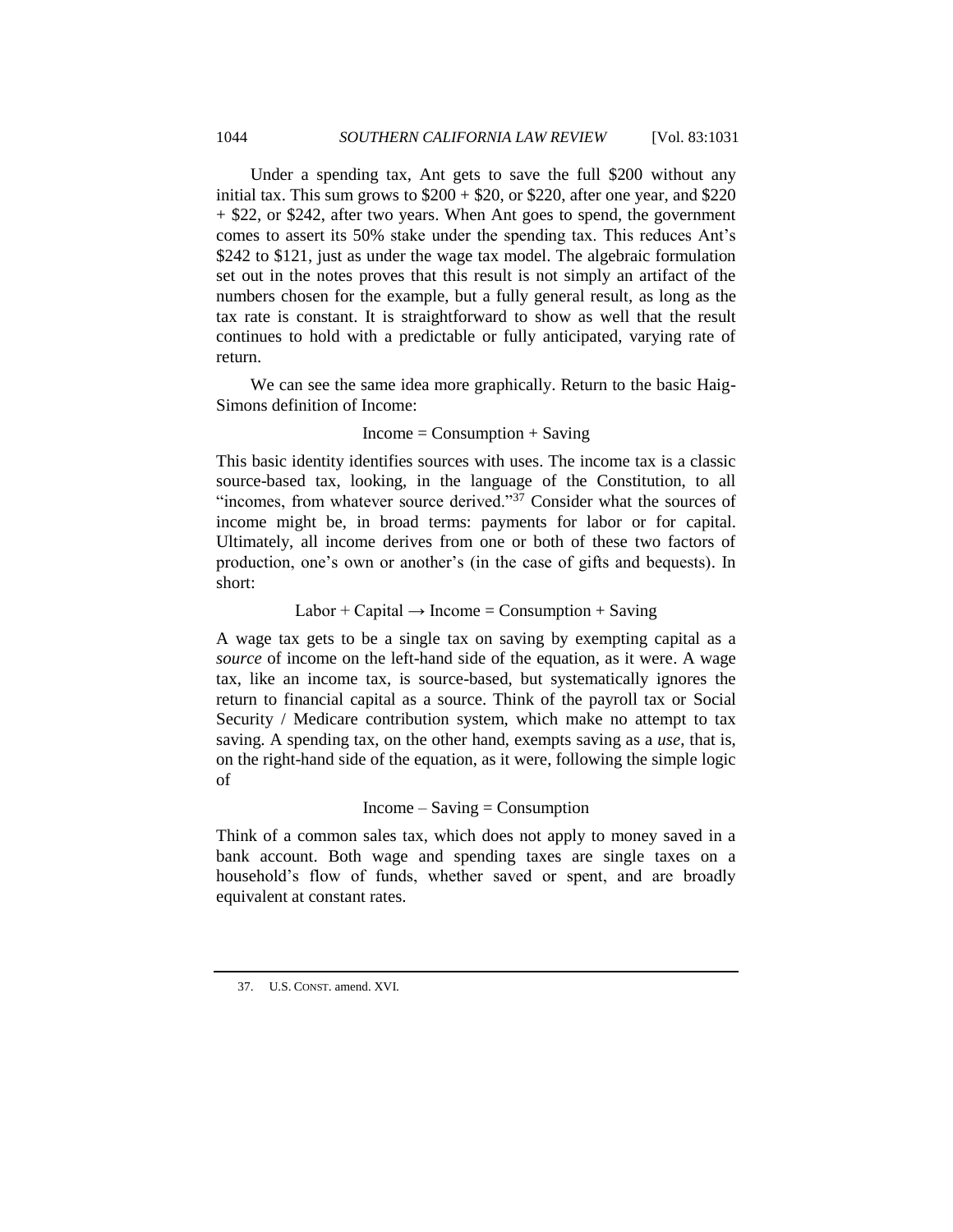Under a spending tax, Ant gets to save the full \$200 without any initial tax. This sum grows to  $$200 + $20$ , or \$220, after one year, and \$220 + \$22, or \$242, after two years. When Ant goes to spend, the government comes to assert its 50% stake under the spending tax. This reduces Ant's \$242 to \$121, just as under the wage tax model. The algebraic formulation set out in the notes proves that this result is not simply an artifact of the numbers chosen for the example, but a fully general result, as long as the tax rate is constant. It is straightforward to show as well that the result continues to hold with a predictable or fully anticipated, varying rate of return.

We can see the same idea more graphically. Return to the basic Haig-Simons definition of Income:

#### $Income = Consumption + Saving$

This basic identity identifies sources with uses. The income tax is a classic source-based tax, looking, in the language of the Constitution, to all "incomes, from whatever source derived." $37$  Consider what the sources of income might be, in broad terms: payments for labor or for capital. Ultimately, all income derives from one or both of these two factors of production, one's own or another's (in the case of gifts and bequests). In short:

Labor + Capital  $\rightarrow$  Income = Consumption + Saving

A wage tax gets to be a single tax on saving by exempting capital as a *source* of income on the left-hand side of the equation, as it were. A wage tax, like an income tax, is source-based, but systematically ignores the return to financial capital as a source. Think of the payroll tax or Social Security / Medicare contribution system, which make no attempt to tax saving. A spending tax, on the other hand, exempts saving as a *use*, that is, on the right-hand side of the equation, as it were, following the simple logic of

## $Income - Saving = Consumption$

<span id="page-13-0"></span>Think of a common sales tax, which does not apply to money saved in a bank account. Both wage and spending taxes are single taxes on a household's flow of funds, whether saved or spent, and are broadly equivalent at constant rates.

<sup>37.</sup> U.S. CONST. amend. XVI.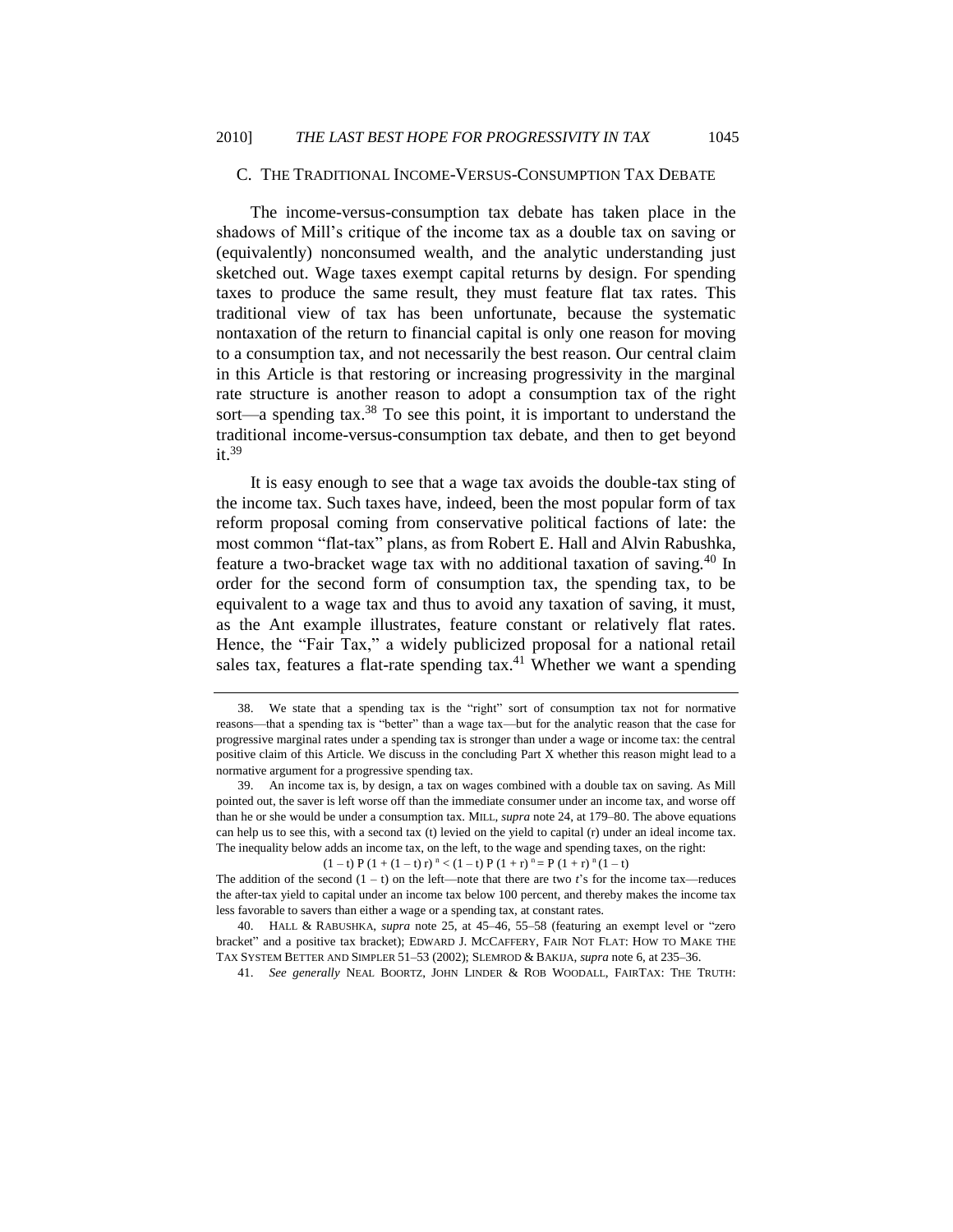#### C. THE TRADITIONAL INCOME-VERSUS-CONSUMPTION TAX DEBATE

The income-versus-consumption tax debate has taken place in the shadows of Mill's critique of the income tax as a double tax on saving or (equivalently) nonconsumed wealth, and the analytic understanding just sketched out. Wage taxes exempt capital returns by design. For spending taxes to produce the same result, they must feature flat tax rates. This traditional view of tax has been unfortunate, because the systematic nontaxation of the return to financial capital is only one reason for moving to a consumption tax, and not necessarily the best reason. Our central claim in this Article is that restoring or increasing progressivity in the marginal rate structure is another reason to adopt a consumption tax of the right sort—a spending tax. $38$  To see this point, it is important to understand the traditional income-versus-consumption tax debate, and then to get beyond it.<sup>39</sup>

It is easy enough to see that a wage tax avoids the double-tax sting of the income tax. Such taxes have, indeed, been the most popular form of tax reform proposal coming from conservative political factions of late: the most common "flat-tax" plans, as from Robert E. Hall and Alvin Rabushka, feature a two-bracket wage tax with no additional taxation of saving.<sup>40</sup> In order for the second form of consumption tax, the spending tax, to be equivalent to a wage tax and thus to avoid any taxation of saving, it must, as the Ant example illustrates, feature constant or relatively flat rates. Hence, the "Fair Tax," a widely publicized proposal for a national retail sales tax, features a flat-rate spending  $tax<sup>41</sup>$  Whether we want a spending

<span id="page-14-1"></span><span id="page-14-0"></span> $(1-t) P (1+(1-t) r)^n < (1-t) P (1+r)^n = P (1+r)^n (1-t)$ 

40. HALL & RABUSHKA, *supra* note [25,](#page-9-2) at 45–46, 55–58 (featuring an exempt level or "zero bracket" and a positive tax bracket); EDWARD J. MCCAFFERY, FAIR NOT FLAT: HOW TO MAKE THE TAX SYSTEM BETTER AND SIMPLER 51–53 (2002); SLEMROD & BAKIJA, *supra* note [6,](#page-4-0) at 235–36.

41. *See generally* NEAL BOORTZ, JOHN LINDER & ROB WOODALL, FAIRTAX: THE TRUTH:

<sup>38.</sup> We state that a spending tax is the "right" sort of consumption tax not for normative reasons—that a spending tax is "better" than a wage tax—but for the analytic reason that the case for progressive marginal rates under a spending tax is stronger than under a wage or income tax: the central positive claim of this Article. We discuss in the concluding Part X whether this reason might lead to a normative argument for a progressive spending tax.

<sup>39.</sup> An income tax is, by design, a tax on wages combined with a double tax on saving. As Mill pointed out, the saver is left worse off than the immediate consumer under an income tax, and worse off than he or she would be under a consumption tax. MILL, *supra* not[e 24,](#page-9-1) at 179–80. The above equations can help us to see this, with a second tax (t) levied on the yield to capital (r) under an ideal income tax. The inequality below adds an income tax, on the left, to the wage and spending taxes, on the right:

The addition of the second  $(1 - t)$  on the left—note that there are two  $t$ 's for the income tax—reduces the after-tax yield to capital under an income tax below 100 percent, and thereby makes the income tax less favorable to savers than either a wage or a spending tax, at constant rates.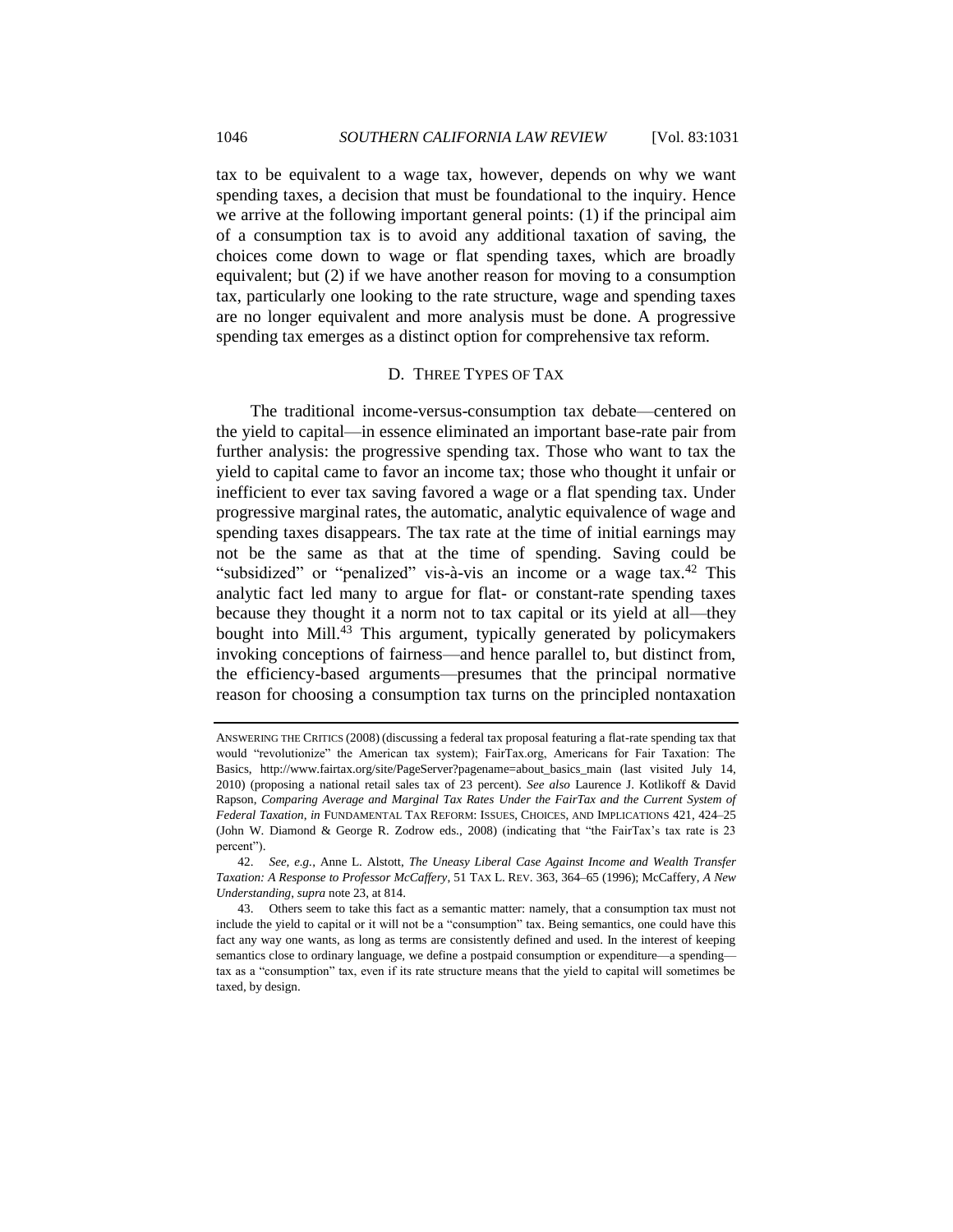tax to be equivalent to a wage tax, however, depends on why we want spending taxes, a decision that must be foundational to the inquiry. Hence we arrive at the following important general points: (1) if the principal aim of a consumption tax is to avoid any additional taxation of saving, the choices come down to wage or flat spending taxes, which are broadly equivalent; but (2) if we have another reason for moving to a consumption tax, particularly one looking to the rate structure, wage and spending taxes are no longer equivalent and more analysis must be done. A progressive spending tax emerges as a distinct option for comprehensive tax reform.

#### D. THREE TYPES OF TAX

<span id="page-15-0"></span>The traditional income-versus-consumption tax debate—centered on the yield to capital—in essence eliminated an important base-rate pair from further analysis: the progressive spending tax. Those who want to tax the yield to capital came to favor an income tax; those who thought it unfair or inefficient to ever tax saving favored a wage or a flat spending tax. Under progressive marginal rates, the automatic, analytic equivalence of wage and spending taxes disappears. The tax rate at the time of initial earnings may not be the same as that at the time of spending. Saving could be "subsidized" or "penalized" vis-à-vis an income or a wage tax.<sup>42</sup> This analytic fact led many to argue for flat- or constant-rate spending taxes because they thought it a norm not to tax capital or its yield at all—they bought into Mill.<sup>43</sup> This argument, typically generated by policymakers invoking conceptions of fairness—and hence parallel to, but distinct from, the efficiency-based arguments—presumes that the principal normative reason for choosing a consumption tax turns on the principled nontaxation

ANSWERING THE CRITICS (2008) (discussing a federal tax proposal featuring a flat-rate spending tax that would "revolutionize" the American tax system); FairTax.org, Americans for Fair Taxation: The Basics, http://www.fairtax.org/site/PageServer?pagename=about\_basics\_main (last visited July 14, 2010) (proposing a national retail sales tax of 23 percent). *See also* Laurence J. Kotlikoff & David Rapson, *Comparing Average and Marginal Tax Rates Under the FairTax and the Current System of Federal Taxation*, *in* FUNDAMENTAL TAX REFORM: ISSUES, CHOICES, AND IMPLICATIONS 421, 424–25 (John W. Diamond & George R. Zodrow eds., 2008) (indicating that "the FairTax's tax rate is  $23$ percent").

<sup>42.</sup> *See, e.g.*, Anne L. Alstott, *The Uneasy Liberal Case Against Income and Wealth Transfer Taxation: A Response to Professor McCaffery*, 51 TAX L. REV. 363, 364–65 (1996); McCaffery, *A New Understanding*, *supra* not[e 23,](#page-8-0) at 814.

<sup>43.</sup> Others seem to take this fact as a semantic matter: namely, that a consumption tax must not include the yield to capital or it will not be a "consumption" tax. Being semantics, one could have this fact any way one wants, as long as terms are consistently defined and used. In the interest of keeping semantics close to ordinary language, we define a postpaid consumption or expenditure—a spending tax as a "consumption" tax, even if its rate structure means that the yield to capital will sometimes be taxed, by design.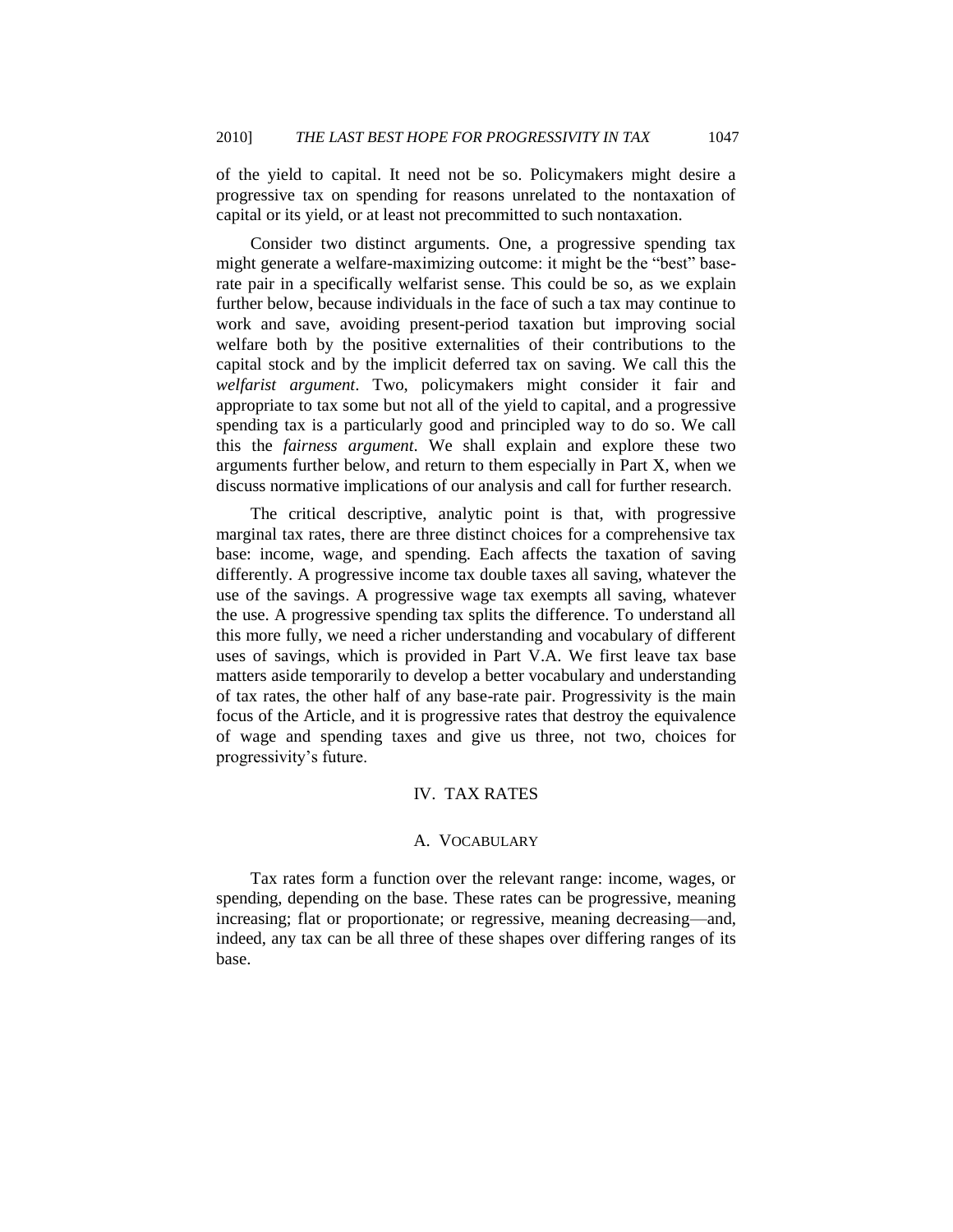of the yield to capital. It need not be so. Policymakers might desire a progressive tax on spending for reasons unrelated to the nontaxation of capital or its yield, or at least not precommitted to such nontaxation.

Consider two distinct arguments. One, a progressive spending tax might generate a welfare-maximizing outcome: it might be the "best" baserate pair in a specifically welfarist sense. This could be so, as we explain further below, because individuals in the face of such a tax may continue to work and save, avoiding present-period taxation but improving social welfare both by the positive externalities of their contributions to the capital stock and by the implicit deferred tax on saving. We call this the *welfarist argument*. Two, policymakers might consider it fair and appropriate to tax some but not all of the yield to capital, and a progressive spending tax is a particularly good and principled way to do so. We call this the *fairness argument*. We shall explain and explore these two arguments further below, and return to them especially in Part X, when we discuss normative implications of our analysis and call for further research.

The critical descriptive, analytic point is that, with progressive marginal tax rates, there are three distinct choices for a comprehensive tax base: income, wage, and spending. Each affects the taxation of saving differently. A progressive income tax double taxes all saving, whatever the use of the savings. A progressive wage tax exempts all saving, whatever the use. A progressive spending tax splits the difference. To understand all this more fully, we need a richer understanding and vocabulary of different uses of savings, which is provided in Part V.A. We first leave tax base matters aside temporarily to develop a better vocabulary and understanding of tax rates, the other half of any base-rate pair. Progressivity is the main focus of the Article, and it is progressive rates that destroy the equivalence of wage and spending taxes and give us three, not two, choices for progressivity's future.

# IV. TAX RATES

#### A. VOCABULARY

<span id="page-16-1"></span><span id="page-16-0"></span>Tax rates form a function over the relevant range: income, wages, or spending, depending on the base. These rates can be progressive, meaning increasing; flat or proportionate; or regressive, meaning decreasing—and, indeed, any tax can be all three of these shapes over differing ranges of its base.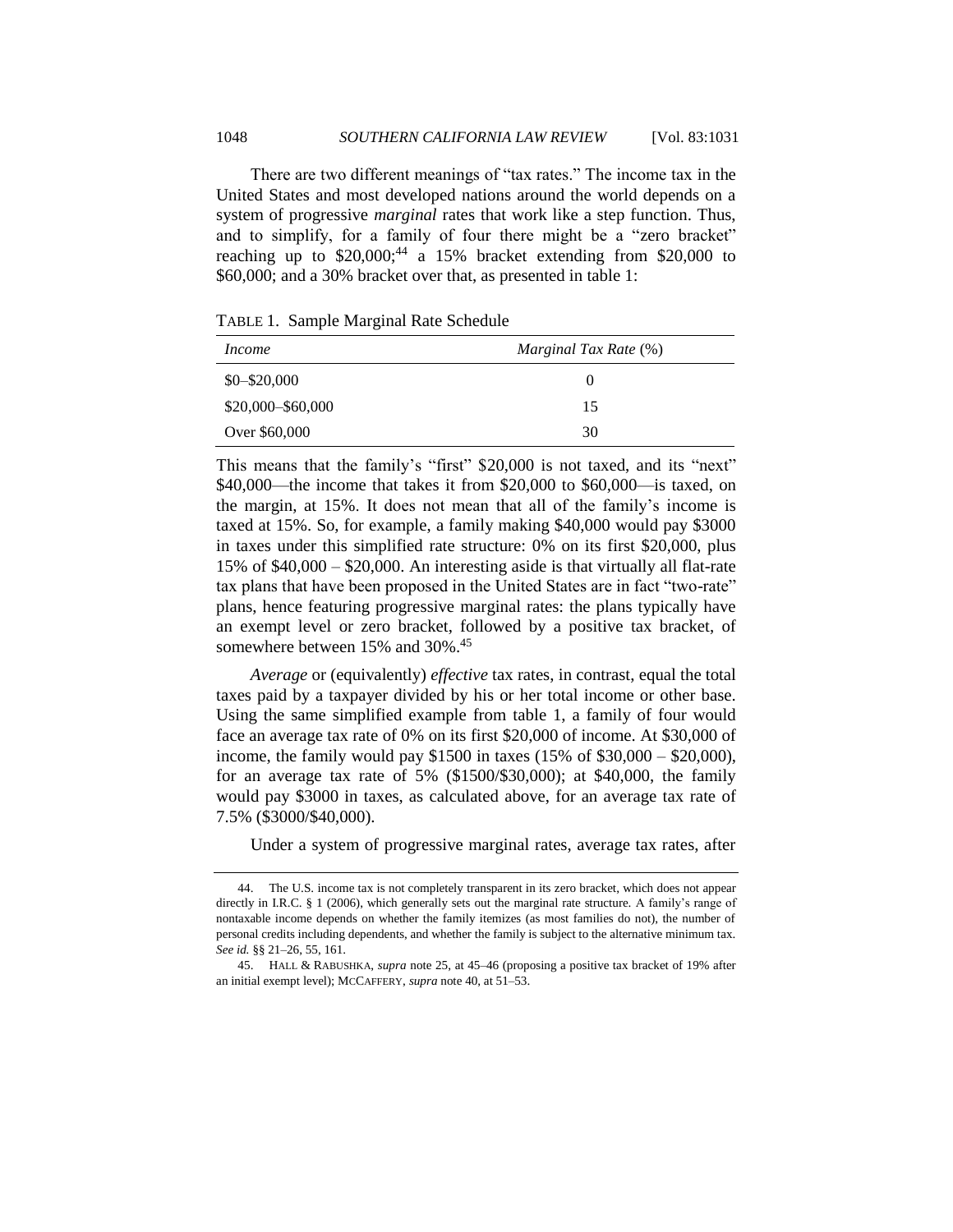There are two different meanings of "tax rates." The income tax in the United States and most developed nations around the world depends on a system of progressive *marginal* rates that work like a step function. Thus, and to simplify, for a family of four there might be a "zero bracket" reaching up to  $$20,000;^{44}$  a 15% bracket extending from  $$20,000$  to \$60,000; and a 30% bracket over that, as presented in table 1:

TABLE 1. Sample Marginal Rate Schedule

| <i>Income</i>       | Marginal Tax Rate (%) |  |  |
|---------------------|-----------------------|--|--|
| $$0 - $20,000$      | $\theta$              |  |  |
| $$20,000 - $60,000$ | 15                    |  |  |
| Over \$60,000       | 30                    |  |  |

This means that the family's "first" \$20,000 is not taxed, and its "next" \$40,000—the income that takes it from \$20,000 to \$60,000—is taxed, on the margin, at 15%. It does not mean that all of the family's income is taxed at 15%. So, for example, a family making \$40,000 would pay \$3000 in taxes under this simplified rate structure: 0% on its first \$20,000, plus 15% of \$40,000 – \$20,000. An interesting aside is that virtually all flat-rate tax plans that have been proposed in the United States are in fact "two-rate" plans, hence featuring progressive marginal rates: the plans typically have an exempt level or zero bracket, followed by a positive tax bracket, of somewhere between 15% and 30%.<sup>45</sup>

*Average* or (equivalently) *effective* tax rates, in contrast, equal the total taxes paid by a taxpayer divided by his or her total income or other base. Using the same simplified example from table 1, a family of four would face an average tax rate of 0% on its first \$20,000 of income. At \$30,000 of income, the family would pay \$1500 in taxes  $(15\% \text{ of } $30,000 - $20,000)$ , for an average tax rate of 5% (\$1500/\$30,000); at \$40,000, the family would pay \$3000 in taxes, as calculated above, for an average tax rate of 7.5% (\$3000/\$40,000).

Under a system of progressive marginal rates, average tax rates, after

<sup>44.</sup> The U.S. income tax is not completely transparent in its zero bracket, which does not appear directly in I.R.C. § 1 (2006), which generally sets out the marginal rate structure. A family's range of nontaxable income depends on whether the family itemizes (as most families do not), the number of personal credits including dependents, and whether the family is subject to the alternative minimum tax. *See id.* §§ 21–26, 55, 161.

<sup>45.</sup> HALL & RABUSHKA, *supra* note [25,](#page-9-2) at 45–46 (proposing a positive tax bracket of 19% after an initial exempt level); MCCAFFERY, *supra* not[e 40,](#page-14-0) at 51–53.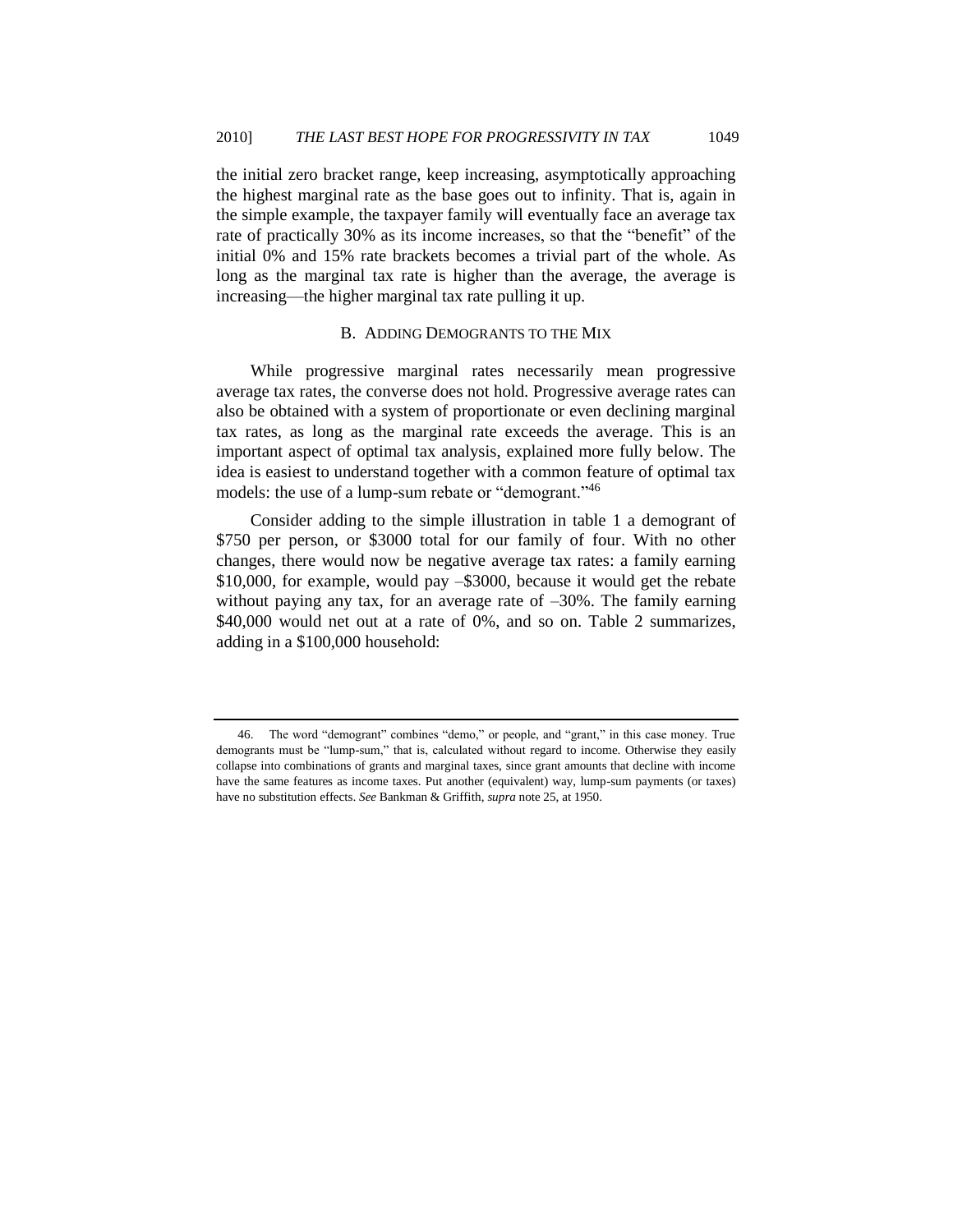the initial zero bracket range, keep increasing, asymptotically approaching the highest marginal rate as the base goes out to infinity. That is, again in the simple example, the taxpayer family will eventually face an average tax rate of practically 30% as its income increases, so that the "benefit" of the initial 0% and 15% rate brackets becomes a trivial part of the whole. As long as the marginal tax rate is higher than the average, the average is increasing—the higher marginal tax rate pulling it up.

## B. ADDING DEMOGRANTS TO THE MIX

<span id="page-18-0"></span>While progressive marginal rates necessarily mean progressive average tax rates, the converse does not hold. Progressive average rates can also be obtained with a system of proportionate or even declining marginal tax rates, as long as the marginal rate exceeds the average. This is an important aspect of optimal tax analysis, explained more fully below. The idea is easiest to understand together with a common feature of optimal tax models: the use of a lump-sum rebate or "demogrant."<sup>46</sup>

Consider adding to the simple illustration in table 1 a demogrant of \$750 per person, or \$3000 total for our family of four. With no other changes, there would now be negative average tax rates: a family earning \$10,000, for example, would pay –\$3000, because it would get the rebate without paying any tax, for an average rate of  $-30\%$ . The family earning \$40,000 would net out at a rate of 0%, and so on. Table 2 summarizes, adding in a \$100,000 household:

<sup>46.</sup> The word "demogrant" combines "demo," or people, and "grant," in this case money. True demogrants must be "lump-sum," that is, calculated without regard to income. Otherwise they easily collapse into combinations of grants and marginal taxes, since grant amounts that decline with income have the same features as income taxes. Put another (equivalent) way, lump-sum payments (or taxes) have no substitution effects. *See* Bankman & Griffith, *supra* not[e 25,](#page-9-2) at 1950.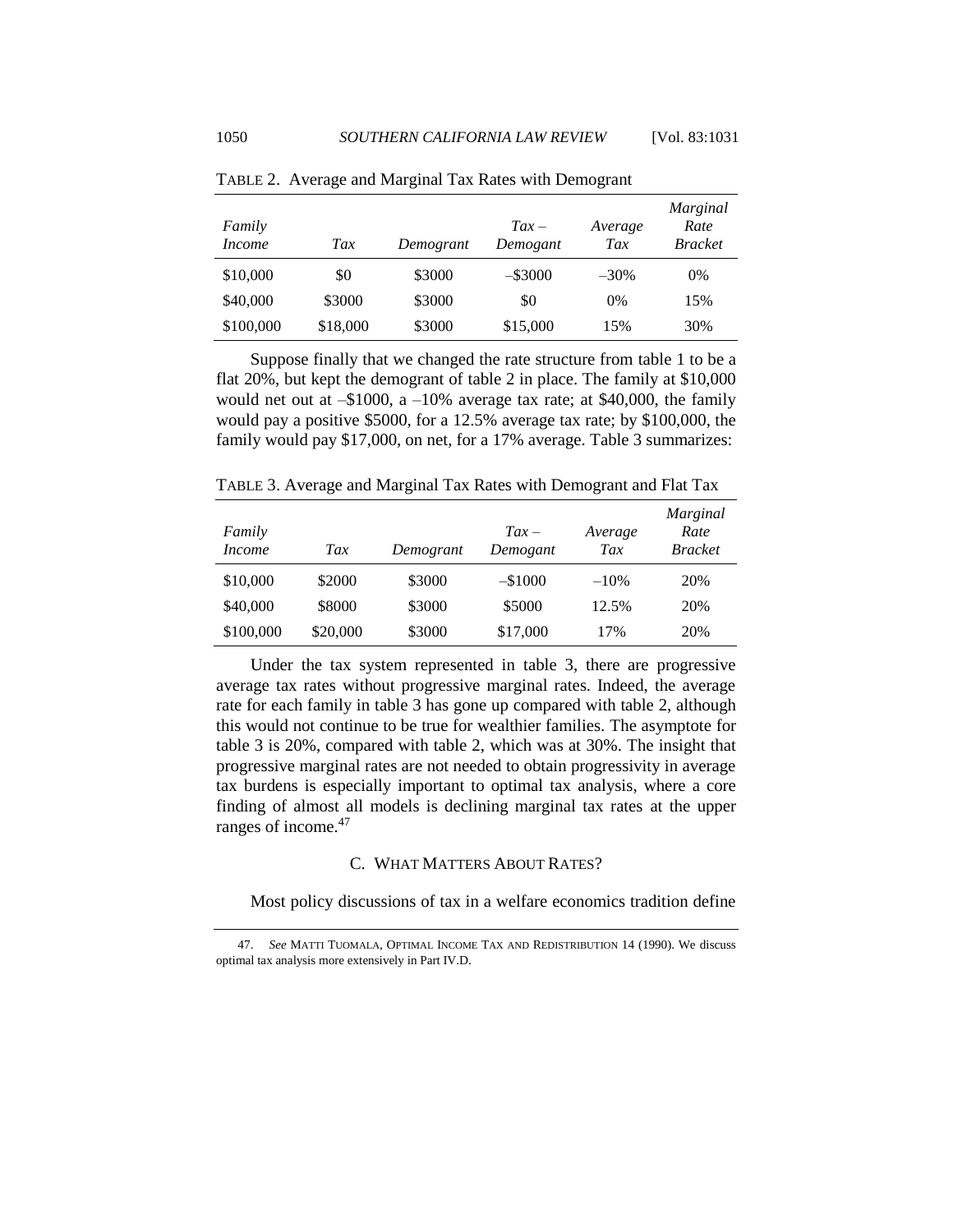| Family<br><i>Income</i> | Tax      | Demogrant | $Tax -$<br>Demogant | Average<br>Tax | Marginal<br>Rate<br><b>Bracket</b> |
|-------------------------|----------|-----------|---------------------|----------------|------------------------------------|
| \$10,000                | \$0      | \$3000    | $-$ \$3000          | $-30\%$        | 0%                                 |
| \$40,000                | \$3000   | \$3000    | \$0                 | 0%             | 15%                                |
| \$100,000               | \$18,000 | \$3000    | \$15,000            | 15%            | 30%                                |

TABLE 2. Average and Marginal Tax Rates with Demogrant

Suppose finally that we changed the rate structure from table 1 to be a flat 20%, but kept the demogrant of table 2 in place. The family at \$10,000 would net out at  $-1000$ , a  $-10\%$  average tax rate; at \$40,000, the family would pay a positive \$5000, for a 12.5% average tax rate; by \$100,000, the family would pay \$17,000, on net, for a 17% average. Table 3 summarizes:

TABLE 3. Average and Marginal Tax Rates with Demogrant and Flat Tax

| Family<br><i>Income</i> | Tax      | Demogrant | $\int Iax -$<br>Demogant | Average<br>Tax | Marginal<br>Rate<br><b>Bracket</b> |
|-------------------------|----------|-----------|--------------------------|----------------|------------------------------------|
| \$10,000                | \$2000   | \$3000    | $-$1000$                 | $-10%$         | 20%                                |
| \$40,000                | \$8000   | \$3000    | \$5000                   | 12.5%          | 20%                                |
| \$100,000               | \$20,000 | \$3000    | \$17,000                 | 17%            | 20%                                |

Under the tax system represented in table 3, there are progressive average tax rates without progressive marginal rates. Indeed, the average rate for each family in table 3 has gone up compared with table 2, although this would not continue to be true for wealthier families. The asymptote for table 3 is 20%, compared with table 2, which was at 30%. The insight that progressive marginal rates are not needed to obtain progressivity in average tax burdens is especially important to optimal tax analysis, where a core finding of almost all models is declining marginal tax rates at the upper ranges of income. 47

## <span id="page-19-1"></span>C. WHAT MATTERS ABOUT RATES?

<span id="page-19-0"></span>Most policy discussions of tax in a welfare economics tradition define

<sup>47.</sup> *See* MATTI TUOMALA, OPTIMAL INCOME TAX AND REDISTRIBUTION 14 (1990). We discuss optimal tax analysis more extensively in Part IV.D.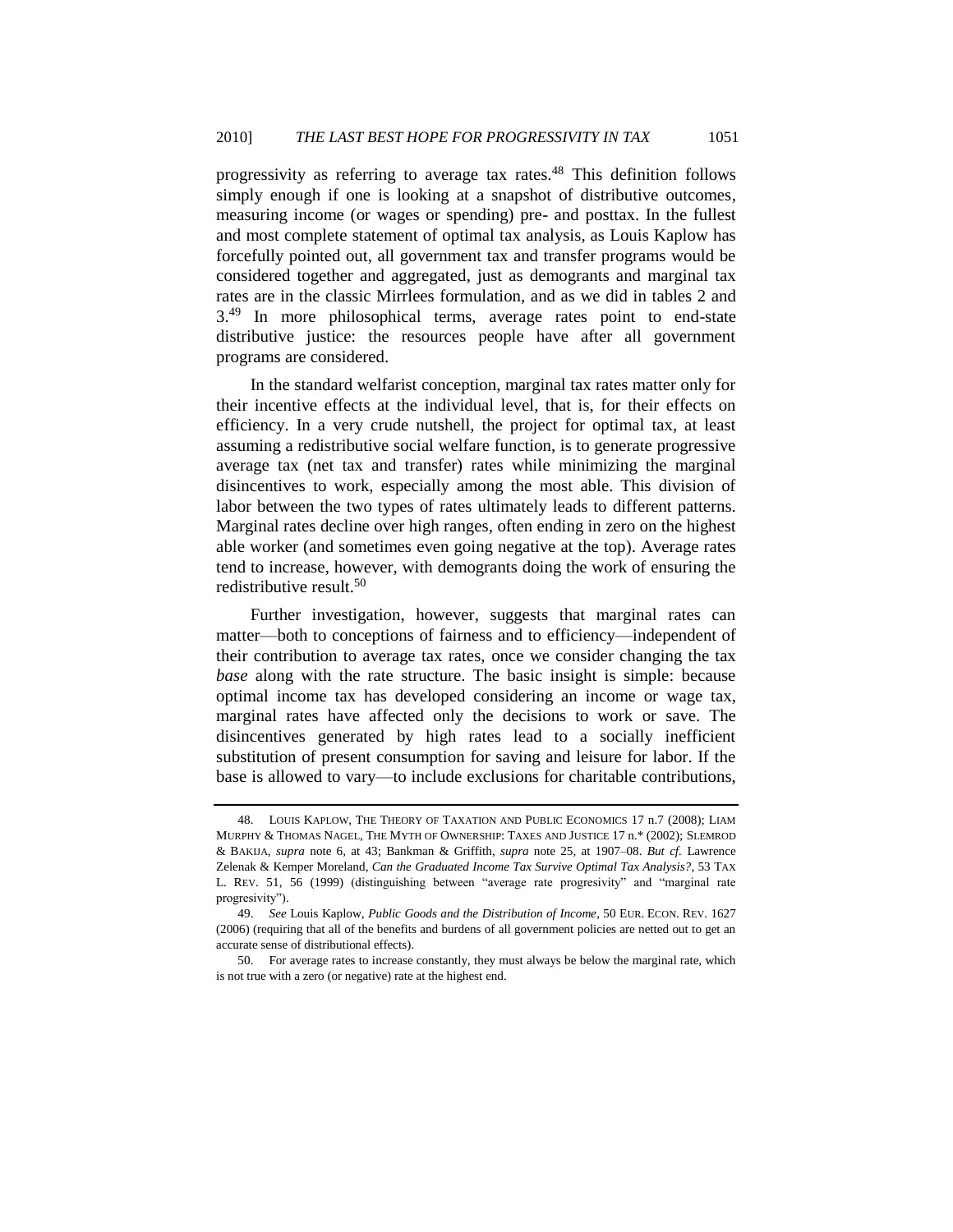<span id="page-20-0"></span>progressivity as referring to average tax rates.<sup>48</sup> This definition follows simply enough if one is looking at a snapshot of distributive outcomes, measuring income (or wages or spending) pre- and posttax. In the fullest and most complete statement of optimal tax analysis, as Louis Kaplow has forcefully pointed out, all government tax and transfer programs would be considered together and aggregated, just as demogrants and marginal tax rates are in the classic Mirrlees formulation, and as we did in tables 2 and 3<sup>.49</sup> In more philosophical terms, average rates point to end-state distributive justice: the resources people have after all government programs are considered.

<span id="page-20-1"></span>In the standard welfarist conception, marginal tax rates matter only for their incentive effects at the individual level, that is, for their effects on efficiency. In a very crude nutshell, the project for optimal tax, at least assuming a redistributive social welfare function, is to generate progressive average tax (net tax and transfer) rates while minimizing the marginal disincentives to work, especially among the most able. This division of labor between the two types of rates ultimately leads to different patterns. Marginal rates decline over high ranges, often ending in zero on the highest able worker (and sometimes even going negative at the top). Average rates tend to increase, however, with demogrants doing the work of ensuring the redistributive result.<sup>50</sup>

Further investigation, however, suggests that marginal rates can matter—both to conceptions of fairness and to efficiency—independent of their contribution to average tax rates, once we consider changing the tax *base* along with the rate structure. The basic insight is simple: because optimal income tax has developed considering an income or wage tax, marginal rates have affected only the decisions to work or save. The disincentives generated by high rates lead to a socially inefficient substitution of present consumption for saving and leisure for labor. If the base is allowed to vary—to include exclusions for charitable contributions,

<sup>48.</sup> LOUIS KAPLOW, THE THEORY OF TAXATION AND PUBLIC ECONOMICS 17 n.7 (2008); LIAM MURPHY & THOMAS NAGEL, THE MYTH OF OWNERSHIP: TAXES AND JUSTICE 17 n.\* (2002); SLEMROD & BAKIJA, *supra* note [6,](#page-4-0) at 43; Bankman & Griffith, *supra* note [25,](#page-9-2) at 1907–08. *But cf.* Lawrence Zelenak & Kemper Moreland, *Can the Graduated Income Tax Survive Optimal Tax Analysis?*, 53 TAX L. REV. 51, 56 (1999) (distinguishing between "average rate progresivity" and "marginal rate progresivity").

<sup>49.</sup> *See* Louis Kaplow, *Public Goods and the Distribution of Income*, 50 EUR. ECON. REV. 1627 (2006) (requiring that all of the benefits and burdens of all government policies are netted out to get an accurate sense of distributional effects).

<sup>50.</sup> For average rates to increase constantly, they must always be below the marginal rate, which is not true with a zero (or negative) rate at the highest end.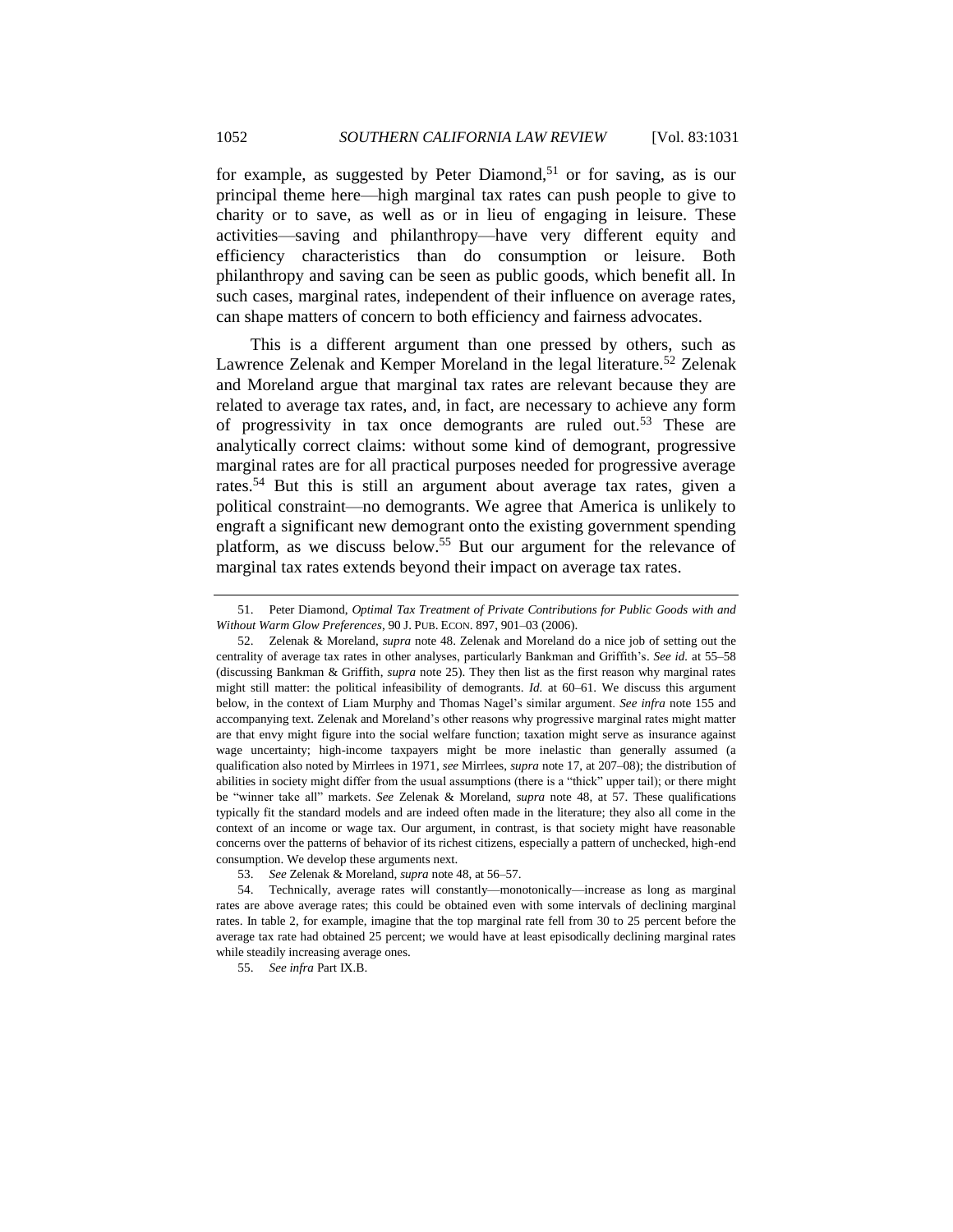for example, as suggested by Peter Diamond,<sup>51</sup> or for saving, as is our principal theme here—high marginal tax rates can push people to give to charity or to save, as well as or in lieu of engaging in leisure. These activities—saving and philanthropy—have very different equity and efficiency characteristics than do consumption or leisure. Both philanthropy and saving can be seen as public goods, which benefit all. In such cases, marginal rates, independent of their influence on average rates, can shape matters of concern to both efficiency and fairness advocates.

This is a different argument than one pressed by others, such as Lawrence Zelenak and Kemper Moreland in the legal literature.<sup>52</sup> Zelenak and Moreland argue that marginal tax rates are relevant because they are related to average tax rates, and, in fact, are necessary to achieve any form of progressivity in tax once demogrants are ruled out.<sup>53</sup> These are analytically correct claims: without some kind of demogrant, progressive marginal rates are for all practical purposes needed for progressive average rates.<sup>54</sup> But this is still an argument about average tax rates, given a political constraint—no demogrants. We agree that America is unlikely to engraft a significant new demogrant onto the existing government spending platform, as we discuss below.<sup>55</sup> But our argument for the relevance of marginal tax rates extends beyond their impact on average tax rates.

<span id="page-21-0"></span>

<sup>51.</sup> Peter Diamond, *Optimal Tax Treatment of Private Contributions for Public Goods with and Without Warm Glow Preferences*, 90 J. PUB. ECON. 897, 901–03 (2006).

<sup>52.</sup> Zelenak & Moreland, *supra* note [48.](#page-20-0) Zelenak and Moreland do a nice job of setting out the centrality of average tax rates in other analyses, particularly Bankman and Griffith's. *See id.* at 55–58 (discussing Bankman & Griffith, *supra* note [25\)](#page-9-2). They then list as the first reason why marginal rates might still matter: the political infeasibility of demogrants. *Id.* at 60–61. We discuss this argument below, in the context of Liam Murphy and Thomas Nagel's similar argument. *See infra* note [155](#page-55-0) and accompanying text. Zelenak and Moreland's other reasons why progressive marginal rates might matter are that envy might figure into the social welfare function; taxation might serve as insurance against wage uncertainty; high-income taxpayers might be more inelastic than generally assumed (a qualification also noted by Mirrlees in 1971, *see* Mirrlees, *supra* not[e 17,](#page-6-0) at 207–08); the distribution of abilities in society might differ from the usual assumptions (there is a "thick" upper tail); or there might be "winner take all" markets. *See Zelenak & Moreland, supra* note [48,](#page-20-0) at 57. These qualifications typically fit the standard models and are indeed often made in the literature; they also all come in the context of an income or wage tax. Our argument, in contrast, is that society might have reasonable concerns over the patterns of behavior of its richest citizens, especially a pattern of unchecked, high-end consumption. We develop these arguments next.

<sup>53.</sup> *See* Zelenak & Moreland, *supra* not[e 48,](#page-20-0) at 56–57.

<sup>54.</sup> Technically, average rates will constantly—monotonically—increase as long as marginal rates are above average rates; this could be obtained even with some intervals of declining marginal rates. In table 2, for example, imagine that the top marginal rate fell from 30 to 25 percent before the average tax rate had obtained 25 percent; we would have at least episodically declining marginal rates while steadily increasing average ones.

<sup>55.</sup> *See infra* Part IX.B.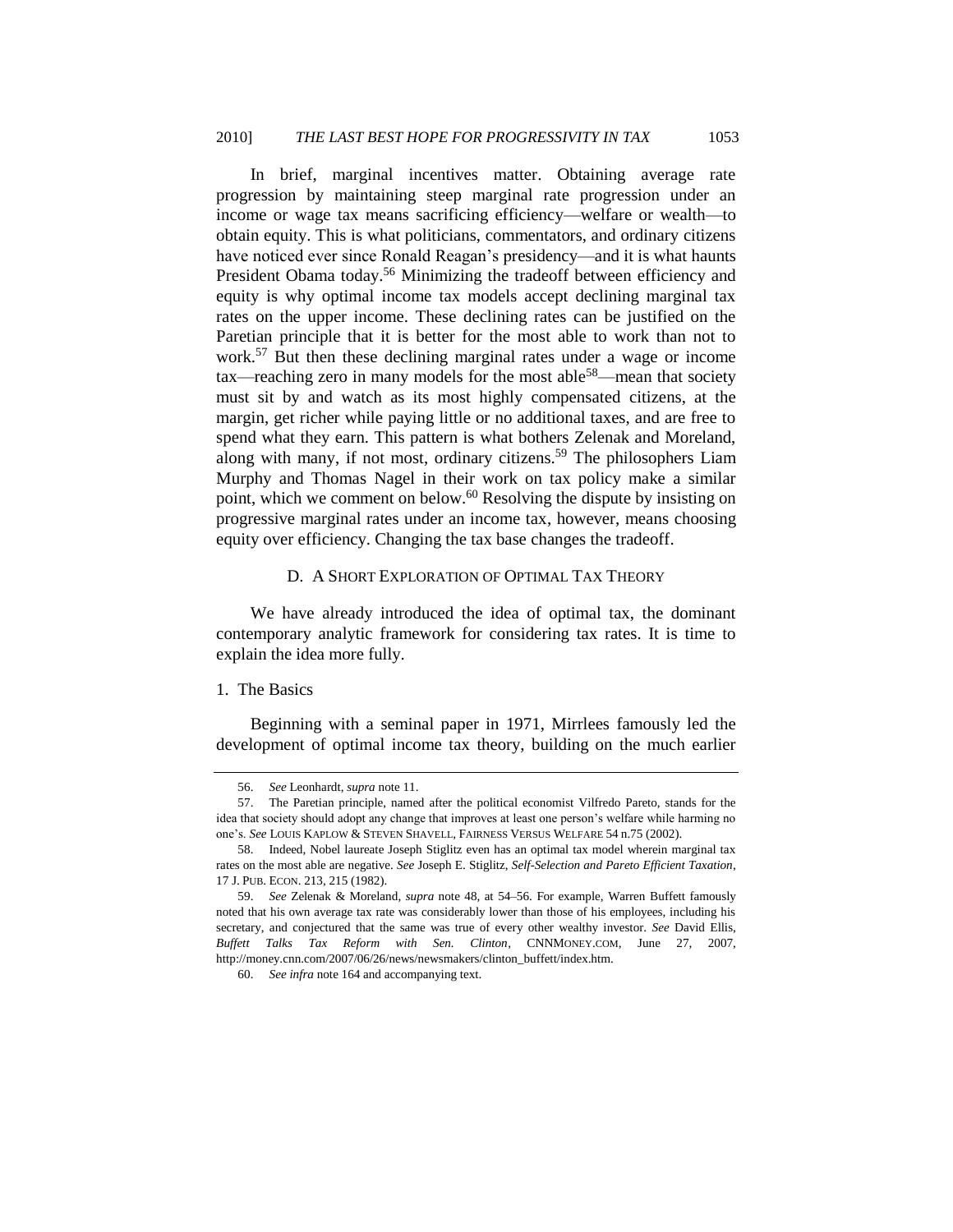<span id="page-22-3"></span>In brief, marginal incentives matter. Obtaining average rate progression by maintaining steep marginal rate progression under an income or wage tax means sacrificing efficiency—welfare or wealth—to obtain equity. This is what politicians, commentators, and ordinary citizens have noticed ever since Ronald Reagan's presidency—and it is what haunts President Obama today.<sup>56</sup> Minimizing the tradeoff between efficiency and equity is why optimal income tax models accept declining marginal tax rates on the upper income. These declining rates can be justified on the Paretian principle that it is better for the most able to work than not to work.<sup>57</sup> But then these declining marginal rates under a wage or income  $\text{tax—reaching zero in many models for the most able<sup>58</sup>—mean that society}$ must sit by and watch as its most highly compensated citizens, at the margin, get richer while paying little or no additional taxes, and are free to spend what they earn. This pattern is what bothers Zelenak and Moreland, along with many, if not most, ordinary citizens.<sup>59</sup> The philosophers Liam Murphy and Thomas Nagel in their work on tax policy make a similar point, which we comment on below.<sup>60</sup> Resolving the dispute by insisting on progressive marginal rates under an income tax, however, means choosing equity over efficiency. Changing the tax base changes the tradeoff.

## <span id="page-22-2"></span>D. A SHORT EXPLORATION OF OPTIMAL TAX THEORY

<span id="page-22-0"></span>We have already introduced the idea of optimal tax, the dominant contemporary analytic framework for considering tax rates. It is time to explain the idea more fully.

#### <span id="page-22-1"></span>1. The Basics

Beginning with a seminal paper in 1971, Mirrlees famously led the development of optimal income tax theory, building on the much earlier

<sup>56.</sup> *See* Leonhardt, *supra* not[e 11.](#page-5-0)

<sup>57.</sup> The Paretian principle, named after the political economist Vilfredo Pareto, stands for the idea that society should adopt any change that improves at least one person's welfare while harming no one's. *See* LOUIS KAPLOW & STEVEN SHAVELL, FAIRNESS VERSUS WELFARE 54 n.75 (2002).

<sup>58.</sup> Indeed, Nobel laureate Joseph Stiglitz even has an optimal tax model wherein marginal tax rates on the most able are negative. *See* Joseph E. Stiglitz, *Self-Selection and Pareto Efficient Taxation*, 17 J. PUB. ECON. 213, 215 (1982).

<sup>59.</sup> *See* Zelenak & Moreland, *supra* note [48,](#page-20-0) at 54–56. For example, Warren Buffett famously noted that his own average tax rate was considerably lower than those of his employees, including his secretary, and conjectured that the same was true of every other wealthy investor. *See* David Ellis, *Buffett Talks Tax Reform with Sen. Clinton*, CNNMONEY.COM, June 27, 2007, http://money.cnn.com/2007/06/26/news/newsmakers/clinton\_buffett/index.htm.

<sup>60.</sup> *See infra* note [164](#page-57-0) and accompanying text.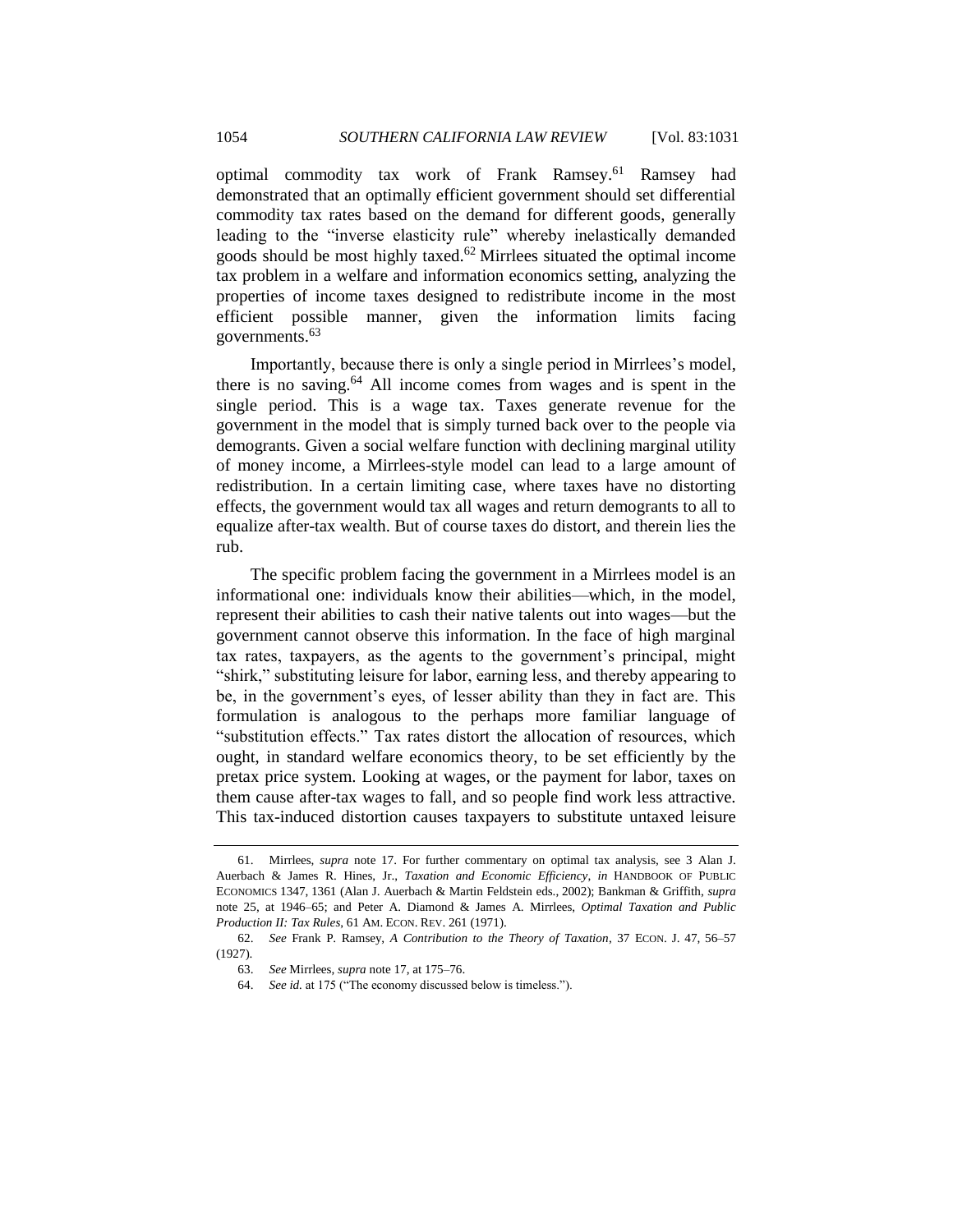optimal commodity tax work of Frank Ramsey. <sup>61</sup> Ramsey had demonstrated that an optimally efficient government should set differential commodity tax rates based on the demand for different goods, generally leading to the "inverse elasticity rule" whereby inelastically demanded goods should be most highly taxed. $62$  Mirrlees situated the optimal income tax problem in a welfare and information economics setting, analyzing the properties of income taxes designed to redistribute income in the most efficient possible manner, given the information limits facing governments.<sup>63</sup>

<span id="page-23-1"></span>Importantly, because there is only a single period in Mirrlees's model, there is no saving.<sup>64</sup> All income comes from wages and is spent in the single period. This is a wage tax. Taxes generate revenue for the government in the model that is simply turned back over to the people via demogrants. Given a social welfare function with declining marginal utility of money income, a Mirrlees-style model can lead to a large amount of redistribution. In a certain limiting case, where taxes have no distorting effects, the government would tax all wages and return demogrants to all to equalize after-tax wealth. But of course taxes do distort, and therein lies the rub.

The specific problem facing the government in a Mirrlees model is an informational one: individuals know their abilities—which, in the model, represent their abilities to cash their native talents out into wages—but the government cannot observe this information. In the face of high marginal tax rates, taxpayers, as the agents to the government's principal, might "shirk," substituting leisure for labor, earning less, and thereby appearing to be, in the government's eyes, of lesser ability than they in fact are. This formulation is analogous to the perhaps more familiar language of "substitution effects." Tax rates distort the allocation of resources, which ought, in standard welfare economics theory, to be set efficiently by the pretax price system. Looking at wages, or the payment for labor, taxes on them cause after-tax wages to fall, and so people find work less attractive. This tax-induced distortion causes taxpayers to substitute untaxed leisure

<span id="page-23-0"></span>

<sup>61.</sup> Mirrlees, *supra* note [17.](#page-6-0) For further commentary on optimal tax analysis, see 3 Alan J. Auerbach & James R. Hines, Jr., *Taxation and Economic Efficiency*, *in* HANDBOOK OF PUBLIC ECONOMICS 1347, 1361 (Alan J. Auerbach & Martin Feldstein eds., 2002); Bankman & Griffith, *supra*  note [25,](#page-9-2) at 1946–65; and Peter A. Diamond & James A. Mirrlees, *Optimal Taxation and Public Production II: Tax Rules*, 61 AM. ECON. REV. 261 (1971).

<sup>62.</sup> *See* Frank P. Ramsey, *A Contribution to the Theory of Taxation*, 37 ECON. J. 47, 56–57 (1927).

<sup>63.</sup> *See* Mirrlees, *supra* not[e 17,](#page-6-0) at 175–76.

<sup>64.</sup> *See id.* at 175 ("The economy discussed below is timeless.").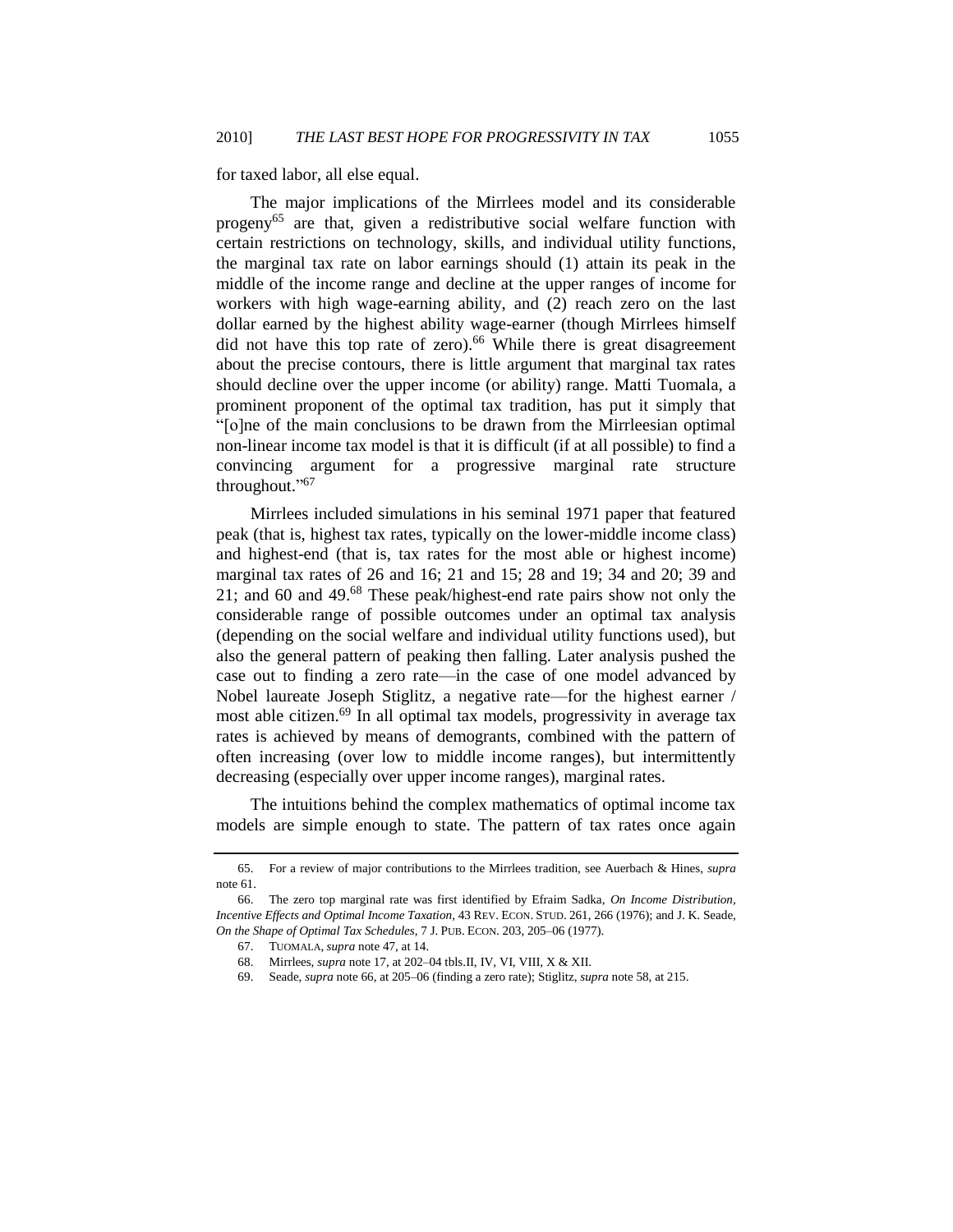for taxed labor, all else equal.

<span id="page-24-0"></span>The major implications of the Mirrlees model and its considerable progeny<sup>65</sup> are that, given a redistributive social welfare function with certain restrictions on technology, skills, and individual utility functions, the marginal tax rate on labor earnings should (1) attain its peak in the middle of the income range and decline at the upper ranges of income for workers with high wage-earning ability, and (2) reach zero on the last dollar earned by the highest ability wage-earner (though Mirrlees himself did not have this top rate of zero).<sup>66</sup> While there is great disagreement about the precise contours, there is little argument that marginal tax rates should decline over the upper income (or ability) range. Matti Tuomala, a prominent proponent of the optimal tax tradition, has put it simply that ―[o]ne of the main conclusions to be drawn from the Mirrleesian optimal non-linear income tax model is that it is difficult (if at all possible) to find a convincing argument for a progressive marginal rate structure throughout."<sup>67</sup>

Mirrlees included simulations in his seminal 1971 paper that featured peak (that is, highest tax rates, typically on the lower-middle income class) and highest-end (that is, tax rates for the most able or highest income) marginal tax rates of 26 and 16; 21 and 15; 28 and 19; 34 and 20; 39 and 21; and 60 and 49. $^{68}$  These peak/highest-end rate pairs show not only the considerable range of possible outcomes under an optimal tax analysis (depending on the social welfare and individual utility functions used), but also the general pattern of peaking then falling. Later analysis pushed the case out to finding a zero rate—in the case of one model advanced by Nobel laureate Joseph Stiglitz, a negative rate—for the highest earner / most able citizen.<sup>69</sup> In all optimal tax models, progressivity in average tax rates is achieved by means of demogrants, combined with the pattern of often increasing (over low to middle income ranges), but intermittently decreasing (especially over upper income ranges), marginal rates.

The intuitions behind the complex mathematics of optimal income tax models are simple enough to state. The pattern of tax rates once again

<sup>65.</sup> For a review of major contributions to the Mirrlees tradition, see Auerbach & Hines, *supra* note [61.](#page-23-0)

<sup>66.</sup> The zero top marginal rate was first identified by Efraim Sadka, *On Income Distribution, Incentive Effects and Optimal Income Taxation*, 43 REV. ECON. STUD. 261, 266 (1976); and J. K. Seade, *On the Shape of Optimal Tax Schedules*, 7 J. PUB. ECON. 203, 205–06 (1977).

<sup>67.</sup> TUOMALA, *supra* not[e 47,](#page-19-1) at 14.

<sup>68.</sup> Mirrlees, *supra* not[e 17,](#page-6-0) at 202–04 tbls.II, IV, VI, VIII, X & XII.

<sup>69.</sup> Seade, *supra* not[e 66,](#page-24-0) at 205–06 (finding a zero rate); Stiglitz, *supra* not[e 58,](#page-22-2) at 215.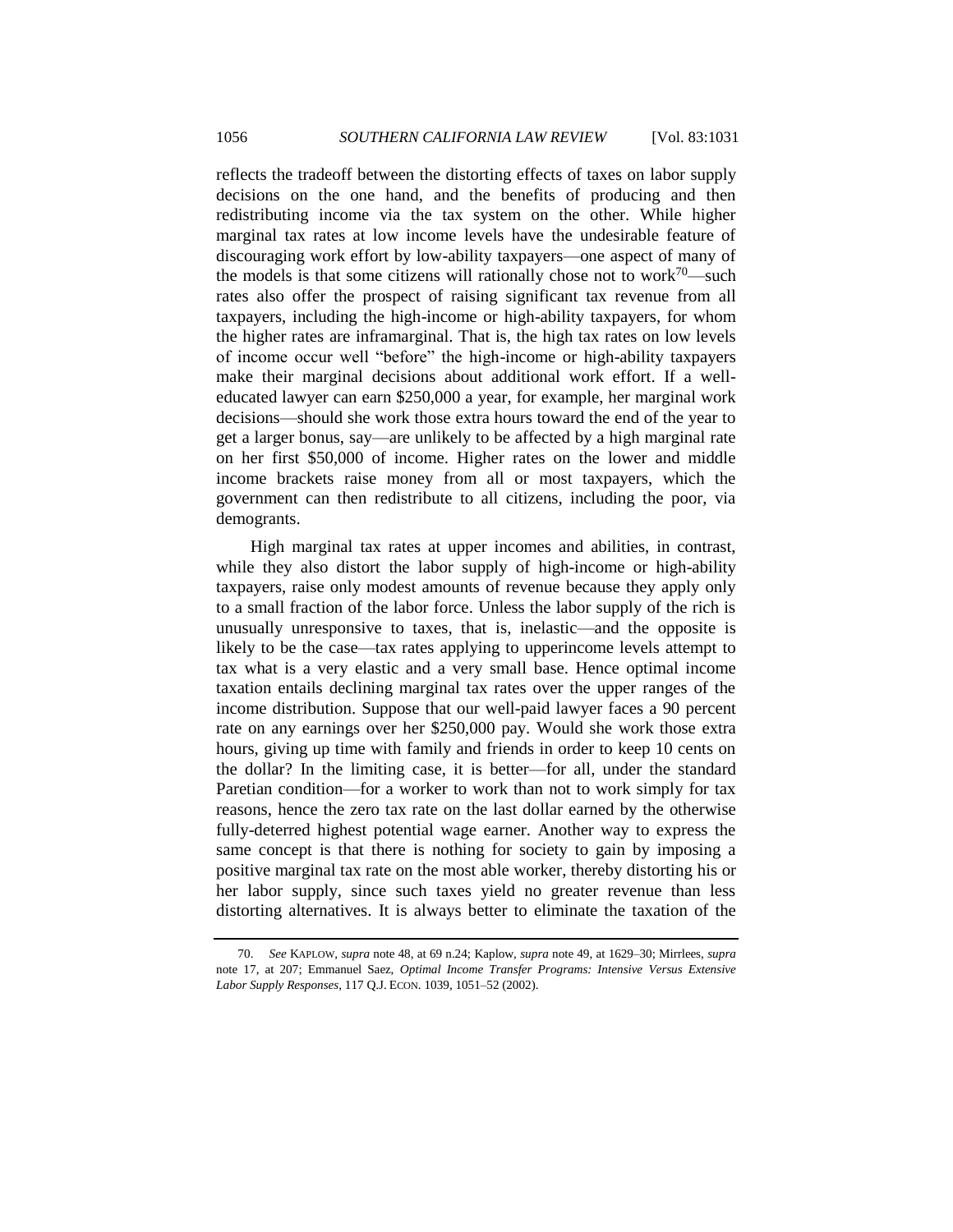reflects the tradeoff between the distorting effects of taxes on labor supply decisions on the one hand, and the benefits of producing and then redistributing income via the tax system on the other. While higher marginal tax rates at low income levels have the undesirable feature of discouraging work effort by low-ability taxpayers—one aspect of many of the models is that some citizens will rationally chose not to work<sup>70</sup>—such rates also offer the prospect of raising significant tax revenue from all taxpayers, including the high-income or high-ability taxpayers, for whom the higher rates are inframarginal. That is, the high tax rates on low levels of income occur well "before" the high-income or high-ability taxpayers make their marginal decisions about additional work effort. If a welleducated lawyer can earn \$250,000 a year, for example, her marginal work decisions—should she work those extra hours toward the end of the year to get a larger bonus, say—are unlikely to be affected by a high marginal rate on her first \$50,000 of income. Higher rates on the lower and middle income brackets raise money from all or most taxpayers, which the government can then redistribute to all citizens, including the poor, via demogrants.

High marginal tax rates at upper incomes and abilities, in contrast, while they also distort the labor supply of high-income or high-ability taxpayers, raise only modest amounts of revenue because they apply only to a small fraction of the labor force. Unless the labor supply of the rich is unusually unresponsive to taxes, that is, inelastic—and the opposite is likely to be the case—tax rates applying to upperincome levels attempt to tax what is a very elastic and a very small base. Hence optimal income taxation entails declining marginal tax rates over the upper ranges of the income distribution. Suppose that our well-paid lawyer faces a 90 percent rate on any earnings over her \$250,000 pay. Would she work those extra hours, giving up time with family and friends in order to keep 10 cents on the dollar? In the limiting case, it is better—for all, under the standard Paretian condition—for a worker to work than not to work simply for tax reasons, hence the zero tax rate on the last dollar earned by the otherwise fully-deterred highest potential wage earner. Another way to express the same concept is that there is nothing for society to gain by imposing a positive marginal tax rate on the most able worker, thereby distorting his or her labor supply, since such taxes yield no greater revenue than less distorting alternatives. It is always better to eliminate the taxation of the

<sup>70.</sup> *See* KAPLOW, *supra* note [48,](#page-20-0) at 69 n.24; Kaplow, *supra* note [49,](#page-20-1) at 1629–30; Mirrlees, *supra* note [17,](#page-6-0) at 207; Emmanuel Saez, *Optimal Income Transfer Programs: Intensive Versus Extensive Labor Supply Responses*, 117 Q.J. ECON. 1039, 1051–52 (2002).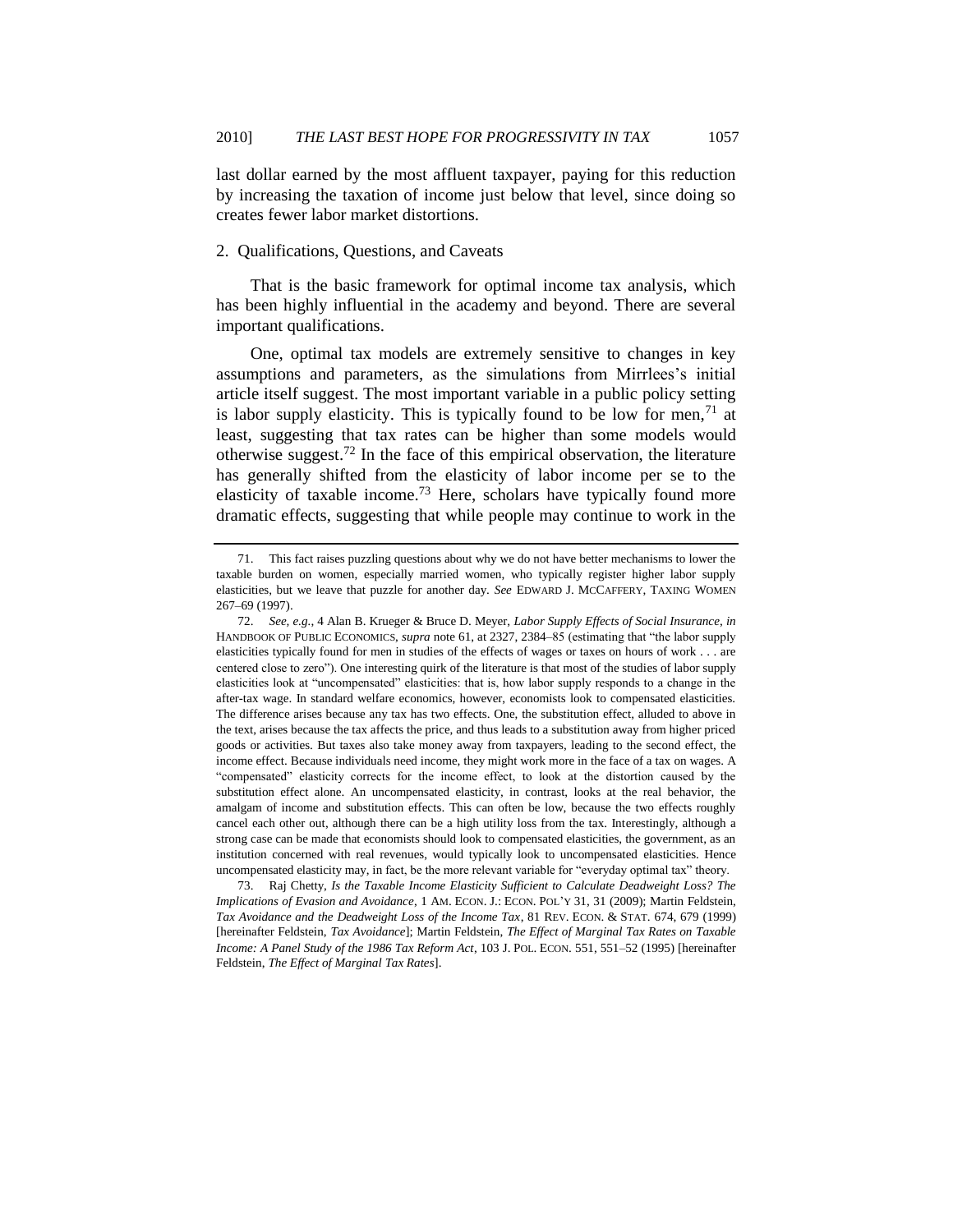last dollar earned by the most affluent taxpayer, paying for this reduction by increasing the taxation of income just below that level, since doing so creates fewer labor market distortions.

## <span id="page-26-0"></span>2. Qualifications, Questions, and Caveats

That is the basic framework for optimal income tax analysis, which has been highly influential in the academy and beyond. There are several important qualifications.

<span id="page-26-2"></span>One, optimal tax models are extremely sensitive to changes in key assumptions and parameters, as the simulations from Mirrlees's initial article itself suggest. The most important variable in a public policy setting is labor supply elasticity. This is typically found to be low for men,  $71$  at least, suggesting that tax rates can be higher than some models would otherwise suggest.<sup>72</sup> In the face of this empirical observation, the literature has generally shifted from the elasticity of labor income per se to the elasticity of taxable income.<sup>73</sup> Here, scholars have typically found more dramatic effects, suggesting that while people may continue to work in the

<span id="page-26-1"></span><sup>71.</sup> This fact raises puzzling questions about why we do not have better mechanisms to lower the taxable burden on women, especially married women, who typically register higher labor supply elasticities, but we leave that puzzle for another day. *See* EDWARD J. MCCAFFERY, TAXING WOMEN 267–69 (1997).

<sup>72.</sup> *See, e.g.*, 4 Alan B. Krueger & Bruce D. Meyer, *Labor Supply Effects of Social Insurance*, *in* HANDBOOK OF PUBLIC ECONOMICS, *supra* not[e 61,](#page-23-0) at 2327, 2384–85 (estimating that "the labor supply elasticities typically found for men in studies of the effects of wages or taxes on hours of work . . . are centered close to zero"). One interesting quirk of the literature is that most of the studies of labor supply elasticities look at "uncompensated" elasticities: that is, how labor supply responds to a change in the after-tax wage. In standard welfare economics, however, economists look to compensated elasticities. The difference arises because any tax has two effects. One, the substitution effect, alluded to above in the text, arises because the tax affects the price, and thus leads to a substitution away from higher priced goods or activities. But taxes also take money away from taxpayers, leading to the second effect, the income effect. Because individuals need income, they might work more in the face of a tax on wages. A ―compensated‖ elasticity corrects for the income effect, to look at the distortion caused by the substitution effect alone. An uncompensated elasticity, in contrast, looks at the real behavior, the amalgam of income and substitution effects. This can often be low, because the two effects roughly cancel each other out, although there can be a high utility loss from the tax. Interestingly, although a strong case can be made that economists should look to compensated elasticities, the government, as an institution concerned with real revenues, would typically look to uncompensated elasticities. Hence uncompensated elasticity may, in fact, be the more relevant variable for "everyday optimal tax" theory.

<sup>73.</sup> Raj Chetty, *Is the Taxable Income Elasticity Sufficient to Calculate Deadweight Loss? The Implications of Evasion and Avoidance*, 1 AM. ECON. J.: ECON. POL'Y 31, 31 (2009); Martin Feldstein, *Tax Avoidance and the Deadweight Loss of the Income Tax*, 81 REV. ECON. & STAT. 674, 679 (1999) [hereinafter Feldstein, *Tax Avoidance*]; Martin Feldstein, *The Effect of Marginal Tax Rates on Taxable Income: A Panel Study of the 1986 Tax Reform Act*, 103 J. POL. ECON. 551, 551–52 (1995) [hereinafter Feldstein, *The Effect of Marginal Tax Rates*].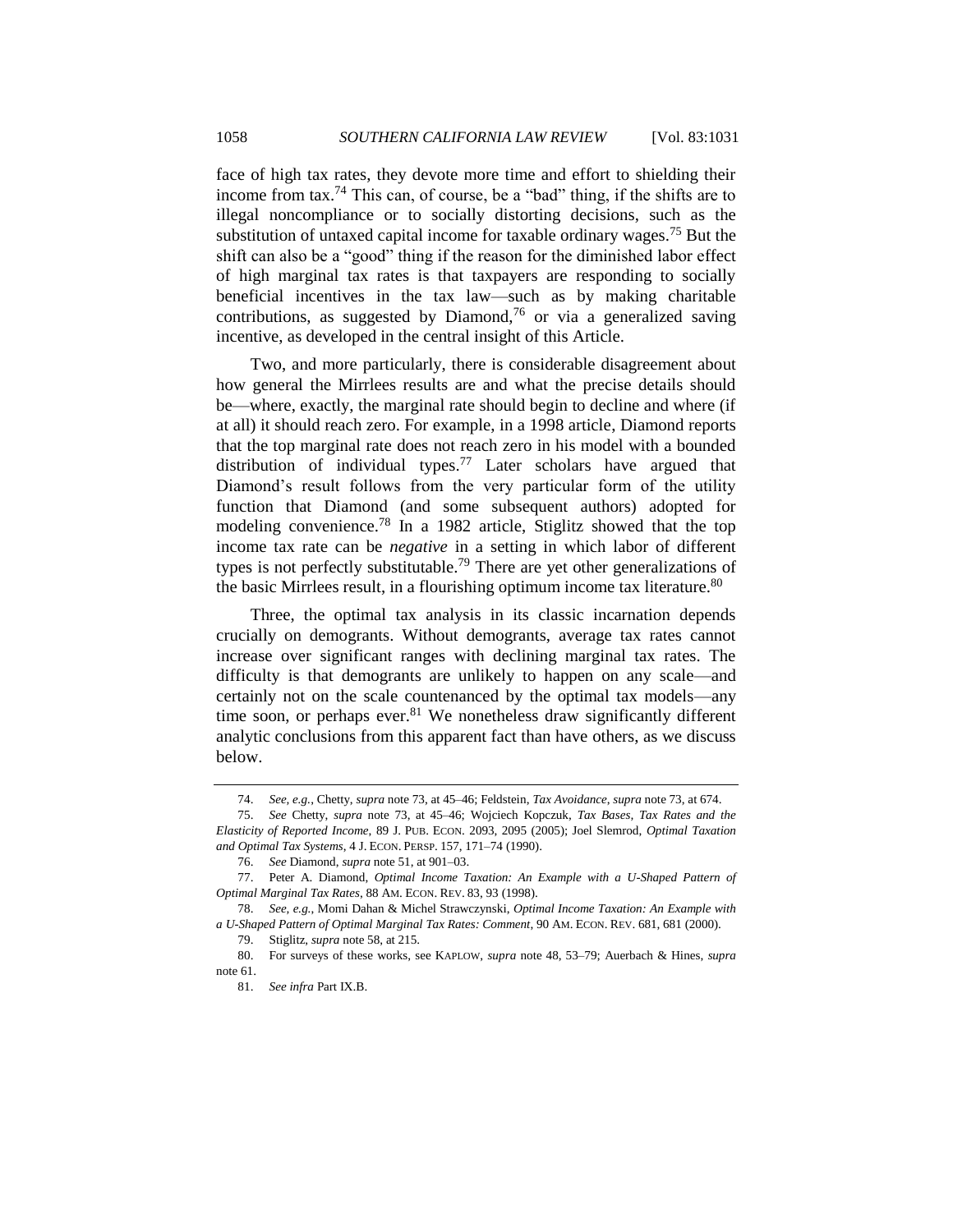<span id="page-27-0"></span>face of high tax rates, they devote more time and effort to shielding their income from tax.<sup>74</sup> This can, of course, be a "bad" thing, if the shifts are to illegal noncompliance or to socially distorting decisions, such as the substitution of untaxed capital income for taxable ordinary wages.<sup>75</sup> But the shift can also be a "good" thing if the reason for the diminished labor effect of high marginal tax rates is that taxpayers are responding to socially beneficial incentives in the tax law—such as by making charitable contributions, as suggested by Diamond,<sup>76</sup> or via a generalized saving incentive, as developed in the central insight of this Article.

Two, and more particularly, there is considerable disagreement about how general the Mirrlees results are and what the precise details should be—where, exactly, the marginal rate should begin to decline and where (if at all) it should reach zero. For example, in a 1998 article, Diamond reports that the top marginal rate does not reach zero in his model with a bounded distribution of individual types.<sup>77</sup> Later scholars have argued that Diamond's result follows from the very particular form of the utility function that Diamond (and some subsequent authors) adopted for modeling convenience.<sup>78</sup> In a 1982 article, Stiglitz showed that the top income tax rate can be *negative* in a setting in which labor of different types is not perfectly substitutable.<sup>79</sup> There are yet other generalizations of the basic Mirrlees result, in a flourishing optimum income tax literature.<sup>80</sup>

Three, the optimal tax analysis in its classic incarnation depends crucially on demogrants. Without demogrants, average tax rates cannot increase over significant ranges with declining marginal tax rates. The difficulty is that demogrants are unlikely to happen on any scale—and certainly not on the scale countenanced by the optimal tax models—any time soon, or perhaps ever.<sup>81</sup> We nonetheless draw significantly different analytic conclusions from this apparent fact than have others, as we discuss below.

<sup>74.</sup> *See, e.g.*, Chetty, *supra* not[e 73,](#page-26-1) at 45–46; Feldstein, *Tax Avoidance*, *supra* not[e 73,](#page-26-1) at 674.

<sup>75.</sup> *See* Chetty, *supra* note [73,](#page-26-1) at 45–46; Wojciech Kopczuk, *Tax Bases, Tax Rates and the Elasticity of Reported Income*, 89 J. PUB. ECON. 2093, 2095 (2005); Joel Slemrod, *Optimal Taxation and Optimal Tax Systems*, 4 J. ECON. PERSP. 157, 171–74 (1990).

<sup>76.</sup> *See* Diamond, *supra* note [51,](#page-21-0) at 901–03.

<sup>77.</sup> Peter A. Diamond, *Optimal Income Taxation: An Example with a U-Shaped Pattern of Optimal Marginal Tax Rates*, 88 AM. ECON. REV. 83, 93 (1998).

<sup>78.</sup> *See, e.g.*, Momi Dahan & Michel Strawczynski, *Optimal Income Taxation: An Example with a U-Shaped Pattern of Optimal Marginal Tax Rates: Comment*, 90 AM. ECON. REV. 681, 681 (2000).

<sup>79.</sup> Stiglitz, *supra* not[e 58,](#page-22-2) at 215.

<sup>80.</sup> For surveys of these works, see KAPLOW, *supra* note [48,](#page-20-0) 53–79; Auerbach & Hines, *supra* note [61.](#page-23-0)

<sup>81.</sup> *See infra* Part IX.B.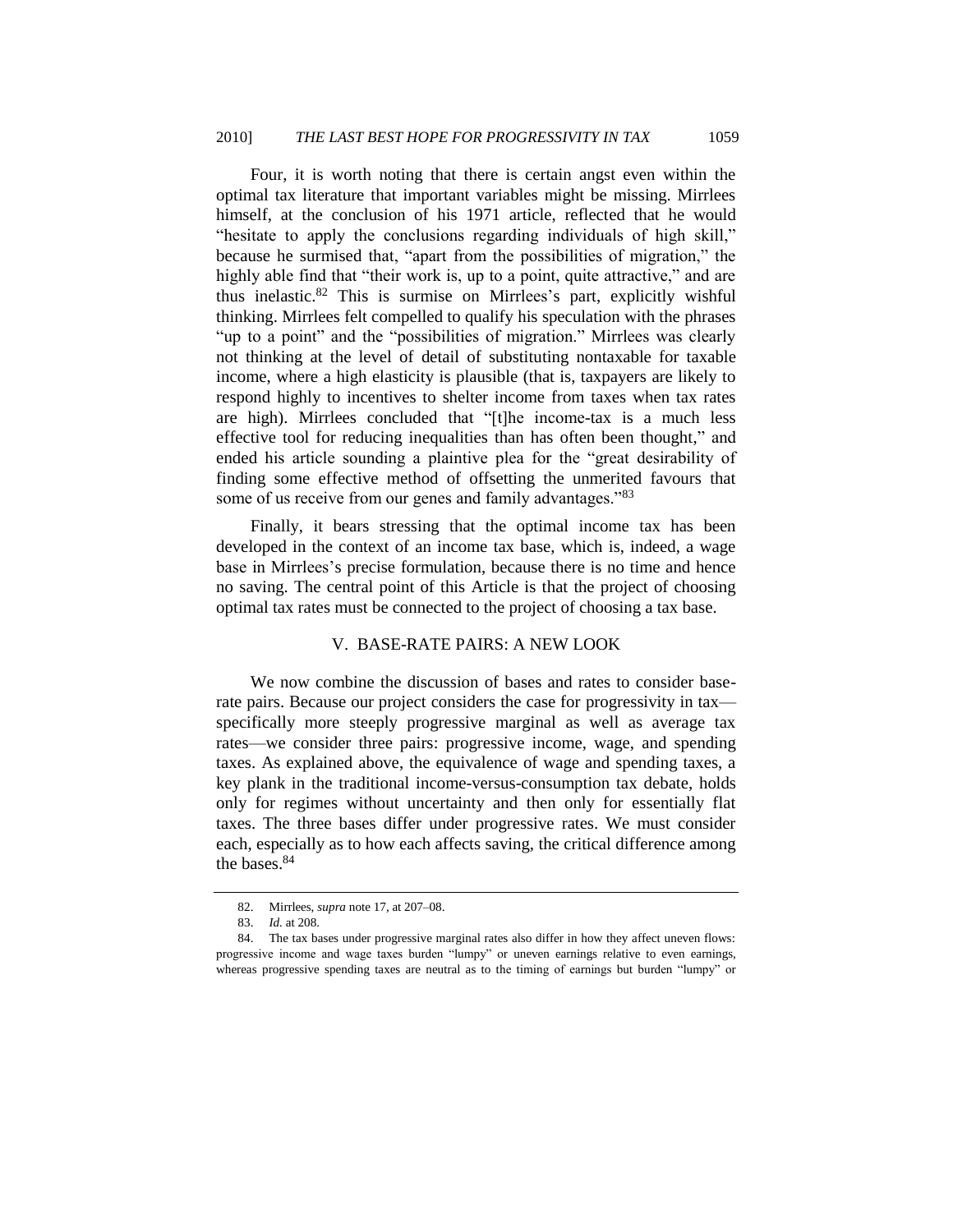<span id="page-28-1"></span>Four, it is worth noting that there is certain angst even within the optimal tax literature that important variables might be missing. Mirrlees himself, at the conclusion of his 1971 article, reflected that he would "hesitate to apply the conclusions regarding individuals of high skill," because he surmised that, "apart from the possibilities of migration," the highly able find that "their work is, up to a point, quite attractive," and are thus inelastic.<sup>82</sup> This is surmise on Mirrlees's part, explicitly wishful thinking. Mirrlees felt compelled to qualify his speculation with the phrases "up to a point" and the "possibilities of migration." Mirrlees was clearly not thinking at the level of detail of substituting nontaxable for taxable income, where a high elasticity is plausible (that is, taxpayers are likely to respond highly to incentives to shelter income from taxes when tax rates are high). Mirrlees concluded that "[t]he income-tax is a much less effective tool for reducing inequalities than has often been thought," and ended his article sounding a plaintive plea for the "great desirability of finding some effective method of offsetting the unmerited favours that some of us receive from our genes and family advantages.<sup>83</sup>

Finally, it bears stressing that the optimal income tax has been developed in the context of an income tax base, which is, indeed, a wage base in Mirrlees's precise formulation, because there is no time and hence no saving. The central point of this Article is that the project of choosing optimal tax rates must be connected to the project of choosing a tax base.

## <span id="page-28-2"></span>V. BASE-RATE PAIRS: A NEW LOOK

<span id="page-28-0"></span>We now combine the discussion of bases and rates to consider baserate pairs. Because our project considers the case for progressivity in tax specifically more steeply progressive marginal as well as average tax rates—we consider three pairs: progressive income, wage, and spending taxes. As explained above, the equivalence of wage and spending taxes, a key plank in the traditional income-versus-consumption tax debate, holds only for regimes without uncertainty and then only for essentially flat taxes. The three bases differ under progressive rates. We must consider each, especially as to how each affects saving, the critical difference among the bases. 84

<sup>82.</sup> Mirrlees, *supra* not[e 17,](#page-6-0) at 207–08.

<sup>83.</sup> *Id.* at 208.

<sup>84.</sup> The tax bases under progressive marginal rates also differ in how they affect uneven flows: progressive income and wage taxes burden "lumpy" or uneven earnings relative to even earnings, whereas progressive spending taxes are neutral as to the timing of earnings but burden "lumpy" or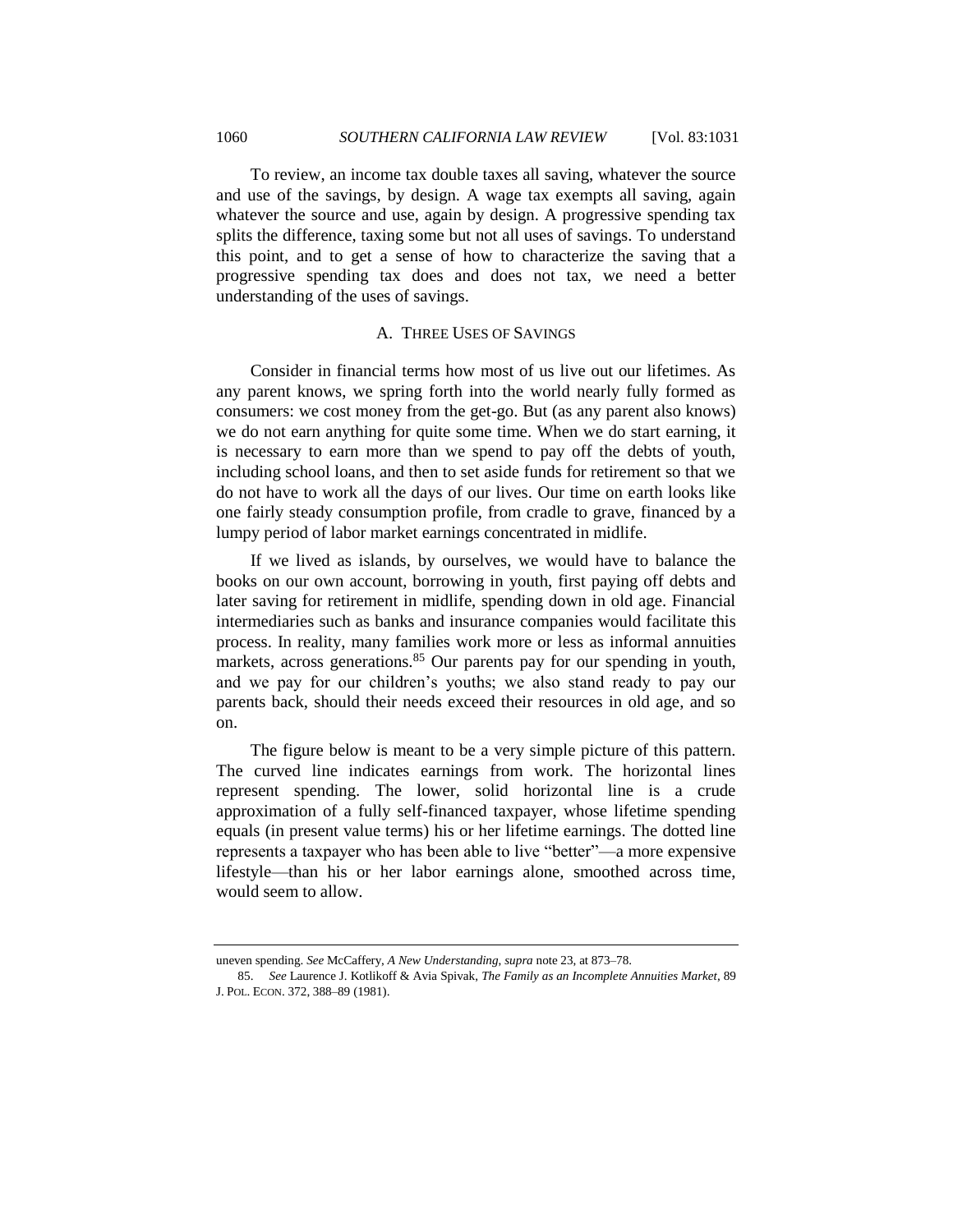To review, an income tax double taxes all saving, whatever the source and use of the savings, by design. A wage tax exempts all saving, again whatever the source and use, again by design. A progressive spending tax splits the difference, taxing some but not all uses of savings. To understand this point, and to get a sense of how to characterize the saving that a progressive spending tax does and does not tax, we need a better understanding of the uses of savings.

## A. THREE USES OF SAVINGS

<span id="page-29-0"></span>Consider in financial terms how most of us live out our lifetimes. As any parent knows, we spring forth into the world nearly fully formed as consumers: we cost money from the get-go. But (as any parent also knows) we do not earn anything for quite some time. When we do start earning, it is necessary to earn more than we spend to pay off the debts of youth, including school loans, and then to set aside funds for retirement so that we do not have to work all the days of our lives. Our time on earth looks like one fairly steady consumption profile, from cradle to grave, financed by a lumpy period of labor market earnings concentrated in midlife.

If we lived as islands, by ourselves, we would have to balance the books on our own account, borrowing in youth, first paying off debts and later saving for retirement in midlife, spending down in old age. Financial intermediaries such as banks and insurance companies would facilitate this process. In reality, many families work more or less as informal annuities markets, across generations.<sup>85</sup> Our parents pay for our spending in youth, and we pay for our children's youths; we also stand ready to pay our parents back, should their needs exceed their resources in old age, and so on.

The figure below is meant to be a very simple picture of this pattern. The curved line indicates earnings from work. The horizontal lines represent spending. The lower, solid horizontal line is a crude approximation of a fully self-financed taxpayer, whose lifetime spending equals (in present value terms) his or her lifetime earnings. The dotted line represents a taxpayer who has been able to live "better"—a more expensive lifestyle—than his or her labor earnings alone, smoothed across time, would seem to allow.

uneven spending. *See* McCaffery, *A New Understanding*, *supra* not[e 23,](#page-8-0) at 873–78.

<sup>85.</sup> *See* Laurence J. Kotlikoff & Avia Spivak, *The Family as an Incomplete Annuities Market*, 89 J. POL. ECON. 372, 388–89 (1981).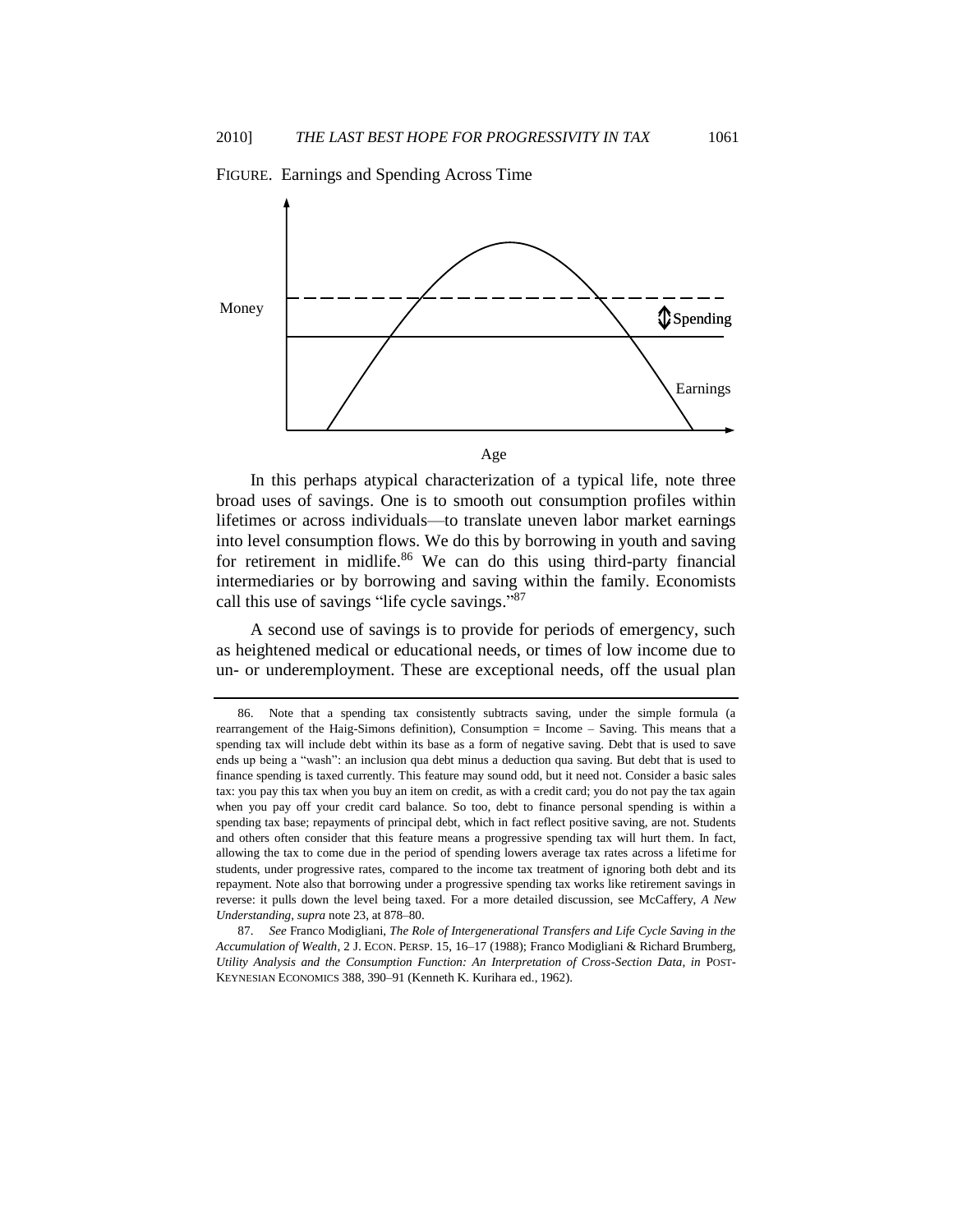

FIGURE. Earnings and Spending Across Time

In this perhaps atypical characterization of a typical life, note three broad uses of savings. One is to smooth out consumption profiles within lifetimes or across individuals—to translate uneven labor market earnings into level consumption flows. We do this by borrowing in youth and saving for retirement in midlife. $86$  We can do this using third-party financial intermediaries or by borrowing and saving within the family. Economists call this use of savings "life cycle savings."87

<span id="page-30-0"></span>A second use of savings is to provide for periods of emergency, such as heightened medical or educational needs, or times of low income due to un- or underemployment. These are exceptional needs, off the usual plan

<sup>86.</sup> Note that a spending tax consistently subtracts saving, under the simple formula (a rearrangement of the Haig-Simons definition), Consumption = Income – Saving. This means that a spending tax will include debt within its base as a form of negative saving. Debt that is used to save ends up being a "wash": an inclusion qua debt minus a deduction qua saving. But debt that is used to finance spending is taxed currently. This feature may sound odd, but it need not. Consider a basic sales tax: you pay this tax when you buy an item on credit, as with a credit card; you do not pay the tax again when you pay off your credit card balance. So too, debt to finance personal spending is within a spending tax base; repayments of principal debt, which in fact reflect positive saving, are not. Students and others often consider that this feature means a progressive spending tax will hurt them. In fact, allowing the tax to come due in the period of spending lowers average tax rates across a lifetime for students, under progressive rates, compared to the income tax treatment of ignoring both debt and its repayment. Note also that borrowing under a progressive spending tax works like retirement savings in reverse: it pulls down the level being taxed. For a more detailed discussion, see McCaffery, *A New Understanding*, *supra* not[e 23,](#page-8-0) at 878–80.

<sup>87.</sup> *See* Franco Modigliani, *The Role of Intergenerational Transfers and Life Cycle Saving in the Accumulation of Wealth*, 2 J. ECON. PERSP. 15, 16–17 (1988); Franco Modigliani & Richard Brumberg, *Utility Analysis and the Consumption Function: An Interpretation of Cross-Section Data*, *in* POST-KEYNESIAN ECONOMICS 388, 390–91 (Kenneth K. Kurihara ed., 1962).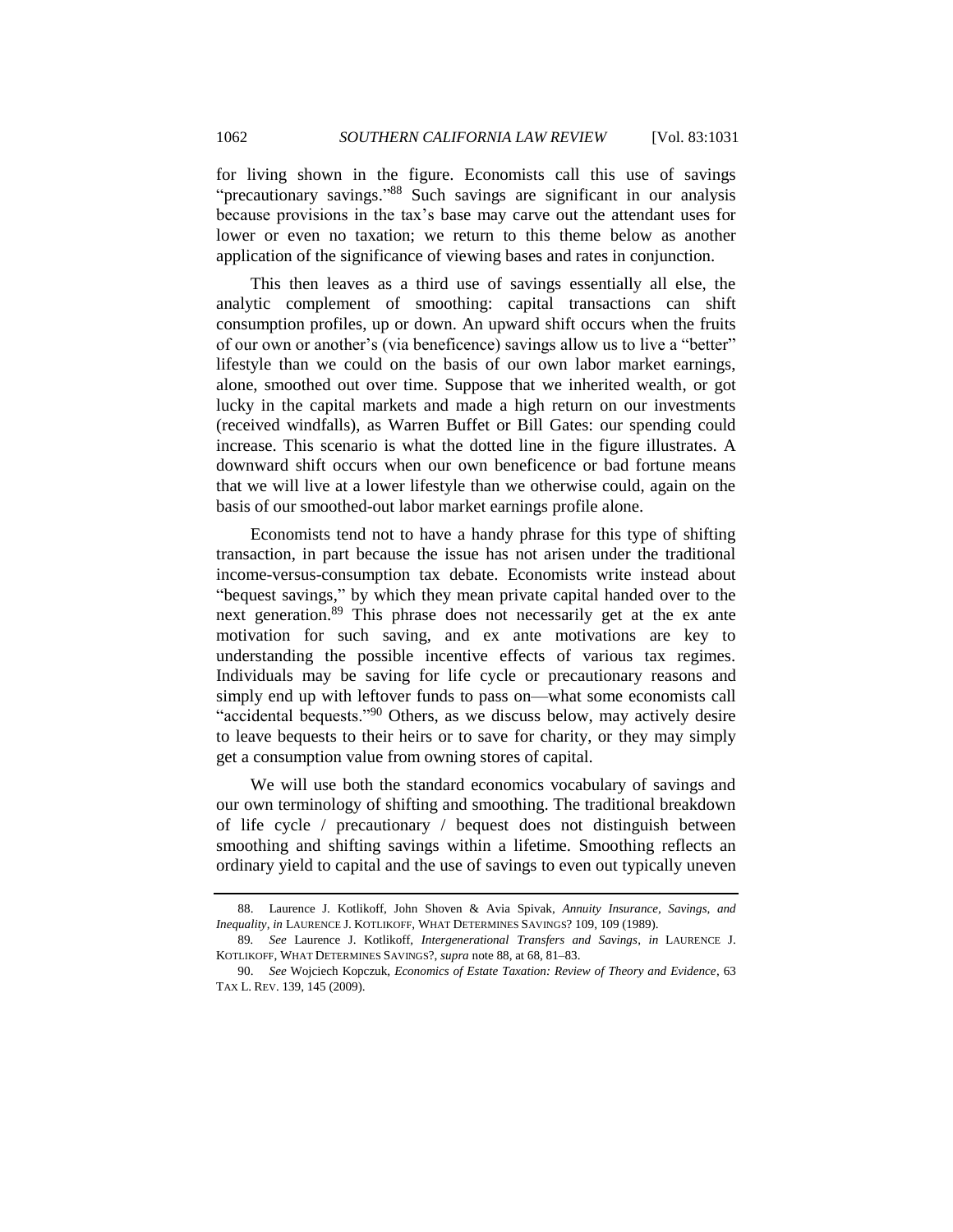<span id="page-31-0"></span>for living shown in the figure. Economists call this use of savings "precautionary savings."<sup>88</sup> Such savings are significant in our analysis because provisions in the tax's base may carve out the attendant uses for lower or even no taxation; we return to this theme below as another application of the significance of viewing bases and rates in conjunction.

This then leaves as a third use of savings essentially all else, the analytic complement of smoothing: capital transactions can shift consumption profiles, up or down. An upward shift occurs when the fruits of our own or another's (via beneficence) savings allow us to live a "better" lifestyle than we could on the basis of our own labor market earnings, alone, smoothed out over time. Suppose that we inherited wealth, or got lucky in the capital markets and made a high return on our investments (received windfalls), as Warren Buffet or Bill Gates: our spending could increase. This scenario is what the dotted line in the figure illustrates. A downward shift occurs when our own beneficence or bad fortune means that we will live at a lower lifestyle than we otherwise could, again on the basis of our smoothed-out labor market earnings profile alone.

Economists tend not to have a handy phrase for this type of shifting transaction, in part because the issue has not arisen under the traditional income-versus-consumption tax debate. Economists write instead about "bequest savings," by which they mean private capital handed over to the next generation.<sup>89</sup> This phrase does not necessarily get at the ex ante motivation for such saving, and ex ante motivations are key to understanding the possible incentive effects of various tax regimes. Individuals may be saving for life cycle or precautionary reasons and simply end up with leftover funds to pass on—what some economists call "accidental bequests."<sup>90</sup> Others, as we discuss below, may actively desire to leave bequests to their heirs or to save for charity, or they may simply get a consumption value from owning stores of capital.

<span id="page-31-1"></span>We will use both the standard economics vocabulary of savings and our own terminology of shifting and smoothing. The traditional breakdown of life cycle / precautionary / bequest does not distinguish between smoothing and shifting savings within a lifetime. Smoothing reflects an ordinary yield to capital and the use of savings to even out typically uneven

<sup>88.</sup> Laurence J. Kotlikoff, John Shoven & Avia Spivak, *Annuity Insurance, Savings, and Inequality*, *in* LAURENCE J. KOTLIKOFF, WHAT DETERMINES SAVINGS? 109, 109 (1989).

<sup>89</sup>*. See* Laurence J. Kotlikoff*, Intergenerational Transfers and Savings*, *in* LAURENCE J. KOTLIKOFF, WHAT DETERMINES SAVINGS?, *supra* not[e 88,](#page-31-0) at 68, 81–83.

<sup>90.</sup> *See* Wojciech Kopczuk, *Economics of Estate Taxation: Review of Theory and Evidence*, 63 TAX L. REV. 139, 145 (2009).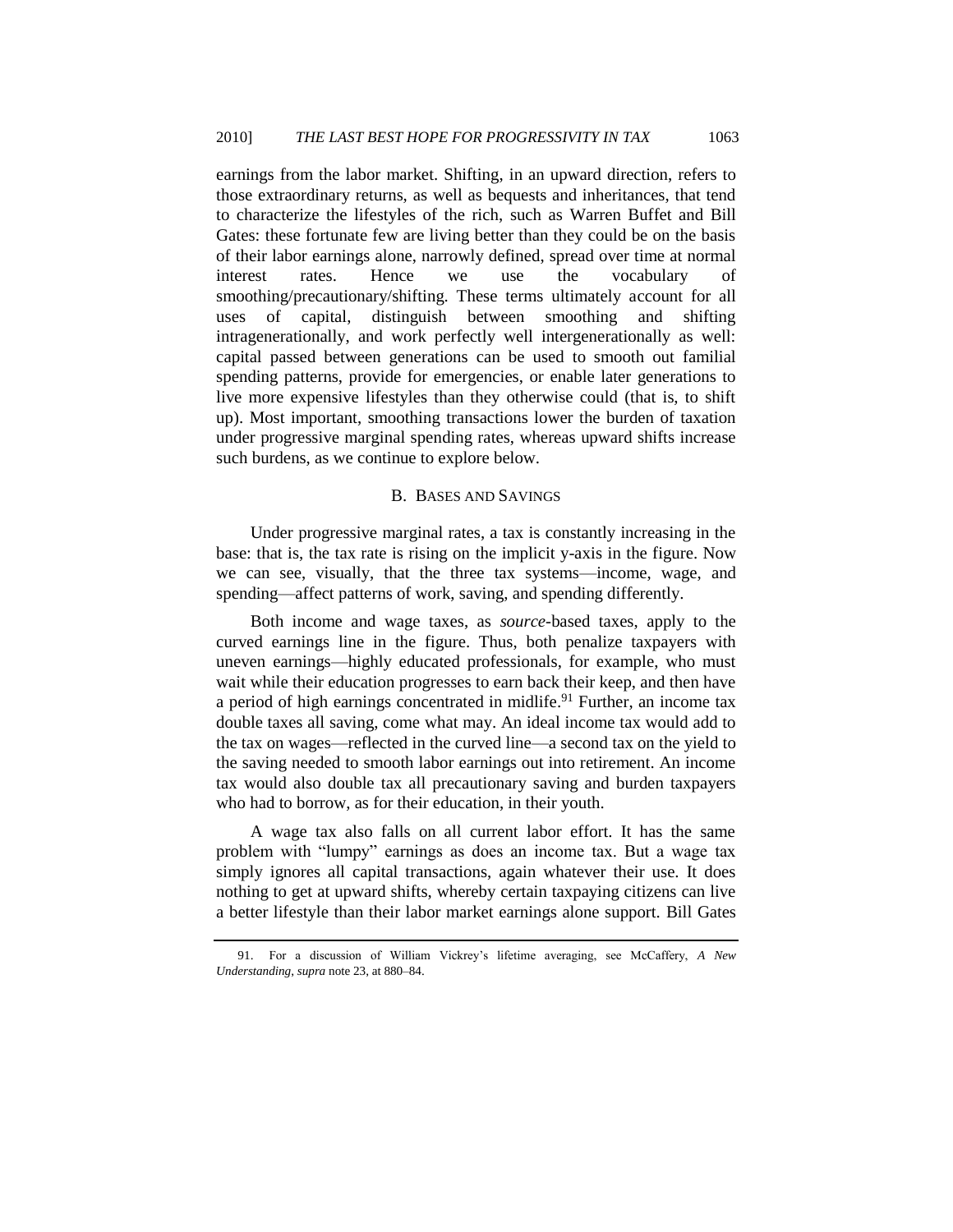earnings from the labor market. Shifting, in an upward direction, refers to those extraordinary returns, as well as bequests and inheritances, that tend to characterize the lifestyles of the rich, such as Warren Buffet and Bill Gates: these fortunate few are living better than they could be on the basis of their labor earnings alone, narrowly defined, spread over time at normal interest rates. Hence we use the vocabulary of smoothing/precautionary/shifting. These terms ultimately account for all uses of capital, distinguish between smoothing and shifting intragenerationally, and work perfectly well intergenerationally as well: capital passed between generations can be used to smooth out familial spending patterns, provide for emergencies, or enable later generations to live more expensive lifestyles than they otherwise could (that is, to shift up). Most important, smoothing transactions lower the burden of taxation under progressive marginal spending rates, whereas upward shifts increase such burdens, as we continue to explore below.

#### B. BASES AND SAVINGS

<span id="page-32-0"></span>Under progressive marginal rates, a tax is constantly increasing in the base: that is, the tax rate is rising on the implicit y-axis in the figure. Now we can see, visually, that the three tax systems—income, wage, and spending—affect patterns of work, saving, and spending differently.

Both income and wage taxes, as *source-*based taxes, apply to the curved earnings line in the figure. Thus, both penalize taxpayers with uneven earnings—highly educated professionals, for example, who must wait while their education progresses to earn back their keep, and then have a period of high earnings concentrated in midlife.<sup>91</sup> Further, an income tax double taxes all saving, come what may. An ideal income tax would add to the tax on wages—reflected in the curved line—a second tax on the yield to the saving needed to smooth labor earnings out into retirement. An income tax would also double tax all precautionary saving and burden taxpayers who had to borrow, as for their education, in their youth.

A wage tax also falls on all current labor effort. It has the same problem with "lumpy" earnings as does an income tax. But a wage tax simply ignores all capital transactions, again whatever their use. It does nothing to get at upward shifts, whereby certain taxpaying citizens can live a better lifestyle than their labor market earnings alone support. Bill Gates

<sup>91.</sup> For a discussion of William Vickrey's lifetime averaging, see McCaffery, *A New Understanding*, *supra* not[e 23,](#page-8-0) at 880–84.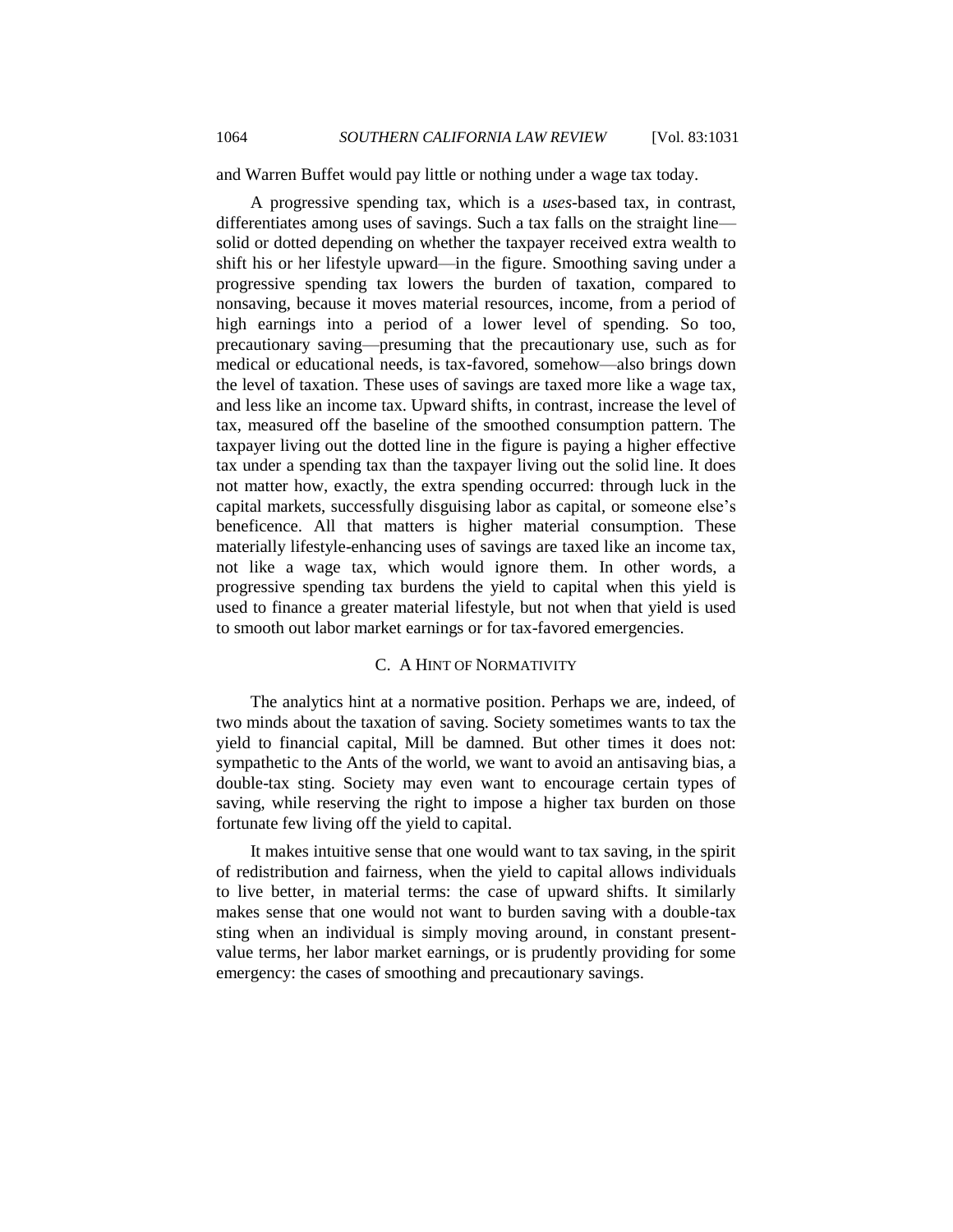and Warren Buffet would pay little or nothing under a wage tax today.

A progressive spending tax, which is a *uses-*based tax, in contrast, differentiates among uses of savings. Such a tax falls on the straight line solid or dotted depending on whether the taxpayer received extra wealth to shift his or her lifestyle upward—in the figure. Smoothing saving under a progressive spending tax lowers the burden of taxation, compared to nonsaving, because it moves material resources, income, from a period of high earnings into a period of a lower level of spending. So too, precautionary saving—presuming that the precautionary use, such as for medical or educational needs, is tax-favored, somehow—also brings down the level of taxation. These uses of savings are taxed more like a wage tax, and less like an income tax. Upward shifts, in contrast, increase the level of tax, measured off the baseline of the smoothed consumption pattern. The taxpayer living out the dotted line in the figure is paying a higher effective tax under a spending tax than the taxpayer living out the solid line. It does not matter how, exactly, the extra spending occurred: through luck in the capital markets, successfully disguising labor as capital, or someone else's beneficence. All that matters is higher material consumption. These materially lifestyle-enhancing uses of savings are taxed like an income tax, not like a wage tax, which would ignore them. In other words, a progressive spending tax burdens the yield to capital when this yield is used to finance a greater material lifestyle, but not when that yield is used to smooth out labor market earnings or for tax-favored emergencies.

# C. A HINT OF NORMATIVITY

<span id="page-33-0"></span>The analytics hint at a normative position. Perhaps we are, indeed, of two minds about the taxation of saving. Society sometimes wants to tax the yield to financial capital, Mill be damned. But other times it does not: sympathetic to the Ants of the world, we want to avoid an antisaving bias, a double-tax sting. Society may even want to encourage certain types of saving, while reserving the right to impose a higher tax burden on those fortunate few living off the yield to capital.

It makes intuitive sense that one would want to tax saving, in the spirit of redistribution and fairness, when the yield to capital allows individuals to live better, in material terms: the case of upward shifts. It similarly makes sense that one would not want to burden saving with a double-tax sting when an individual is simply moving around, in constant presentvalue terms, her labor market earnings, or is prudently providing for some emergency: the cases of smoothing and precautionary savings.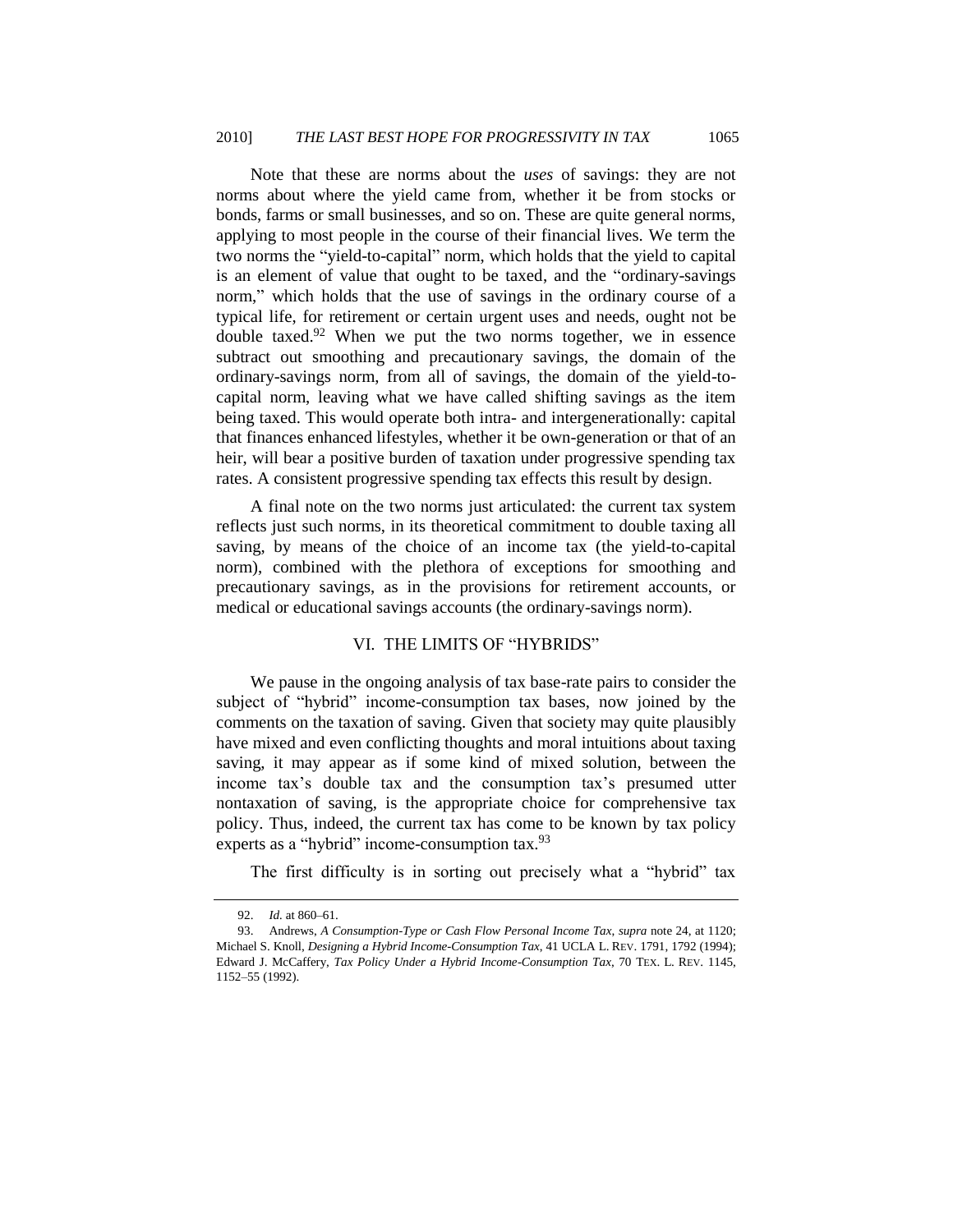Note that these are norms about the *uses* of savings: they are not norms about where the yield came from, whether it be from stocks or bonds, farms or small businesses, and so on. These are quite general norms, applying to most people in the course of their financial lives. We term the two norms the "yield-to-capital" norm, which holds that the yield to capital is an element of value that ought to be taxed, and the "ordinary-savings" norm," which holds that the use of savings in the ordinary course of a typical life, for retirement or certain urgent uses and needs, ought not be double taxed.<sup>92</sup> When we put the two norms together, we in essence subtract out smoothing and precautionary savings, the domain of the ordinary-savings norm, from all of savings, the domain of the yield-tocapital norm, leaving what we have called shifting savings as the item being taxed. This would operate both intra- and intergenerationally: capital that finances enhanced lifestyles, whether it be own-generation or that of an heir, will bear a positive burden of taxation under progressive spending tax rates. A consistent progressive spending tax effects this result by design.

A final note on the two norms just articulated: the current tax system reflects just such norms, in its theoretical commitment to double taxing all saving, by means of the choice of an income tax (the yield-to-capital norm), combined with the plethora of exceptions for smoothing and precautionary savings, as in the provisions for retirement accounts, or medical or educational savings accounts (the ordinary-savings norm).

#### VI. THE LIMITS OF "HYBRIDS"

<span id="page-34-0"></span>We pause in the ongoing analysis of tax base-rate pairs to consider the subject of "hybrid" income-consumption tax bases, now joined by the comments on the taxation of saving. Given that society may quite plausibly have mixed and even conflicting thoughts and moral intuitions about taxing saving, it may appear as if some kind of mixed solution, between the income tax's double tax and the consumption tax's presumed utter nontaxation of saving, is the appropriate choice for comprehensive tax policy. Thus, indeed, the current tax has come to be known by tax policy experts as a "hybrid" income-consumption tax.<sup>93</sup>

The first difficulty is in sorting out precisely what a "hybrid" tax

<sup>92.</sup> *Id.* at 860–61.

<sup>93.</sup> Andrews, *A Consumption-Type or Cash Flow Personal Income Tax*, *supra* not[e 24,](#page-9-1) at 1120; Michael S. Knoll, *Designing a Hybrid Income-Consumption Tax*, 41 UCLA L. REV. 1791, 1792 (1994); Edward J. McCaffery, *Tax Policy Under a Hybrid Income-Consumption Tax*, 70 TEX. L. REV. 1145, 1152–55 (1992).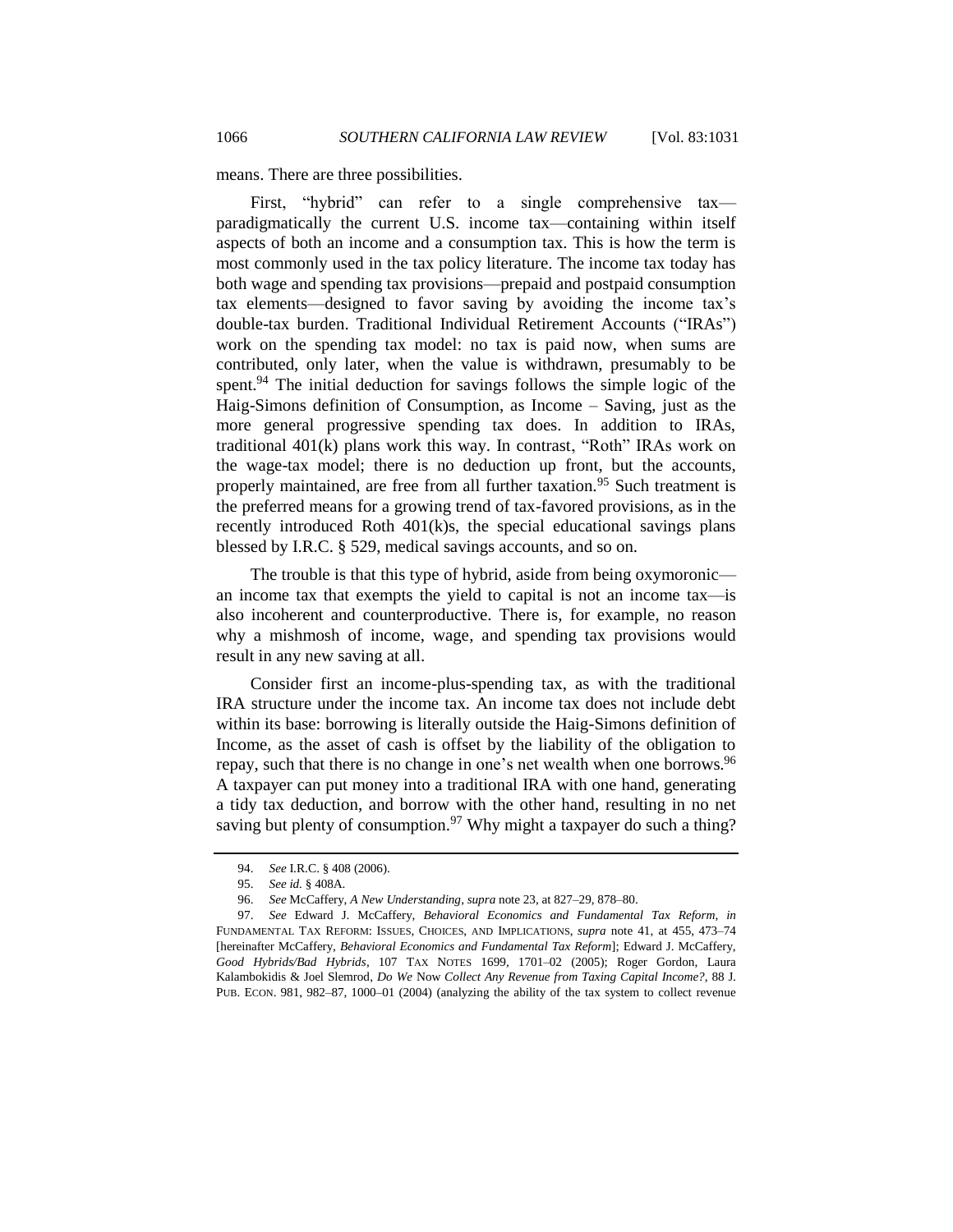means. There are three possibilities.

First, "hybrid" can refer to a single comprehensive tax paradigmatically the current U.S. income tax—containing within itself aspects of both an income and a consumption tax. This is how the term is most commonly used in the tax policy literature. The income tax today has both wage and spending tax provisions—prepaid and postpaid consumption tax elements—designed to favor saving by avoiding the income tax's double-tax burden. Traditional Individual Retirement Accounts ("IRAs") work on the spending tax model: no tax is paid now, when sums are contributed, only later, when the value is withdrawn, presumably to be spent.<sup>94</sup> The initial deduction for savings follows the simple logic of the Haig-Simons definition of Consumption, as Income – Saving, just as the more general progressive spending tax does. In addition to IRAs, traditional  $401(k)$  plans work this way. In contrast, "Roth" IRAs work on the wage-tax model; there is no deduction up front, but the accounts, properly maintained, are free from all further taxation.<sup>95</sup> Such treatment is the preferred means for a growing trend of tax-favored provisions, as in the recently introduced Roth 401(k)s, the special educational savings plans blessed by I.R.C. § 529, medical savings accounts, and so on.

The trouble is that this type of hybrid, aside from being oxymoronic an income tax that exempts the yield to capital is not an income tax—is also incoherent and counterproductive. There is, for example, no reason why a mishmosh of income, wage, and spending tax provisions would result in any new saving at all.

Consider first an income-plus-spending tax, as with the traditional IRA structure under the income tax. An income tax does not include debt within its base: borrowing is literally outside the Haig-Simons definition of Income, as the asset of cash is offset by the liability of the obligation to repay, such that there is no change in one's net wealth when one borrows.<sup>96</sup> A taxpayer can put money into a traditional IRA with one hand, generating a tidy tax deduction, and borrow with the other hand, resulting in no net saving but plenty of consumption.<sup>97</sup> Why might a taxpayer do such a thing?

<span id="page-35-0"></span><sup>94.</sup> *See* I.R.C. § 408 (2006).

<sup>95.</sup> *See id.* § 408A.

<sup>96.</sup> *See* McCaffery, *A New Understanding*, *supra* not[e 23,](#page-8-0) at 827–29, 878–80.

<sup>97.</sup> *See* Edward J. McCaffery, *Behavioral Economics and Fundamental Tax Reform*, *in* FUNDAMENTAL TAX REFORM: ISSUES, CHOICES, AND IMPLICATIONS, *supra* note [41,](#page-14-1) at 455, 473–74 [hereinafter McCaffery, *Behavioral Economics and Fundamental Tax Reform*]; Edward J. McCaffery, *Good Hybrids/Bad Hybrids*, 107 TAX NOTES 1699, 1701–02 (2005); Roger Gordon, Laura Kalambokidis & Joel Slemrod, *Do We* Now *Collect Any Revenue from Taxing Capital Income?*, 88 J. PUB. ECON. 981, 982–87, 1000–01 (2004) (analyzing the ability of the tax system to collect revenue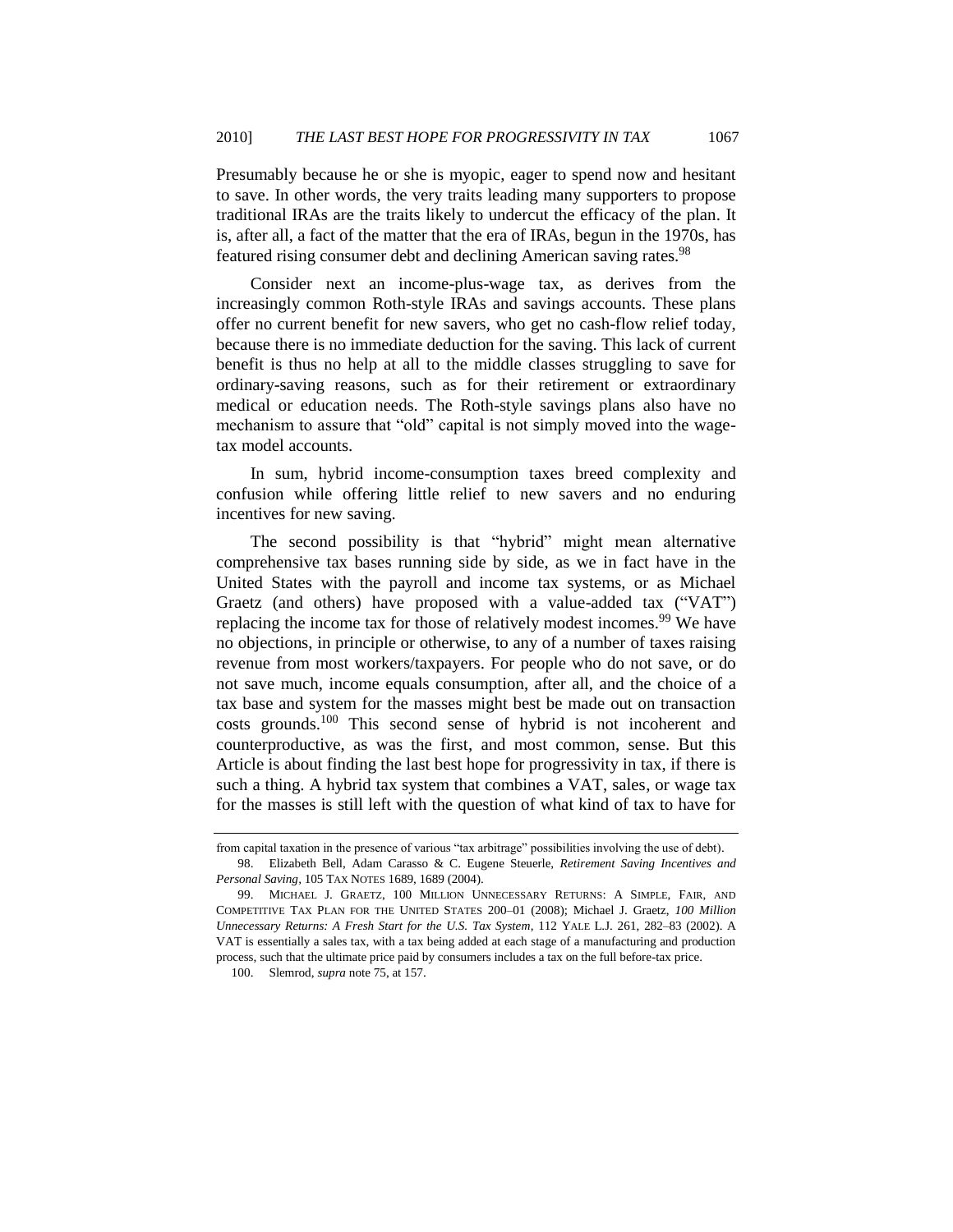Presumably because he or she is myopic, eager to spend now and hesitant to save. In other words, the very traits leading many supporters to propose traditional IRAs are the traits likely to undercut the efficacy of the plan. It is, after all, a fact of the matter that the era of IRAs, begun in the 1970s, has featured rising consumer debt and declining American saving rates.<sup>98</sup>

Consider next an income-plus-wage tax, as derives from the increasingly common Roth-style IRAs and savings accounts. These plans offer no current benefit for new savers, who get no cash-flow relief today, because there is no immediate deduction for the saving. This lack of current benefit is thus no help at all to the middle classes struggling to save for ordinary-saving reasons, such as for their retirement or extraordinary medical or education needs. The Roth-style savings plans also have no mechanism to assure that "old" capital is not simply moved into the wagetax model accounts.

In sum, hybrid income-consumption taxes breed complexity and confusion while offering little relief to new savers and no enduring incentives for new saving.

The second possibility is that "hybrid" might mean alternative comprehensive tax bases running side by side, as we in fact have in the United States with the payroll and income tax systems, or as Michael Graetz (and others) have proposed with a value-added tax  $(``VAT")$ replacing the income tax for those of relatively modest incomes.<sup>99</sup> We have no objections, in principle or otherwise, to any of a number of taxes raising revenue from most workers/taxpayers. For people who do not save, or do not save much, income equals consumption, after all, and the choice of a tax base and system for the masses might best be made out on transaction costs grounds.<sup>100</sup> This second sense of hybrid is not incoherent and counterproductive, as was the first, and most common, sense. But this Article is about finding the last best hope for progressivity in tax, if there is such a thing. A hybrid tax system that combines a VAT, sales, or wage tax for the masses is still left with the question of what kind of tax to have for

from capital taxation in the presence of various "tax arbitrage" possibilities involving the use of debt). 98. Elizabeth Bell, Adam Carasso & C. Eugene Steuerle, *Retirement Saving Incentives and* 

*Personal Saving*, 105 TAX NOTES 1689, 1689 (2004).

<sup>99.</sup> MICHAEL J. GRAETZ, 100 MILLION UNNECESSARY RETURNS: A SIMPLE, FAIR, AND COMPETITIVE TAX PLAN FOR THE UNITED STATES 200–01 (2008); Michael J. Graetz, *100 Million Unnecessary Returns: A Fresh Start for the U.S. Tax System*, 112 YALE L.J. 261, 282–83 (2002). A VAT is essentially a sales tax, with a tax being added at each stage of a manufacturing and production process, such that the ultimate price paid by consumers includes a tax on the full before-tax price.

<sup>100.</sup> Slemrod, *supra* not[e 75,](#page-27-0) at 157.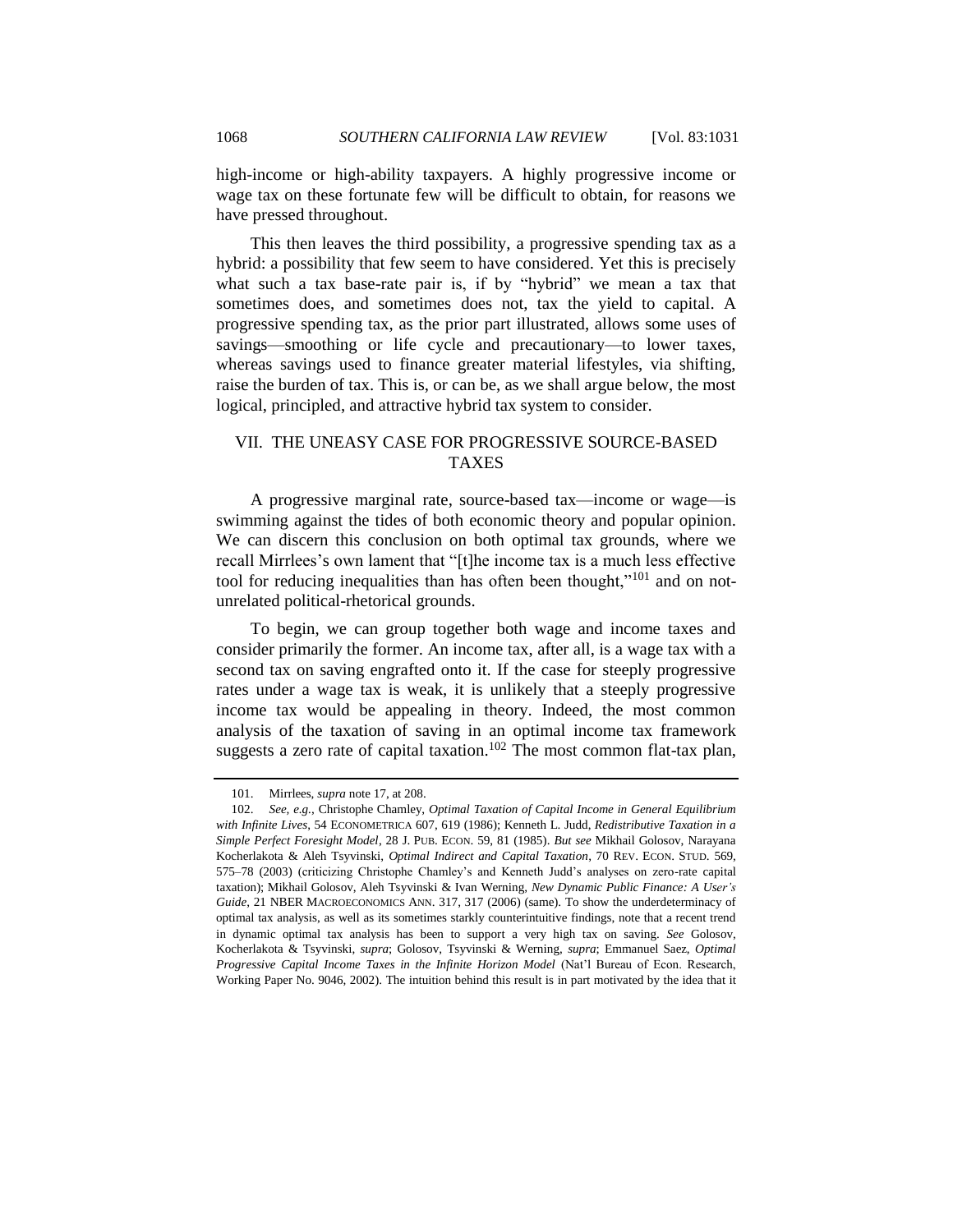high-income or high-ability taxpayers. A highly progressive income or wage tax on these fortunate few will be difficult to obtain, for reasons we have pressed throughout.

This then leaves the third possibility, a progressive spending tax as a hybrid: a possibility that few seem to have considered. Yet this is precisely what such a tax base-rate pair is, if by "hybrid" we mean a tax that sometimes does, and sometimes does not, tax the yield to capital. A progressive spending tax, as the prior part illustrated, allows some uses of savings—smoothing or life cycle and precautionary—to lower taxes, whereas savings used to finance greater material lifestyles, via shifting, raise the burden of tax. This is, or can be, as we shall argue below, the most logical, principled, and attractive hybrid tax system to consider.

# <span id="page-37-0"></span>VII. THE UNEASY CASE FOR PROGRESSIVE SOURCE-BASED TAXES

A progressive marginal rate, source-based tax—income or wage—is swimming against the tides of both economic theory and popular opinion. We can discern this conclusion on both optimal tax grounds, where we recall Mirrlees's own lament that "[t]he income tax is a much less effective tool for reducing inequalities than has often been thought," $101$  and on notunrelated political-rhetorical grounds.

To begin, we can group together both wage and income taxes and consider primarily the former. An income tax, after all, is a wage tax with a second tax on saving engrafted onto it. If the case for steeply progressive rates under a wage tax is weak, it is unlikely that a steeply progressive income tax would be appealing in theory. Indeed, the most common analysis of the taxation of saving in an optimal income tax framework suggests a zero rate of capital taxation.<sup>102</sup> The most common flat-tax plan,

<sup>101.</sup> Mirrlees, *supra* not[e 17,](#page-6-0) at 208.

<sup>102.</sup> *See, e.g.*, Christophe Chamley, *Optimal Taxation of Capital Income in General Equilibrium with Infinite Lives*, 54 ECONOMETRICA 607, 619 (1986); Kenneth L. Judd, *Redistributive Taxation in a Simple Perfect Foresight Model*, 28 J. PUB. ECON. 59, 81 (1985). *But see* Mikhail Golosov, Narayana Kocherlakota & Aleh Tsyvinski, *Optimal Indirect and Capital Taxation*, 70 REV. ECON. STUD. 569, 575–78 (2003) (criticizing Christophe Chamley's and Kenneth Judd's analyses on zero-rate capital taxation); Mikhail Golosov, Aleh Tsyvinski & Ivan Werning, *New Dynamic Public Finance: A User's Guide*, 21 NBER MACROECONOMICS ANN. 317, 317 (2006) (same). To show the underdeterminacy of optimal tax analysis, as well as its sometimes starkly counterintuitive findings, note that a recent trend in dynamic optimal tax analysis has been to support a very high tax on saving. *See* Golosov, Kocherlakota & Tsyvinski, *supra*; Golosov, Tsyvinski & Werning, *supra*; Emmanuel Saez, *Optimal Progressive Capital Income Taxes in the Infinite Horizon Model* (Nat'l Bureau of Econ. Research, Working Paper No. 9046, 2002). The intuition behind this result is in part motivated by the idea that it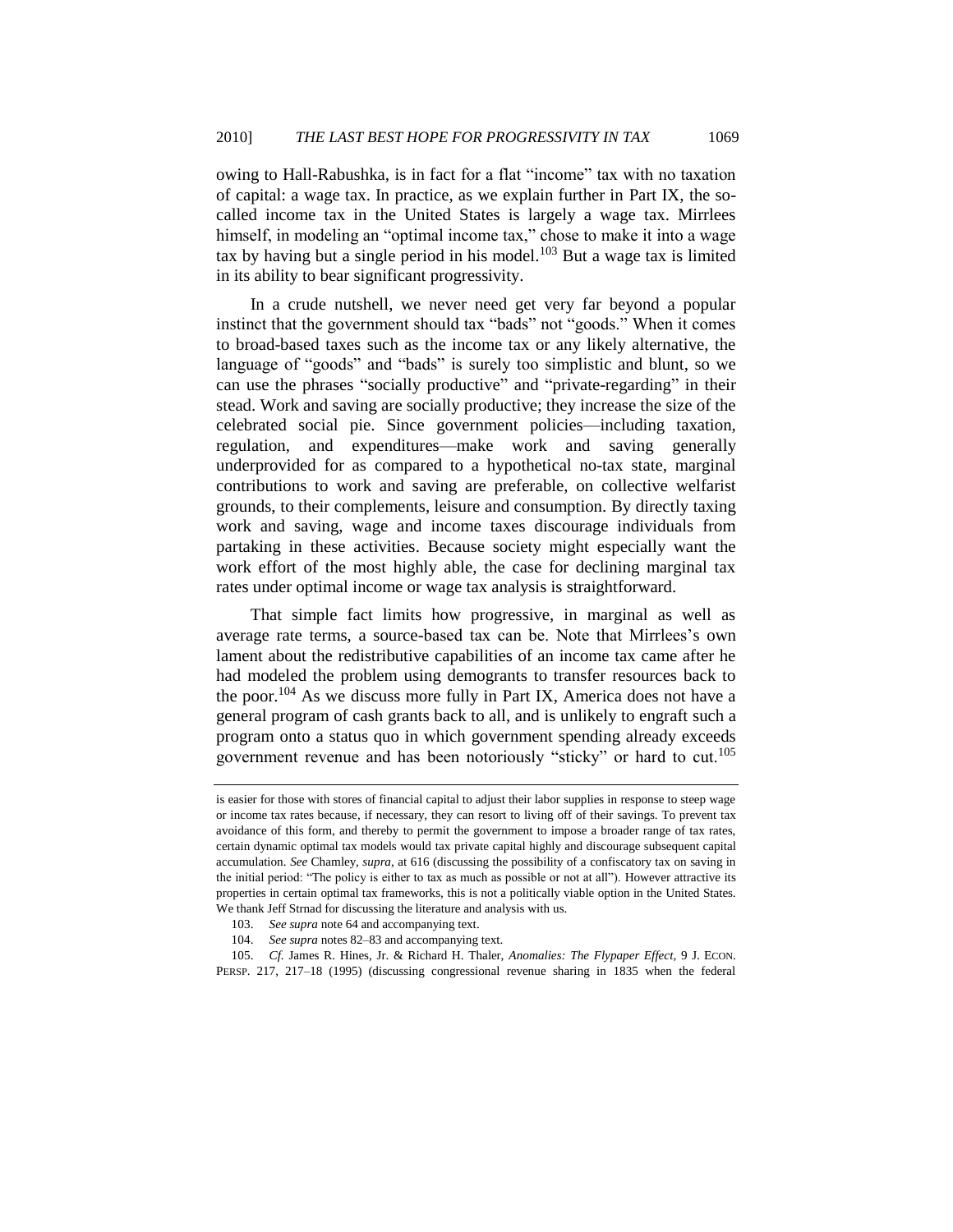owing to Hall-Rabushka, is in fact for a flat "income" tax with no taxation of capital: a wage tax. In practice, as we explain further in Part IX, the socalled income tax in the United States is largely a wage tax. Mirrlees himself, in modeling an "optimal income tax," chose to make it into a wage tax by having but a single period in his model.<sup>103</sup> But a wage tax is limited in its ability to bear significant progressivity.

In a crude nutshell, we never need get very far beyond a popular instinct that the government should tax "bads" not "goods." When it comes to broad-based taxes such as the income tax or any likely alternative, the language of "goods" and "bads" is surely too simplistic and blunt, so we can use the phrases "socially productive" and "private-regarding" in their stead. Work and saving are socially productive; they increase the size of the celebrated social pie. Since government policies—including taxation, regulation, and expenditures—make work and saving generally underprovided for as compared to a hypothetical no-tax state, marginal contributions to work and saving are preferable, on collective welfarist grounds, to their complements, leisure and consumption. By directly taxing work and saving, wage and income taxes discourage individuals from partaking in these activities. Because society might especially want the work effort of the most highly able, the case for declining marginal tax rates under optimal income or wage tax analysis is straightforward.

That simple fact limits how progressive, in marginal as well as average rate terms, a source-based tax can be. Note that Mirrlees's own lament about the redistributive capabilities of an income tax came after he had modeled the problem using demogrants to transfer resources back to the poor.<sup>104</sup> As we discuss more fully in Part IX, America does not have a general program of cash grants back to all, and is unlikely to engraft such a program onto a status quo in which government spending already exceeds government revenue and has been notoriously "sticky" or hard to cut.<sup>105</sup>

<span id="page-38-0"></span>is easier for those with stores of financial capital to adjust their labor supplies in response to steep wage or income tax rates because, if necessary, they can resort to living off of their savings. To prevent tax avoidance of this form, and thereby to permit the government to impose a broader range of tax rates, certain dynamic optimal tax models would tax private capital highly and discourage subsequent capital accumulation. *See* Chamley, *supra*, at 616 (discussing the possibility of a confiscatory tax on saving in the initial period: "The policy is either to tax as much as possible or not at all"). However attractive its properties in certain optimal tax frameworks, this is not a politically viable option in the United States. We thank Jeff Strnad for discussing the literature and analysis with us.

<sup>103.</sup> *See supra* not[e 64](#page-23-1) and accompanying text.

<sup>104.</sup> *See supra* note[s 82](#page-28-1)[–83](#page-28-2) and accompanying text.

<sup>105.</sup> *Cf.* James R. Hines, Jr. & Richard H. Thaler, *Anomalies: The Flypaper Effect*, 9 J. ECON. PERSP. 217, 217–18 (1995) (discussing congressional revenue sharing in 1835 when the federal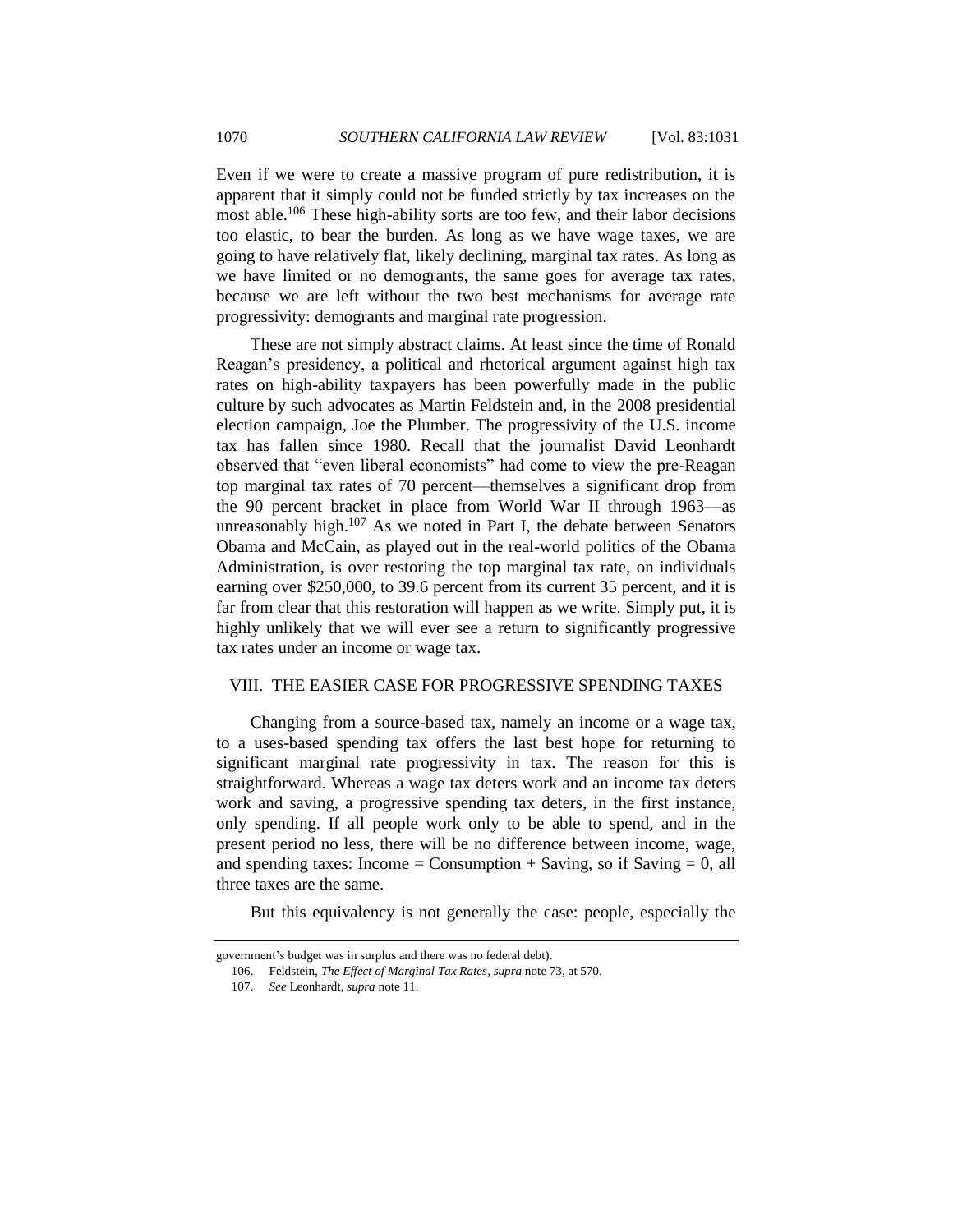Even if we were to create a massive program of pure redistribution, it is apparent that it simply could not be funded strictly by tax increases on the most able.<sup>106</sup> These high-ability sorts are too few, and their labor decisions too elastic, to bear the burden. As long as we have wage taxes, we are going to have relatively flat, likely declining, marginal tax rates. As long as we have limited or no demogrants, the same goes for average tax rates, because we are left without the two best mechanisms for average rate progressivity: demogrants and marginal rate progression.

These are not simply abstract claims. At least since the time of Ronald Reagan's presidency, a political and rhetorical argument against high tax rates on high-ability taxpayers has been powerfully made in the public culture by such advocates as Martin Feldstein and, in the 2008 presidential election campaign, Joe the Plumber. The progressivity of the U.S. income tax has fallen since 1980. Recall that the journalist David Leonhardt observed that "even liberal economists" had come to view the pre-Reagan top marginal tax rates of 70 percent—themselves a significant drop from the 90 percent bracket in place from World War II through 1963—as unreasonably high. $107$  As we noted in Part I, the debate between Senators Obama and McCain, as played out in the real-world politics of the Obama Administration, is over restoring the top marginal tax rate, on individuals earning over \$250,000, to 39.6 percent from its current 35 percent, and it is far from clear that this restoration will happen as we write. Simply put, it is highly unlikely that we will ever see a return to significantly progressive tax rates under an income or wage tax.

# <span id="page-39-0"></span>VIII. THE EASIER CASE FOR PROGRESSIVE SPENDING TAXES

Changing from a source-based tax, namely an income or a wage tax, to a uses-based spending tax offers the last best hope for returning to significant marginal rate progressivity in tax. The reason for this is straightforward. Whereas a wage tax deters work and an income tax deters work and saving, a progressive spending tax deters, in the first instance, only spending. If all people work only to be able to spend, and in the present period no less, there will be no difference between income, wage, and spending taxes: Income = Consumption + Saving, so if Saving = 0, all three taxes are the same.

But this equivalency is not generally the case: people, especially the

government's budget was in surplus and there was no federal debt).

<sup>106.</sup> Feldstein, *The Effect of Marginal Tax Rates*, *supra* not[e 73,](#page-26-1) at 570.

<sup>107.</sup> *See* Leonhardt, *supra* not[e 11.](#page-5-0)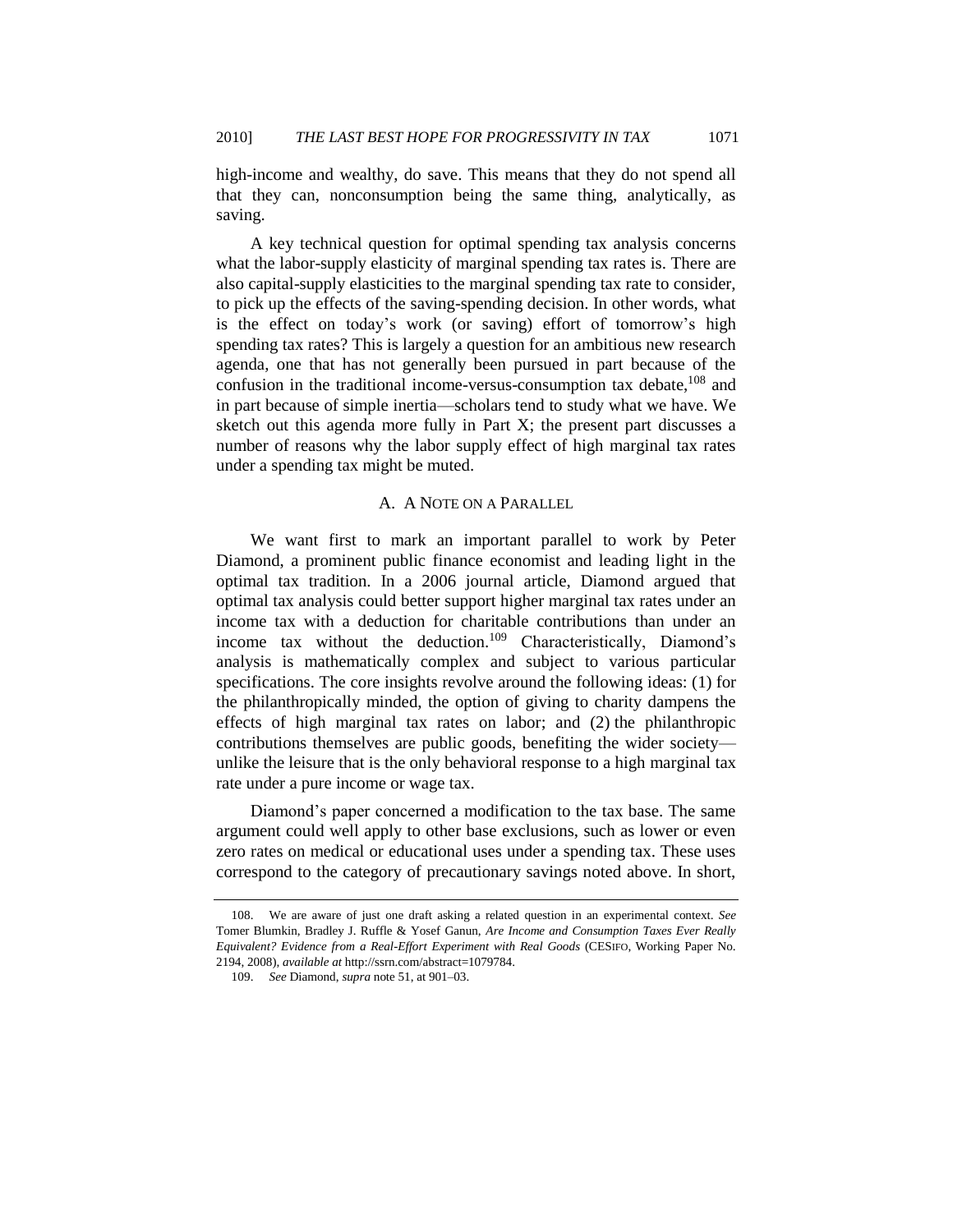high-income and wealthy, do save. This means that they do not spend all that they can, nonconsumption being the same thing, analytically, as saving.

A key technical question for optimal spending tax analysis concerns what the labor-supply elasticity of marginal spending tax rates is. There are also capital-supply elasticities to the marginal spending tax rate to consider, to pick up the effects of the saving-spending decision. In other words, what is the effect on today's work (or saving) effort of tomorrow's high spending tax rates? This is largely a question for an ambitious new research agenda, one that has not generally been pursued in part because of the confusion in the traditional income-versus-consumption tax debate,<sup>108</sup> and in part because of simple inertia—scholars tend to study what we have. We sketch out this agenda more fully in Part X; the present part discusses a number of reasons why the labor supply effect of high marginal tax rates under a spending tax might be muted.

#### <span id="page-40-1"></span>A. A NOTE ON A PARALLEL

<span id="page-40-0"></span>We want first to mark an important parallel to work by Peter Diamond, a prominent public finance economist and leading light in the optimal tax tradition. In a 2006 journal article, Diamond argued that optimal tax analysis could better support higher marginal tax rates under an income tax with a deduction for charitable contributions than under an income tax without the deduction.<sup>109</sup> Characteristically, Diamond's analysis is mathematically complex and subject to various particular specifications. The core insights revolve around the following ideas: (1) for the philanthropically minded, the option of giving to charity dampens the effects of high marginal tax rates on labor; and (2) the philanthropic contributions themselves are public goods, benefiting the wider society unlike the leisure that is the only behavioral response to a high marginal tax rate under a pure income or wage tax.

Diamond's paper concerned a modification to the tax base. The same argument could well apply to other base exclusions, such as lower or even zero rates on medical or educational uses under a spending tax. These uses correspond to the category of precautionary savings noted above. In short,

<sup>108.</sup> We are aware of just one draft asking a related question in an experimental context. *See* Tomer Blumkin, Bradley J. Ruffle & Yosef Ganun, *Are Income and Consumption Taxes Ever Really Equivalent? Evidence from a Real-Effort Experiment with Real Goods* (CESIFO, Working Paper No. 2194, 2008), *available at* http://ssrn.com/abstract=1079784.

<sup>109.</sup> *See* Diamond, *supra* note [51,](#page-21-0) at 901–03.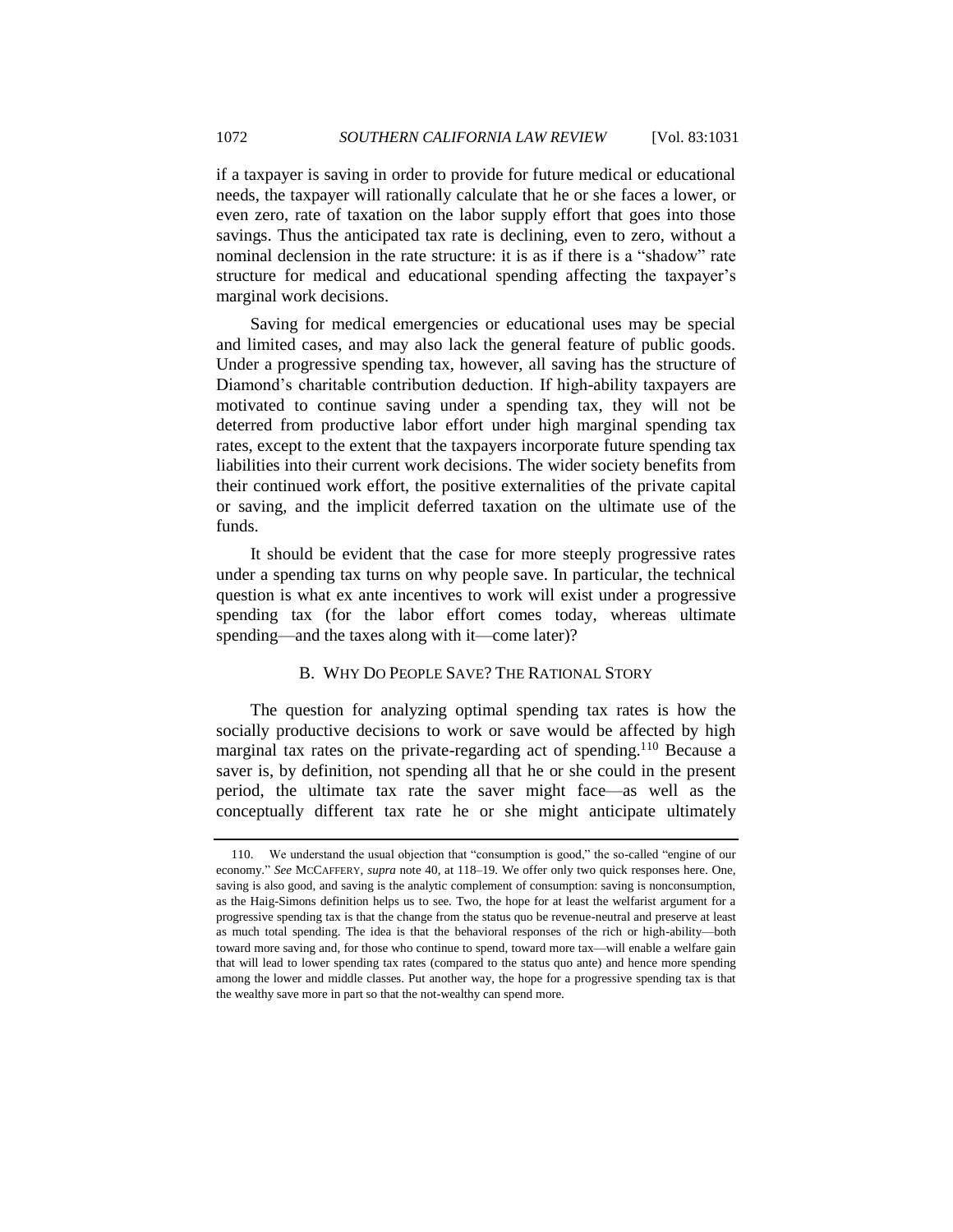if a taxpayer is saving in order to provide for future medical or educational needs, the taxpayer will rationally calculate that he or she faces a lower, or even zero, rate of taxation on the labor supply effort that goes into those savings. Thus the anticipated tax rate is declining, even to zero, without a nominal declension in the rate structure: it is as if there is a "shadow" rate structure for medical and educational spending affecting the taxpayer's marginal work decisions.

Saving for medical emergencies or educational uses may be special and limited cases, and may also lack the general feature of public goods. Under a progressive spending tax, however, all saving has the structure of Diamond's charitable contribution deduction. If high-ability taxpayers are motivated to continue saving under a spending tax, they will not be deterred from productive labor effort under high marginal spending tax rates, except to the extent that the taxpayers incorporate future spending tax liabilities into their current work decisions. The wider society benefits from their continued work effort, the positive externalities of the private capital or saving, and the implicit deferred taxation on the ultimate use of the funds.

It should be evident that the case for more steeply progressive rates under a spending tax turns on why people save. In particular, the technical question is what ex ante incentives to work will exist under a progressive spending tax (for the labor effort comes today, whereas ultimate spending—and the taxes along with it—come later)?

#### B. WHY DO PEOPLE SAVE? THE RATIONAL STORY

<span id="page-41-0"></span>The question for analyzing optimal spending tax rates is how the socially productive decisions to work or save would be affected by high marginal tax rates on the private-regarding act of spending.<sup>110</sup> Because a saver is, by definition, not spending all that he or she could in the present period, the ultimate tax rate the saver might face—as well as the conceptually different tax rate he or she might anticipate ultimately

<sup>110.</sup> We understand the usual objection that "consumption is good," the so-called "engine of our economy." *See* MCCAFFERY, *supra* note [40,](#page-14-0) at 118–19. We offer only two quick responses here. One, saving is also good, and saving is the analytic complement of consumption: saving is nonconsumption, as the Haig-Simons definition helps us to see. Two, the hope for at least the welfarist argument for a progressive spending tax is that the change from the status quo be revenue-neutral and preserve at least as much total spending. The idea is that the behavioral responses of the rich or high-ability—both toward more saving and, for those who continue to spend, toward more tax—will enable a welfare gain that will lead to lower spending tax rates (compared to the status quo ante) and hence more spending among the lower and middle classes. Put another way, the hope for a progressive spending tax is that the wealthy save more in part so that the not-wealthy can spend more.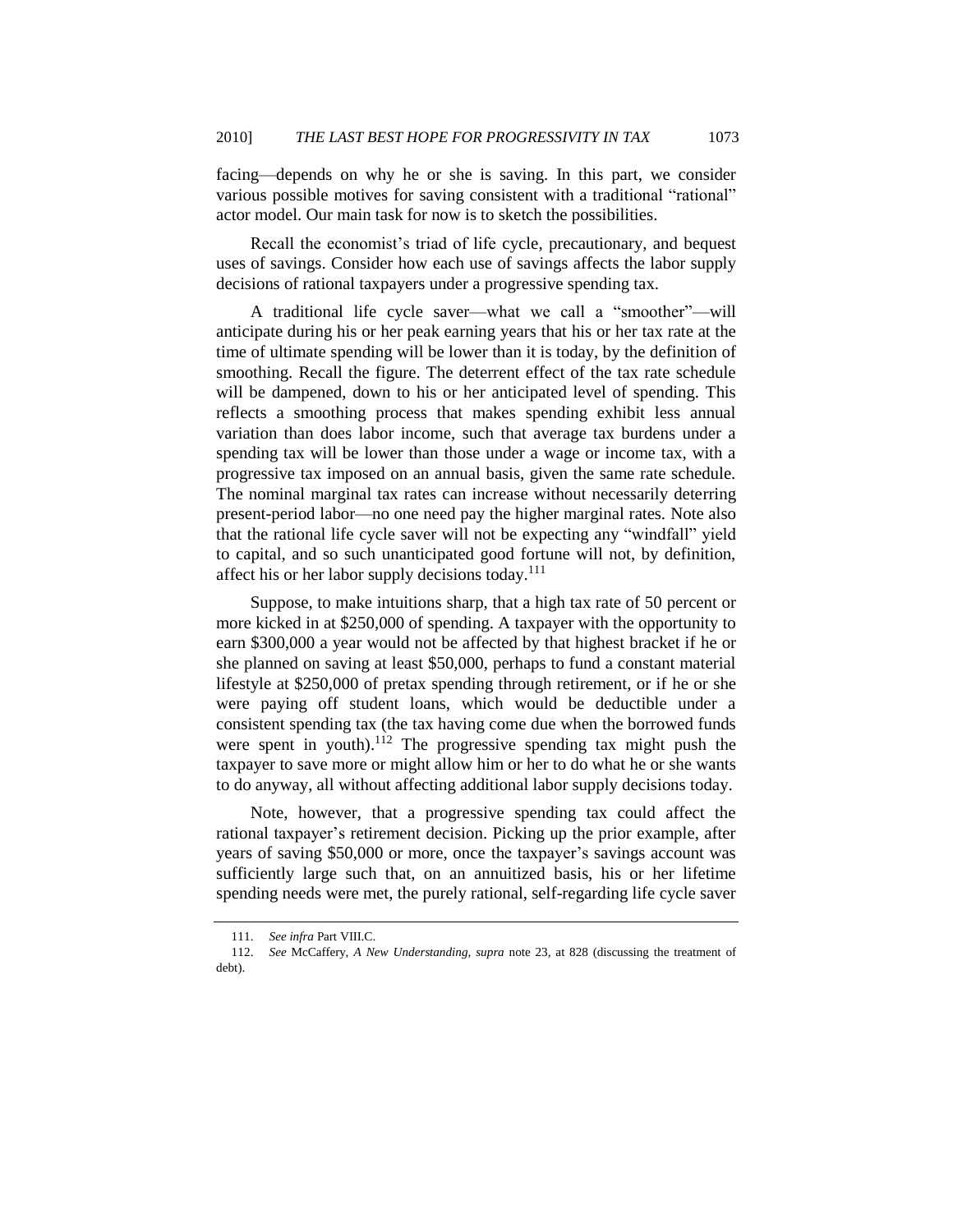facing—depends on why he or she is saving. In this part, we consider various possible motives for saving consistent with a traditional "rational" actor model. Our main task for now is to sketch the possibilities.

Recall the economist's triad of life cycle, precautionary, and bequest uses of savings. Consider how each use of savings affects the labor supply decisions of rational taxpayers under a progressive spending tax.

A traditional life cycle saver—what we call a "smoother"—will anticipate during his or her peak earning years that his or her tax rate at the time of ultimate spending will be lower than it is today, by the definition of smoothing. Recall the figure. The deterrent effect of the tax rate schedule will be dampened, down to his or her anticipated level of spending. This reflects a smoothing process that makes spending exhibit less annual variation than does labor income, such that average tax burdens under a spending tax will be lower than those under a wage or income tax, with a progressive tax imposed on an annual basis, given the same rate schedule. The nominal marginal tax rates can increase without necessarily deterring present-period labor—no one need pay the higher marginal rates. Note also that the rational life cycle saver will not be expecting any "windfall" yield to capital, and so such unanticipated good fortune will not, by definition, affect his or her labor supply decisions today.<sup>111</sup>

Suppose, to make intuitions sharp, that a high tax rate of 50 percent or more kicked in at \$250,000 of spending. A taxpayer with the opportunity to earn \$300,000 a year would not be affected by that highest bracket if he or she planned on saving at least \$50,000, perhaps to fund a constant material lifestyle at \$250,000 of pretax spending through retirement, or if he or she were paying off student loans, which would be deductible under a consistent spending tax (the tax having come due when the borrowed funds were spent in youth).<sup>112</sup> The progressive spending tax might push the taxpayer to save more or might allow him or her to do what he or she wants to do anyway, all without affecting additional labor supply decisions today.

Note, however, that a progressive spending tax could affect the rational taxpayer's retirement decision. Picking up the prior example, after years of saving \$50,000 or more, once the taxpayer's savings account was sufficiently large such that, on an annuitized basis, his or her lifetime spending needs were met, the purely rational, self-regarding life cycle saver

<sup>111.</sup> *See infra* Part VIII.C.

<sup>112.</sup> *See* McCaffery, *A New Understanding*, *supra* note [23,](#page-8-0) at 828 (discussing the treatment of debt).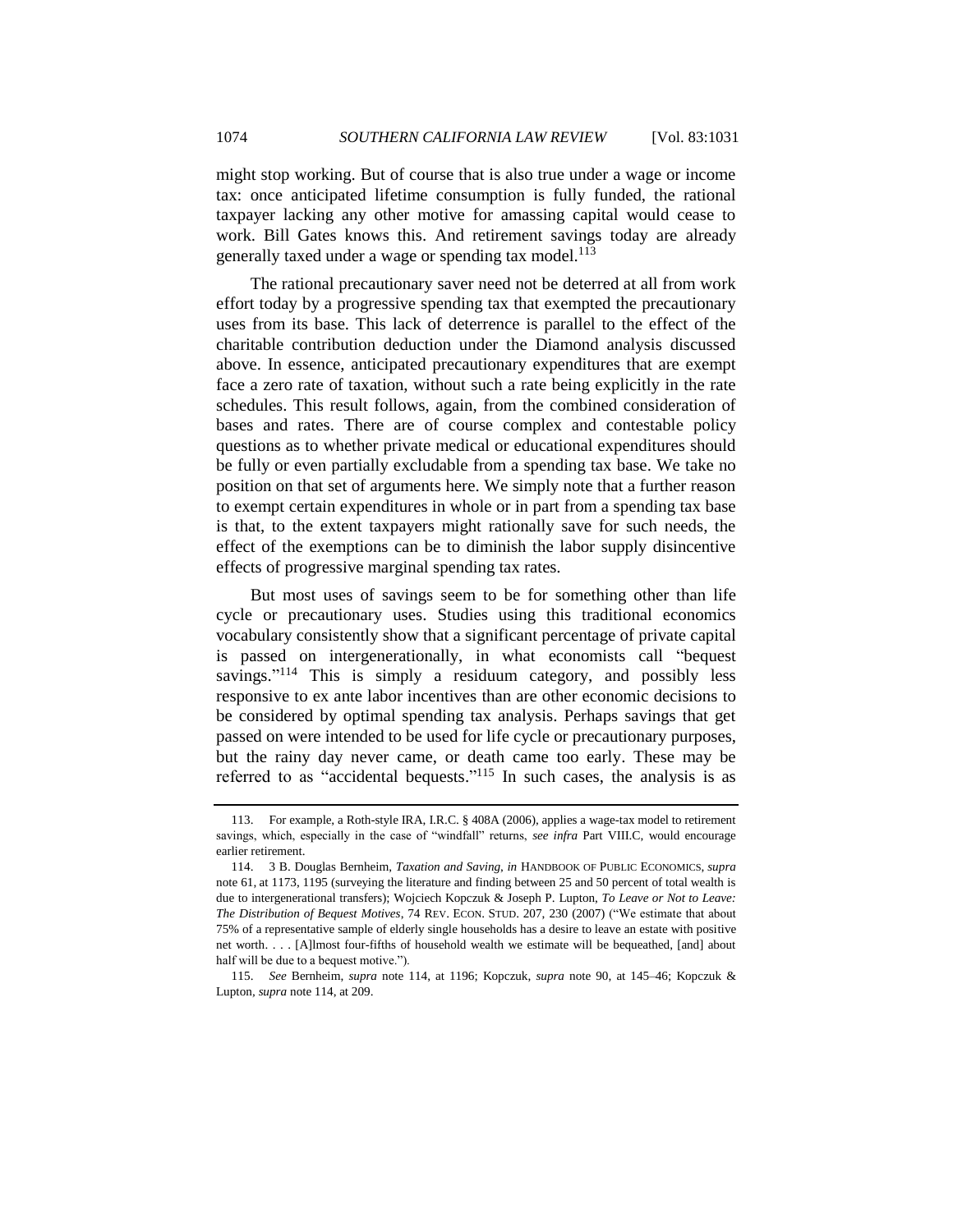might stop working. But of course that is also true under a wage or income tax: once anticipated lifetime consumption is fully funded, the rational taxpayer lacking any other motive for amassing capital would cease to work. Bill Gates knows this. And retirement savings today are already generally taxed under a wage or spending tax model.<sup>113</sup>

The rational precautionary saver need not be deterred at all from work effort today by a progressive spending tax that exempted the precautionary uses from its base. This lack of deterrence is parallel to the effect of the charitable contribution deduction under the Diamond analysis discussed above. In essence, anticipated precautionary expenditures that are exempt face a zero rate of taxation, without such a rate being explicitly in the rate schedules. This result follows, again, from the combined consideration of bases and rates. There are of course complex and contestable policy questions as to whether private medical or educational expenditures should be fully or even partially excludable from a spending tax base. We take no position on that set of arguments here. We simply note that a further reason to exempt certain expenditures in whole or in part from a spending tax base is that, to the extent taxpayers might rationally save for such needs, the effect of the exemptions can be to diminish the labor supply disincentive effects of progressive marginal spending tax rates.

<span id="page-43-1"></span><span id="page-43-0"></span>But most uses of savings seem to be for something other than life cycle or precautionary uses. Studies using this traditional economics vocabulary consistently show that a significant percentage of private capital is passed on intergenerationally, in what economists call "bequest" savings."<sup>114</sup> This is simply a residuum category, and possibly less responsive to ex ante labor incentives than are other economic decisions to be considered by optimal spending tax analysis. Perhaps savings that get passed on were intended to be used for life cycle or precautionary purposes, but the rainy day never came, or death came too early. These may be referred to as "accidental bequests."<sup>115</sup> In such cases, the analysis is as

<sup>113.</sup> For example, a Roth-style IRA, I.R.C. § 408A (2006), applies a wage-tax model to retirement savings, which, especially in the case of "windfall" returns, see infra Part VIII.C, would encourage earlier retirement.

<sup>114.</sup> 3 B. Douglas Bernheim, *Taxation and Saving*, *in* HANDBOOK OF PUBLIC ECONOMICS, *supra* note [61,](#page-23-0) at 1173, 1195 (surveying the literature and finding between 25 and 50 percent of total wealth is due to intergenerational transfers); Wojciech Kopczuk & Joseph P. Lupton, *To Leave or Not to Leave: The Distribution of Bequest Motives*, 74 REV. ECON. STUD. 207, 230 (2007) ("We estimate that about 75% of a representative sample of elderly single households has a desire to leave an estate with positive net worth. . . . [A]lmost four-fifths of household wealth we estimate will be bequeathed, [and] about half will be due to a bequest motive.").

<sup>115.</sup> *See* Bernheim, *supra* note [114,](#page-43-0) at 1196; Kopczuk, *supra* note [90,](#page-31-1) at 145–46; Kopczuk & Lupton*, supra* not[e 114,](#page-43-1) at 209.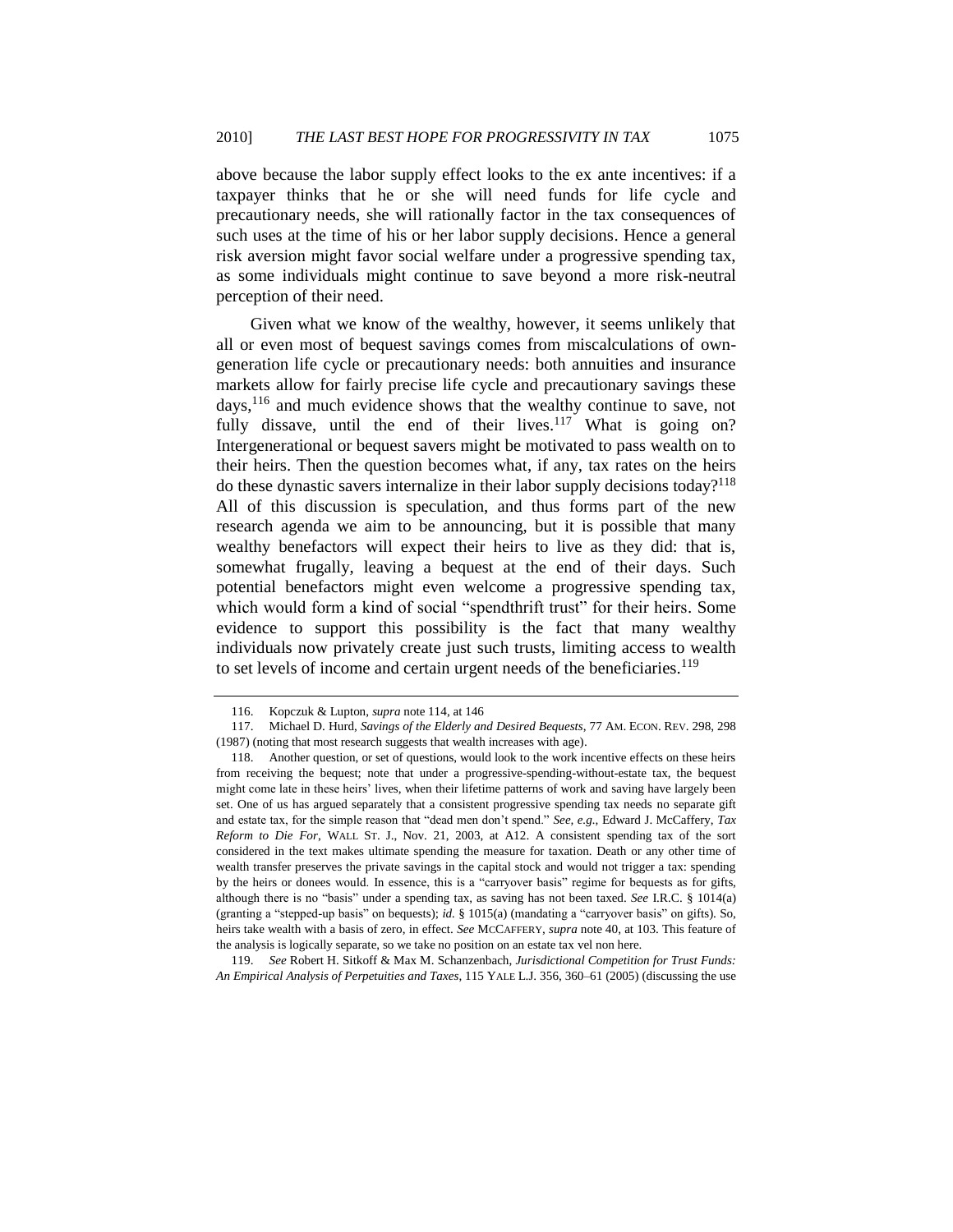above because the labor supply effect looks to the ex ante incentives: if a taxpayer thinks that he or she will need funds for life cycle and precautionary needs, she will rationally factor in the tax consequences of such uses at the time of his or her labor supply decisions. Hence a general risk aversion might favor social welfare under a progressive spending tax, as some individuals might continue to save beyond a more risk-neutral perception of their need.

Given what we know of the wealthy, however, it seems unlikely that all or even most of bequest savings comes from miscalculations of owngeneration life cycle or precautionary needs: both annuities and insurance markets allow for fairly precise life cycle and precautionary savings these days,<sup>116</sup> and much evidence shows that the wealthy continue to save, not fully dissave, until the end of their lives.<sup>117</sup> What is going on? Intergenerational or bequest savers might be motivated to pass wealth on to their heirs. Then the question becomes what, if any, tax rates on the heirs do these dynastic savers internalize in their labor supply decisions today?<sup>118</sup> All of this discussion is speculation, and thus forms part of the new research agenda we aim to be announcing, but it is possible that many wealthy benefactors will expect their heirs to live as they did: that is, somewhat frugally, leaving a bequest at the end of their days. Such potential benefactors might even welcome a progressive spending tax, which would form a kind of social "spendthrift trust" for their heirs. Some evidence to support this possibility is the fact that many wealthy individuals now privately create just such trusts, limiting access to wealth to set levels of income and certain urgent needs of the beneficiaries.<sup>119</sup>

119. *See* Robert H. Sitkoff & Max M. Schanzenbach, *Jurisdictional Competition for Trust Funds: An Empirical Analysis of Perpetuities and Taxes*, 115 YALE L.J. 356, 360–61 (2005) (discussing the use

<sup>116.</sup> Kopczuk & Lupton, *supra* not[e 114,](#page-43-1) at 146

<sup>117.</sup> Michael D. Hurd, *Savings of the Elderly and Desired Bequests*, 77 AM. ECON. REV. 298, 298 (1987) (noting that most research suggests that wealth increases with age).

<sup>118.</sup> Another question, or set of questions, would look to the work incentive effects on these heirs from receiving the bequest; note that under a progressive-spending-without-estate tax, the bequest might come late in these heirs' lives, when their lifetime patterns of work and saving have largely been set. One of us has argued separately that a consistent progressive spending tax needs no separate gift and estate tax, for the simple reason that "dead men don't spend." See, e.g., Edward J. McCaffery, Tax *Reform to Die For*, WALL ST. J., Nov. 21, 2003, at A12. A consistent spending tax of the sort considered in the text makes ultimate spending the measure for taxation. Death or any other time of wealth transfer preserves the private savings in the capital stock and would not trigger a tax: spending by the heirs or donees would. In essence, this is a "carryover basis" regime for bequests as for gifts, although there is no "basis" under a spending tax, as saving has not been taxed. *See* I.R.C. § 1014(a) (granting a "stepped-up basis" on bequests); *id.* § 1015(a) (mandating a "carryover basis" on gifts). So, heirs take wealth with a basis of zero, in effect. *See* MCCAFFERY, *supra* not[e 40,](#page-14-0) at 103. This feature of the analysis is logically separate, so we take no position on an estate tax vel non here.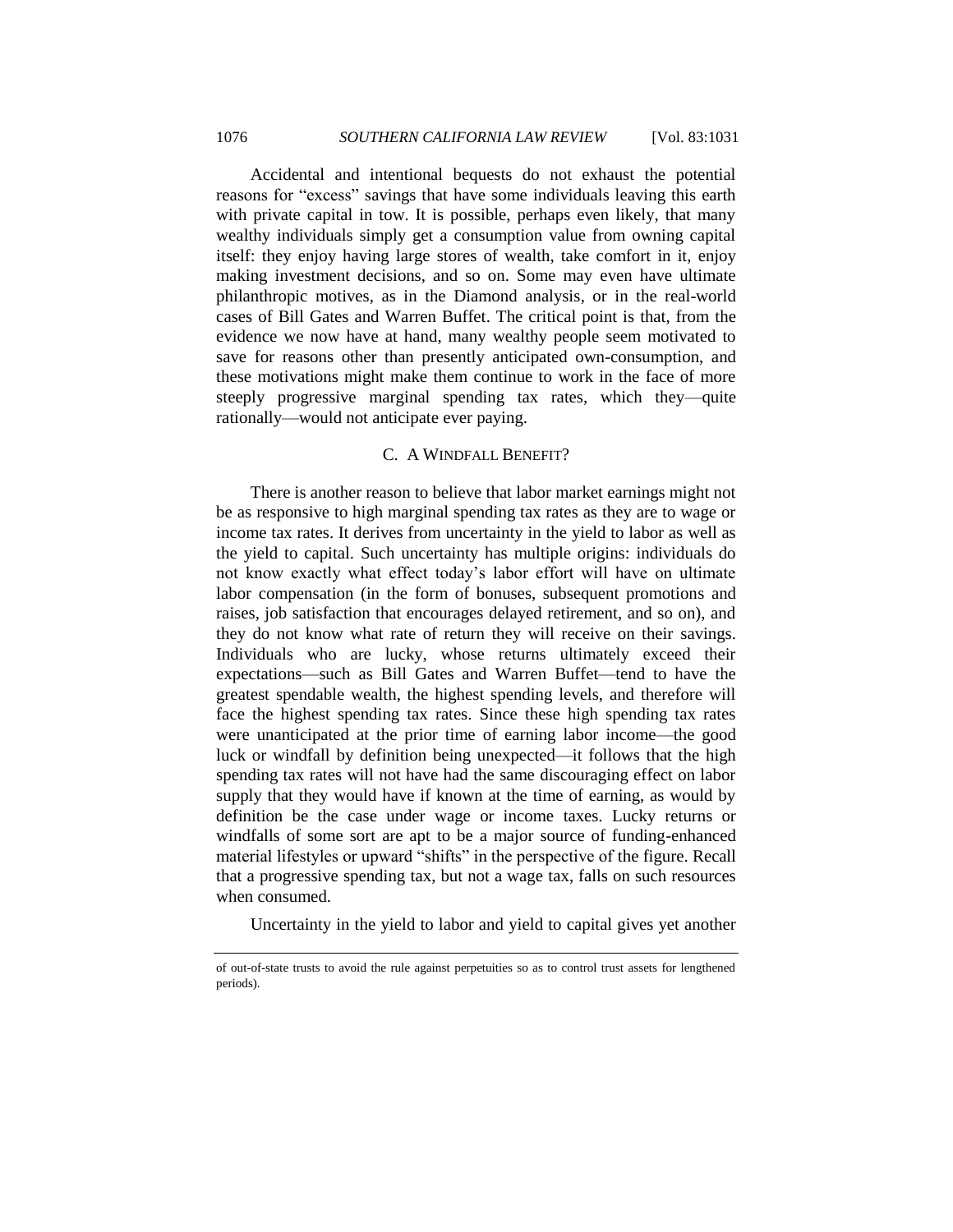Accidental and intentional bequests do not exhaust the potential reasons for "excess" savings that have some individuals leaving this earth with private capital in tow. It is possible, perhaps even likely, that many wealthy individuals simply get a consumption value from owning capital itself: they enjoy having large stores of wealth, take comfort in it, enjoy making investment decisions, and so on. Some may even have ultimate philanthropic motives, as in the Diamond analysis, or in the real-world cases of Bill Gates and Warren Buffet. The critical point is that, from the evidence we now have at hand, many wealthy people seem motivated to save for reasons other than presently anticipated own-consumption, and these motivations might make them continue to work in the face of more steeply progressive marginal spending tax rates, which they—quite rationally—would not anticipate ever paying.

## C. A WINDFALL BENEFIT?

<span id="page-45-0"></span>There is another reason to believe that labor market earnings might not be as responsive to high marginal spending tax rates as they are to wage or income tax rates. It derives from uncertainty in the yield to labor as well as the yield to capital. Such uncertainty has multiple origins: individuals do not know exactly what effect today's labor effort will have on ultimate labor compensation (in the form of bonuses, subsequent promotions and raises, job satisfaction that encourages delayed retirement, and so on), and they do not know what rate of return they will receive on their savings. Individuals who are lucky, whose returns ultimately exceed their expectations—such as Bill Gates and Warren Buffet—tend to have the greatest spendable wealth, the highest spending levels, and therefore will face the highest spending tax rates. Since these high spending tax rates were unanticipated at the prior time of earning labor income—the good luck or windfall by definition being unexpected—it follows that the high spending tax rates will not have had the same discouraging effect on labor supply that they would have if known at the time of earning, as would by definition be the case under wage or income taxes. Lucky returns or windfalls of some sort are apt to be a major source of funding-enhanced material lifestyles or upward "shifts" in the perspective of the figure. Recall that a progressive spending tax, but not a wage tax, falls on such resources when consumed.

Uncertainty in the yield to labor and yield to capital gives yet another

of out-of-state trusts to avoid the rule against perpetuities so as to control trust assets for lengthened periods).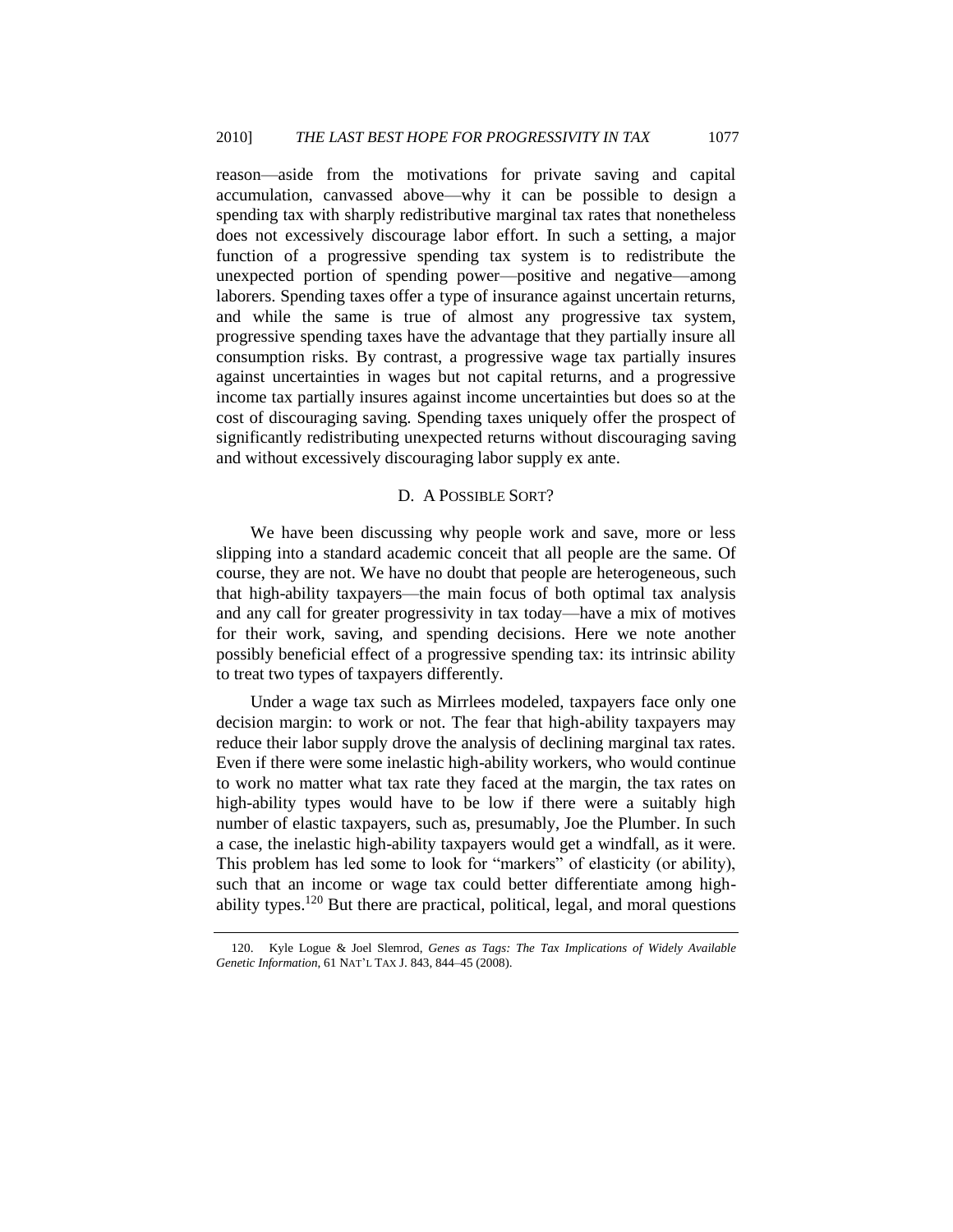reason—aside from the motivations for private saving and capital accumulation, canvassed above—why it can be possible to design a spending tax with sharply redistributive marginal tax rates that nonetheless does not excessively discourage labor effort. In such a setting, a major function of a progressive spending tax system is to redistribute the unexpected portion of spending power—positive and negative—among laborers. Spending taxes offer a type of insurance against uncertain returns, and while the same is true of almost any progressive tax system, progressive spending taxes have the advantage that they partially insure all consumption risks. By contrast, a progressive wage tax partially insures against uncertainties in wages but not capital returns, and a progressive income tax partially insures against income uncertainties but does so at the cost of discouraging saving. Spending taxes uniquely offer the prospect of significantly redistributing unexpected returns without discouraging saving and without excessively discouraging labor supply ex ante.

#### D. A POSSIBLE SORT?

<span id="page-46-0"></span>We have been discussing why people work and save, more or less slipping into a standard academic conceit that all people are the same. Of course, they are not. We have no doubt that people are heterogeneous, such that high-ability taxpayers—the main focus of both optimal tax analysis and any call for greater progressivity in tax today—have a mix of motives for their work, saving, and spending decisions. Here we note another possibly beneficial effect of a progressive spending tax: its intrinsic ability to treat two types of taxpayers differently.

Under a wage tax such as Mirrlees modeled, taxpayers face only one decision margin: to work or not. The fear that high-ability taxpayers may reduce their labor supply drove the analysis of declining marginal tax rates. Even if there were some inelastic high-ability workers, who would continue to work no matter what tax rate they faced at the margin, the tax rates on high-ability types would have to be low if there were a suitably high number of elastic taxpayers, such as, presumably, Joe the Plumber. In such a case, the inelastic high-ability taxpayers would get a windfall, as it were. This problem has led some to look for "markers" of elasticity (or ability), such that an income or wage tax could better differentiate among highability types.<sup>120</sup> But there are practical, political, legal, and moral questions

<span id="page-46-1"></span><sup>120.</sup> Kyle Logue & Joel Slemrod, *Genes as Tags: The Tax Implications of Widely Available Genetic Information*, 61 NAT'L TAX J. 843, 844–45 (2008).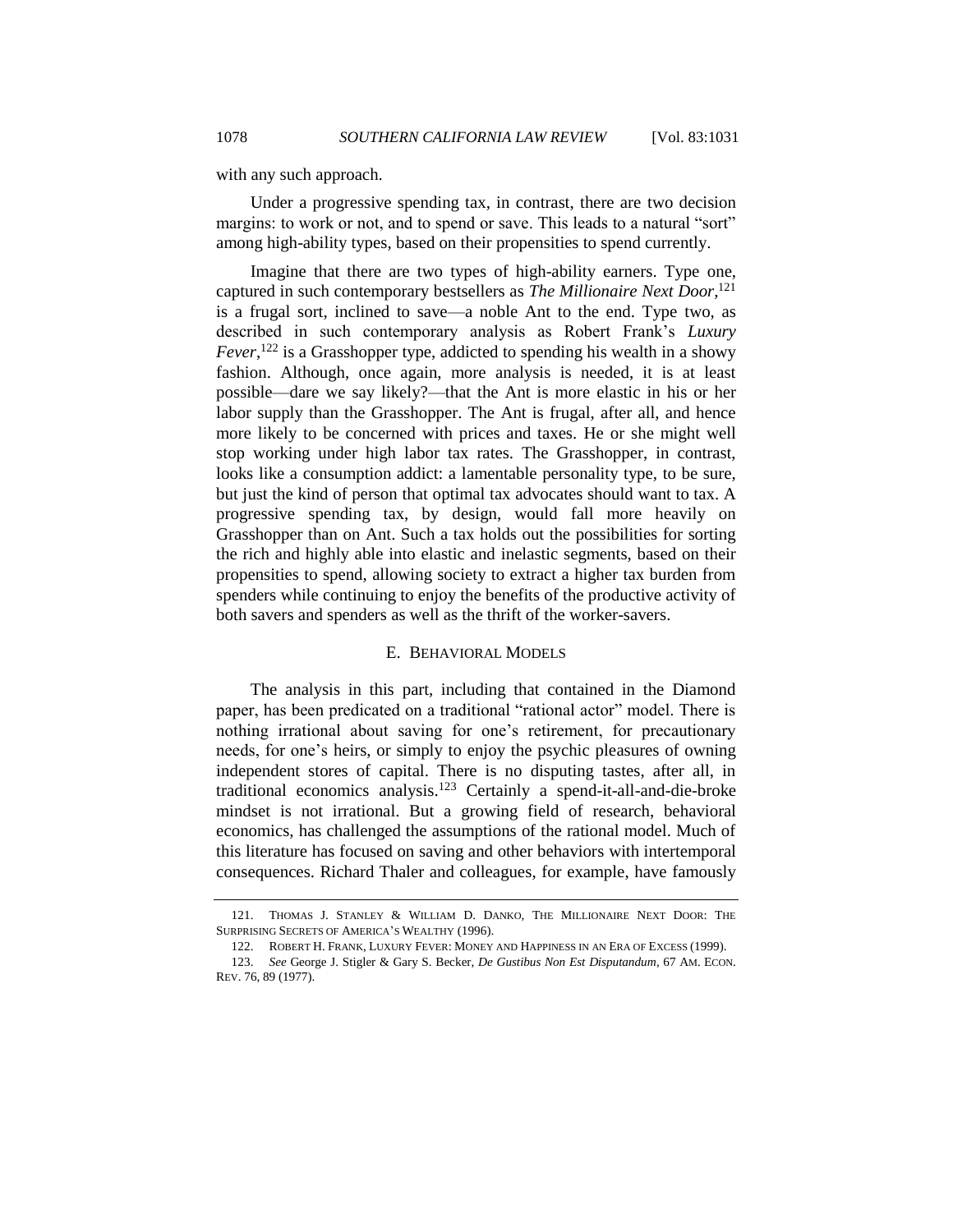with any such approach.

Under a progressive spending tax, in contrast, there are two decision margins: to work or not, and to spend or save. This leads to a natural "sort" among high-ability types, based on their propensities to spend currently.

Imagine that there are two types of high-ability earners. Type one, captured in such contemporary bestsellers as *The Millionaire Next Door*, 121 is a frugal sort, inclined to save—a noble Ant to the end. Type two, as described in such contemporary analysis as Robert Frank's *Luxury Fever*, <sup>122</sup> is a Grasshopper type, addicted to spending his wealth in a showy fashion. Although, once again, more analysis is needed, it is at least possible—dare we say likely?—that the Ant is more elastic in his or her labor supply than the Grasshopper. The Ant is frugal, after all, and hence more likely to be concerned with prices and taxes. He or she might well stop working under high labor tax rates. The Grasshopper, in contrast, looks like a consumption addict: a lamentable personality type, to be sure, but just the kind of person that optimal tax advocates should want to tax. A progressive spending tax, by design, would fall more heavily on Grasshopper than on Ant. Such a tax holds out the possibilities for sorting the rich and highly able into elastic and inelastic segments, based on their propensities to spend, allowing society to extract a higher tax burden from spenders while continuing to enjoy the benefits of the productive activity of both savers and spenders as well as the thrift of the worker-savers.

#### E. BEHAVIORAL MODELS

<span id="page-47-0"></span>The analysis in this part, including that contained in the Diamond paper, has been predicated on a traditional "rational actor" model. There is nothing irrational about saving for one's retirement, for precautionary needs, for one's heirs, or simply to enjoy the psychic pleasures of owning independent stores of capital. There is no disputing tastes, after all, in traditional economics analysis.<sup>123</sup> Certainly a spend-it-all-and-die-broke mindset is not irrational. But a growing field of research, behavioral economics, has challenged the assumptions of the rational model. Much of this literature has focused on saving and other behaviors with intertemporal consequences. Richard Thaler and colleagues, for example, have famously

<sup>121.</sup> THOMAS J. STANLEY & WILLIAM D. DANKO, THE MILLIONAIRE NEXT DOOR: THE SURPRISING SECRETS OF AMERICA'S WEALTHY (1996).

<sup>122.</sup> ROBERT H. FRANK, LUXURY FEVER: MONEY AND HAPPINESS IN AN ERA OF EXCESS (1999).

<sup>123.</sup> *See* George J. Stigler & Gary S. Becker, *De Gustibus Non Est Disputandum*, 67 AM. ECON. REV. 76, 89 (1977).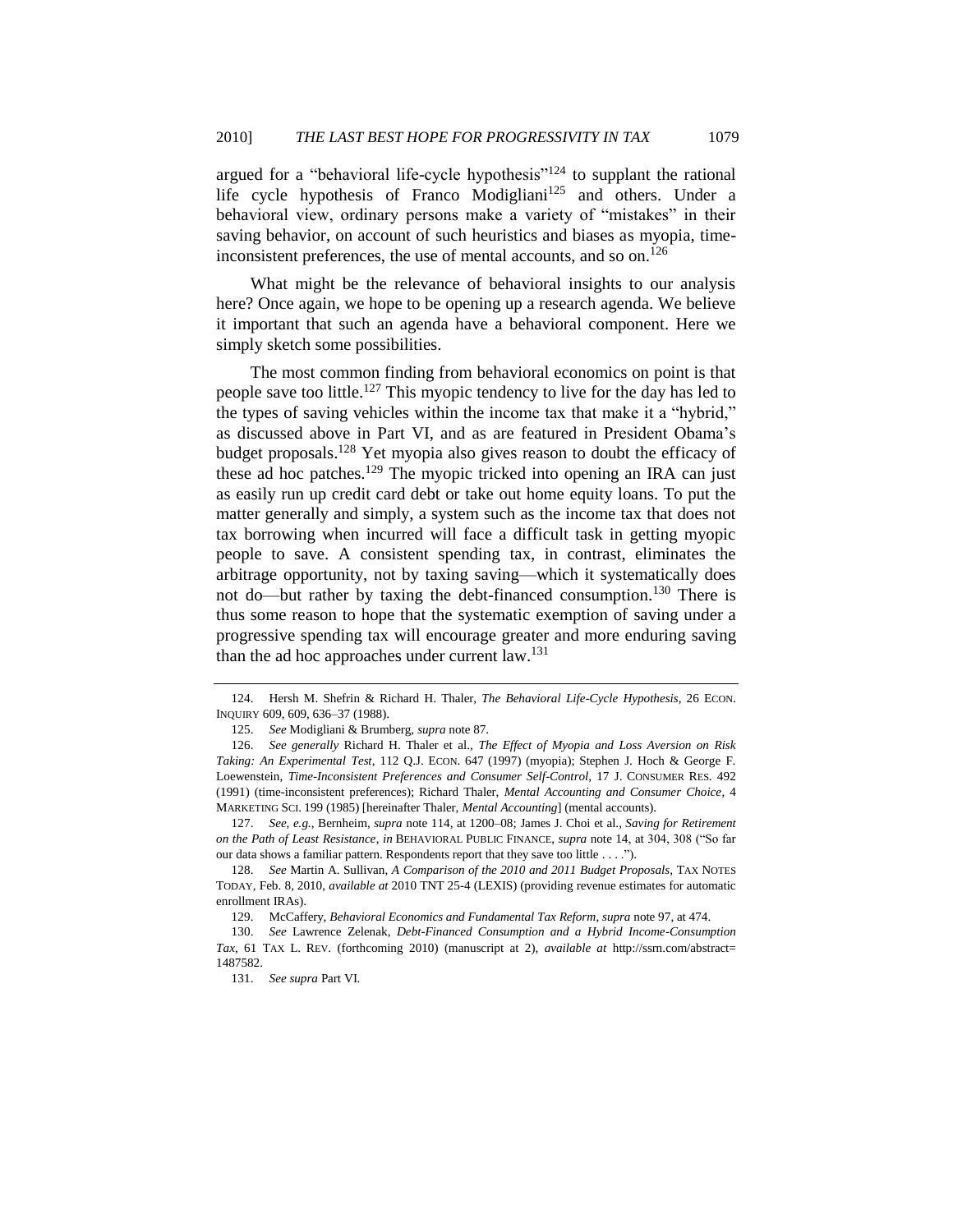argued for a "behavioral life-cycle hypothesis"<sup>124</sup> to supplant the rational life cycle hypothesis of Franco Modigliani<sup>125</sup> and others. Under a behavioral view, ordinary persons make a variety of "mistakes" in their saving behavior, on account of such heuristics and biases as myopia, timeinconsistent preferences, the use of mental accounts, and so on.<sup>126</sup>

<span id="page-48-0"></span>What might be the relevance of behavioral insights to our analysis here? Once again, we hope to be opening up a research agenda. We believe it important that such an agenda have a behavioral component. Here we simply sketch some possibilities.

The most common finding from behavioral economics on point is that people save too little.<sup>127</sup> This myopic tendency to live for the day has led to the types of saving vehicles within the income tax that make it a "hybrid," as discussed above in Part VI, and as are featured in President Obama's budget proposals.<sup>128</sup> Yet myopia also gives reason to doubt the efficacy of these ad hoc patches.<sup>129</sup> The myopic tricked into opening an IRA can just as easily run up credit card debt or take out home equity loans. To put the matter generally and simply, a system such as the income tax that does not tax borrowing when incurred will face a difficult task in getting myopic people to save. A consistent spending tax, in contrast, eliminates the arbitrage opportunity, not by taxing saving—which it systematically does not do—but rather by taxing the debt-financed consumption.<sup>130</sup> There is thus some reason to hope that the systematic exemption of saving under a progressive spending tax will encourage greater and more enduring saving than the ad hoc approaches under current law.<sup>131</sup>

<sup>124.</sup> Hersh M. Shefrin & Richard H. Thaler, *The Behavioral Life-Cycle Hypothesis*, 26 ECON. INQUIRY 609, 609, 636–37 (1988).

<sup>125.</sup> *See* Modigliani & Brumberg, *supra* not[e 87.](#page-30-0)

<sup>126.</sup> *See generally* Richard H. Thaler et al., *The Effect of Myopia and Loss Aversion on Risk Taking: An Experimental Test*, 112 Q.J. ECON. 647 (1997) (myopia); Stephen J. Hoch & George F. Loewenstein, *Time-Inconsistent Preferences and Consumer Self-Control*, 17 J. CONSUMER RES. 492 (1991) (time-inconsistent preferences); Richard Thaler, *Mental Accounting and Consumer Choice*, 4 MARKETING SCI. 199 (1985) [hereinafter Thaler, *Mental Accounting*] (mental accounts).

<sup>127.</sup> *See, e.g.*, Bernheim, *supra* note [114,](#page-43-0) at 1200–08; James J. Choi et al., *Saving for Retirement on the Path of Least Resistance*, *in* BEHAVIORAL PUBLIC FINANCE, *supra* not[e 14,](#page-5-2) at 304, 308 ("So far our data shows a familiar pattern. Respondents report that they save too little . . . .").

<sup>128.</sup> *See* Martin A. Sullivan, *A Comparison of the 2010 and 2011 Budget Proposals*, TAX NOTES TODAY, Feb. 8, 2010, *available at* 2010 TNT 25-4 (LEXIS) (providing revenue estimates for automatic enrollment IRAs).

<sup>129.</sup> McCaffery, *Behavioral Economics and Fundamental Tax Reform*, *supra* not[e 97,](#page-35-0) at 474.

<sup>130.</sup> *See* Lawrence Zelenak, *Debt-Financed Consumption and a Hybrid Income-Consumption Tax*, 61 TAX L. REV. (forthcoming 2010) (manuscript at 2), *available at* http://ssrn.com/abstract= 1487582.

<sup>131.</sup> *See supra* Part VI.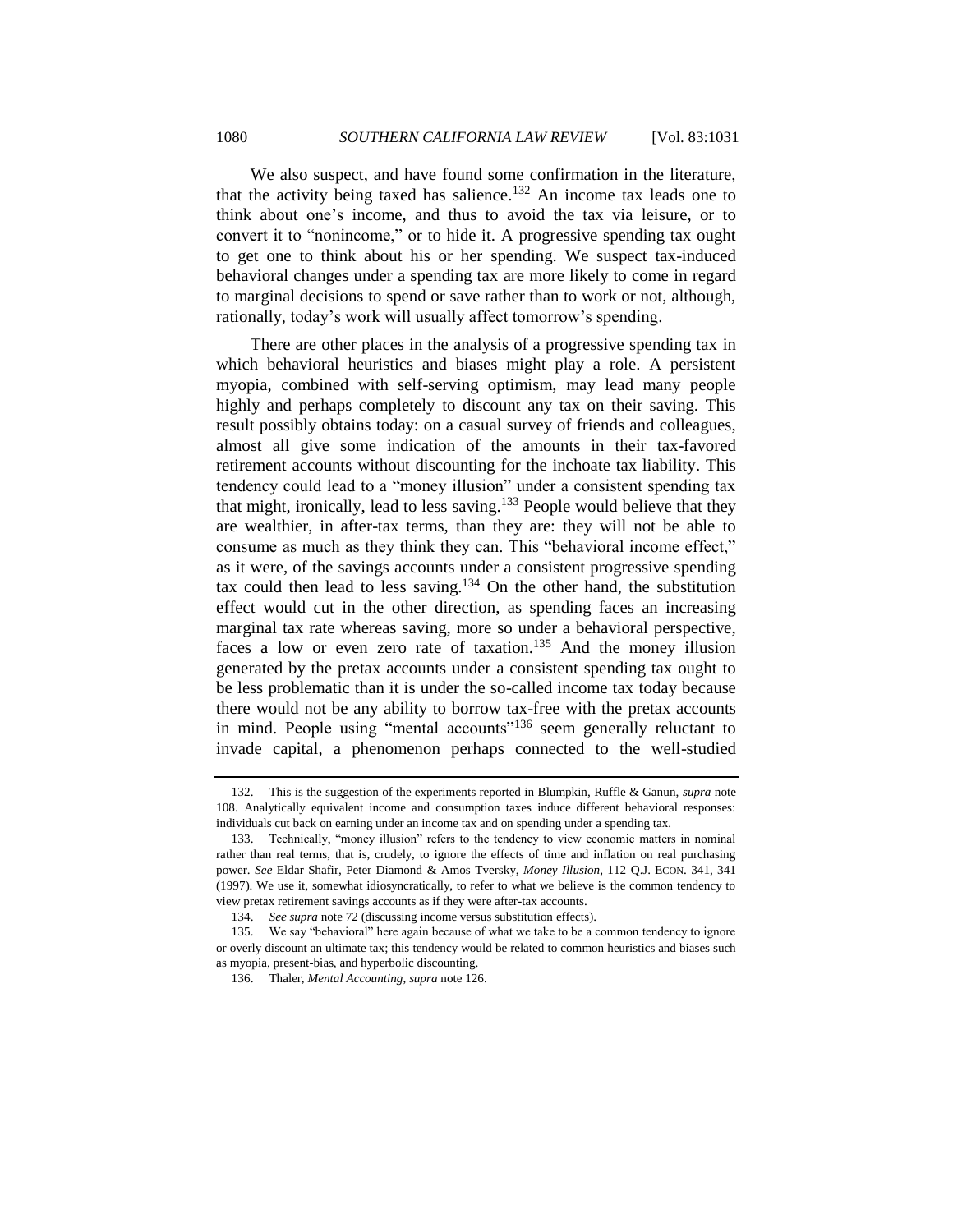We also suspect, and have found some confirmation in the literature, that the activity being taxed has salience.<sup>132</sup> An income tax leads one to think about one's income, and thus to avoid the tax via leisure, or to convert it to "nonincome," or to hide it. A progressive spending tax ought to get one to think about his or her spending. We suspect tax-induced behavioral changes under a spending tax are more likely to come in regard to marginal decisions to spend or save rather than to work or not, although, rationally, today's work will usually affect tomorrow's spending.

There are other places in the analysis of a progressive spending tax in which behavioral heuristics and biases might play a role. A persistent myopia, combined with self-serving optimism, may lead many people highly and perhaps completely to discount any tax on their saving. This result possibly obtains today: on a casual survey of friends and colleagues, almost all give some indication of the amounts in their tax-favored retirement accounts without discounting for the inchoate tax liability. This tendency could lead to a "money illusion" under a consistent spending tax that might, ironically, lead to less saving.<sup>133</sup> People would believe that they are wealthier, in after-tax terms, than they are: they will not be able to consume as much as they think they can. This "behavioral income effect," as it were, of the savings accounts under a consistent progressive spending tax could then lead to less saving.<sup>134</sup> On the other hand, the substitution effect would cut in the other direction, as spending faces an increasing marginal tax rate whereas saving, more so under a behavioral perspective, faces a low or even zero rate of taxation.<sup>135</sup> And the money illusion generated by the pretax accounts under a consistent spending tax ought to be less problematic than it is under the so-called income tax today because there would not be any ability to borrow tax-free with the pretax accounts in mind. People using "mental accounts"<sup>136</sup> seem generally reluctant to invade capital, a phenomenon perhaps connected to the well-studied

<sup>132.</sup> This is the suggestion of the experiments reported in Blumpkin, Ruffle & Ganun, *supra* note [108.](#page-40-1) Analytically equivalent income and consumption taxes induce different behavioral responses: individuals cut back on earning under an income tax and on spending under a spending tax.

<sup>133.</sup> Technically, "money illusion" refers to the tendency to view economic matters in nominal rather than real terms, that is, crudely, to ignore the effects of time and inflation on real purchasing power. *See* Eldar Shafir, Peter Diamond & Amos Tversky, *Money Illusion*, 112 Q.J. ECON. 341, 341 (1997). We use it, somewhat idiosyncratically, to refer to what we believe is the common tendency to view pretax retirement savings accounts as if they were after-tax accounts.

<sup>134.</sup> *See supra* not[e 72](#page-26-2) (discussing income versus substitution effects).

<sup>135.</sup> We say "behavioral" here again because of what we take to be a common tendency to ignore or overly discount an ultimate tax; this tendency would be related to common heuristics and biases such as myopia, present-bias, and hyperbolic discounting.

<sup>136.</sup> Thaler, *Mental Accounting*, *supra* note [126.](#page-48-0)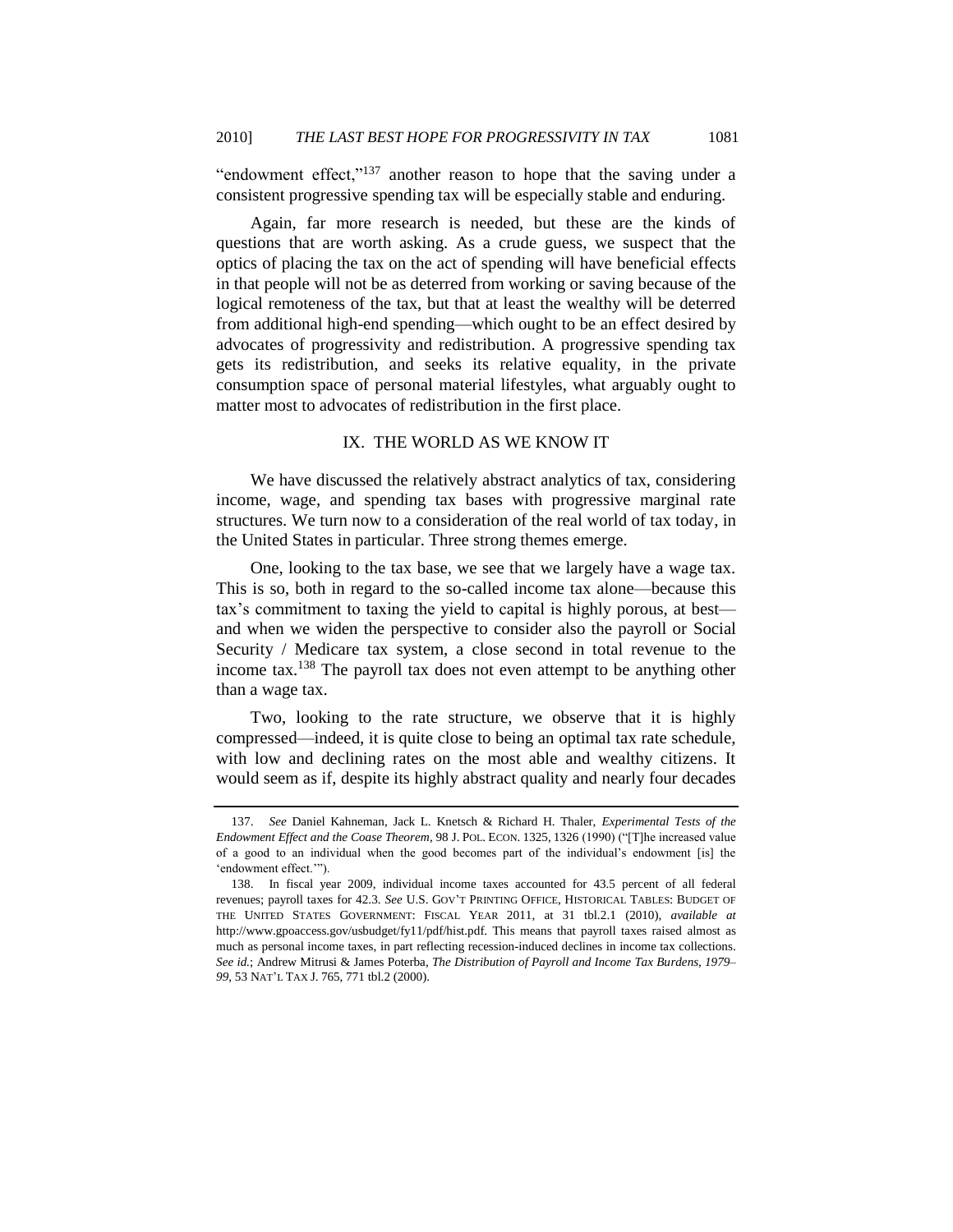"endowment effect," $137$  another reason to hope that the saving under a consistent progressive spending tax will be especially stable and enduring.

Again, far more research is needed, but these are the kinds of questions that are worth asking. As a crude guess, we suspect that the optics of placing the tax on the act of spending will have beneficial effects in that people will not be as deterred from working or saving because of the logical remoteness of the tax, but that at least the wealthy will be deterred from additional high-end spending—which ought to be an effect desired by advocates of progressivity and redistribution. A progressive spending tax gets its redistribution, and seeks its relative equality, in the private consumption space of personal material lifestyles, what arguably ought to matter most to advocates of redistribution in the first place.

#### IX. THE WORLD AS WE KNOW IT

<span id="page-50-0"></span>We have discussed the relatively abstract analytics of tax, considering income, wage, and spending tax bases with progressive marginal rate structures. We turn now to a consideration of the real world of tax today, in the United States in particular. Three strong themes emerge.

One, looking to the tax base, we see that we largely have a wage tax. This is so, both in regard to the so-called income tax alone—because this tax's commitment to taxing the yield to capital is highly porous, at best and when we widen the perspective to consider also the payroll or Social Security / Medicare tax system, a close second in total revenue to the income tax.<sup>138</sup> The payroll tax does not even attempt to be anything other than a wage tax.

Two, looking to the rate structure, we observe that it is highly compressed—indeed, it is quite close to being an optimal tax rate schedule, with low and declining rates on the most able and wealthy citizens. It would seem as if, despite its highly abstract quality and nearly four decades

<sup>137.</sup> *See* Daniel Kahneman, Jack L. Knetsch & Richard H. Thaler, *Experimental Tests of the Endowment Effect and the Coase Theorem*, 98 J. POL. ECON. 1325, 1326 (1990) ("[T]he increased value of a good to an individual when the good becomes part of the individual's endowment [is] the 'endowment effect.'").

<sup>138.</sup> In fiscal year 2009, individual income taxes accounted for 43.5 percent of all federal revenues; payroll taxes for 42.3. *See* U.S. GOV'T PRINTING OFFICE, HISTORICAL TABLES: BUDGET OF THE UNITED STATES GOVERNMENT: FISCAL YEAR 2011, at 31 tbl.2.1 (2010), *available at* http://www.gpoaccess.gov/usbudget/fy11/pdf/hist.pdf. This means that payroll taxes raised almost as much as personal income taxes, in part reflecting recession-induced declines in income tax collections. *See id.*; Andrew Mitrusi & James Poterba, *The Distribution of Payroll and Income Tax Burdens, 1979– 99*, 53 NAT'L TAX J. 765, 771 tbl.2 (2000).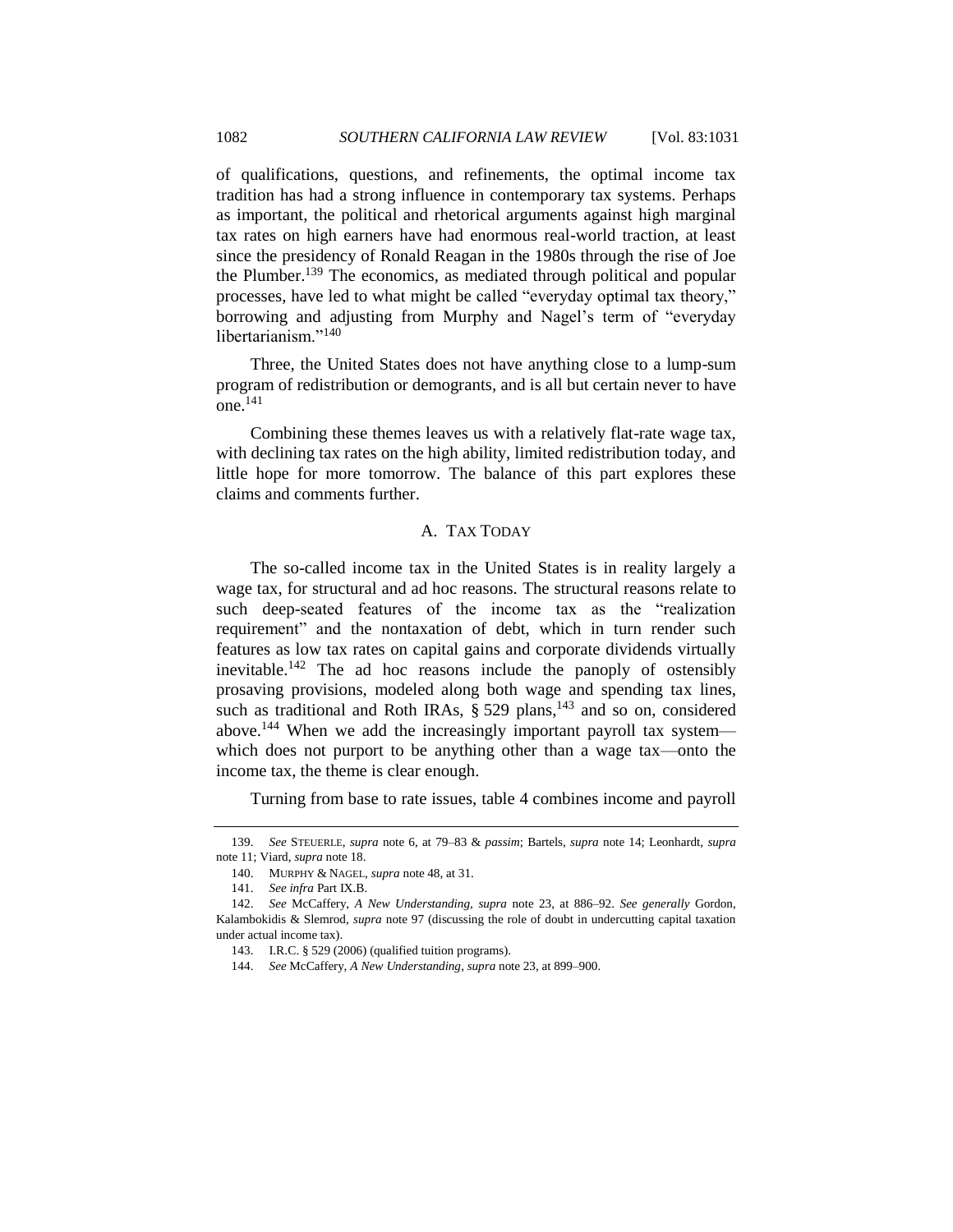of qualifications, questions, and refinements, the optimal income tax tradition has had a strong influence in contemporary tax systems. Perhaps as important, the political and rhetorical arguments against high marginal tax rates on high earners have had enormous real-world traction, at least since the presidency of Ronald Reagan in the 1980s through the rise of Joe the Plumber.<sup>139</sup> The economics, as mediated through political and popular processes, have led to what might be called "everyday optimal tax theory," borrowing and adjusting from Murphy and Nagel's term of "everyday libertarianism."<sup>140</sup>

Three, the United States does not have anything close to a lump-sum program of redistribution or demogrants, and is all but certain never to have one.<sup>141</sup>

Combining these themes leaves us with a relatively flat-rate wage tax, with declining tax rates on the high ability, limited redistribution today, and little hope for more tomorrow. The balance of this part explores these claims and comments further.

# A. TAX TODAY

<span id="page-51-0"></span>The so-called income tax in the United States is in reality largely a wage tax, for structural and ad hoc reasons. The structural reasons relate to such deep-seated features of the income tax as the "realization" requirement" and the nontaxation of debt, which in turn render such features as low tax rates on capital gains and corporate dividends virtually inevitable.<sup>142</sup> The ad hoc reasons include the panoply of ostensibly prosaving provisions, modeled along both wage and spending tax lines, such as traditional and Roth IRAs,  $\S 529$  plans,<sup>143</sup> and so on, considered above.<sup>144</sup> When we add the increasingly important payroll tax system which does not purport to be anything other than a wage tax—onto the income tax, the theme is clear enough.

Turning from base to rate issues, table 4 combines income and payroll

<sup>139.</sup> *See* STEUERLE, *supra* note [6,](#page-4-0) at 79–83 & *passim*; Bartels, *supra* note [14;](#page-5-2) Leonhardt, *supra* note [11;](#page-5-0) Viard, *supra* not[e 18.](#page-6-1)

<sup>140.</sup> MURPHY & NAGEL, *supra* not[e 48,](#page-20-0) at 31.

<sup>141.</sup> *See infra* Part IX.B.

<sup>142.</sup> *See* McCaffery, *A New Understanding*, *supra* note [23,](#page-8-0) at 886–92. *See generally* Gordon, Kalambokidis & Slemrod, *supra* note [97](#page-35-0) (discussing the role of doubt in undercutting capital taxation under actual income tax).

<sup>143.</sup> I.R.C. § 529 (2006) (qualified tuition programs).

<sup>144.</sup> *See* McCaffery, *A New Understanding*, *supra* not[e 23,](#page-8-0) at 899–900.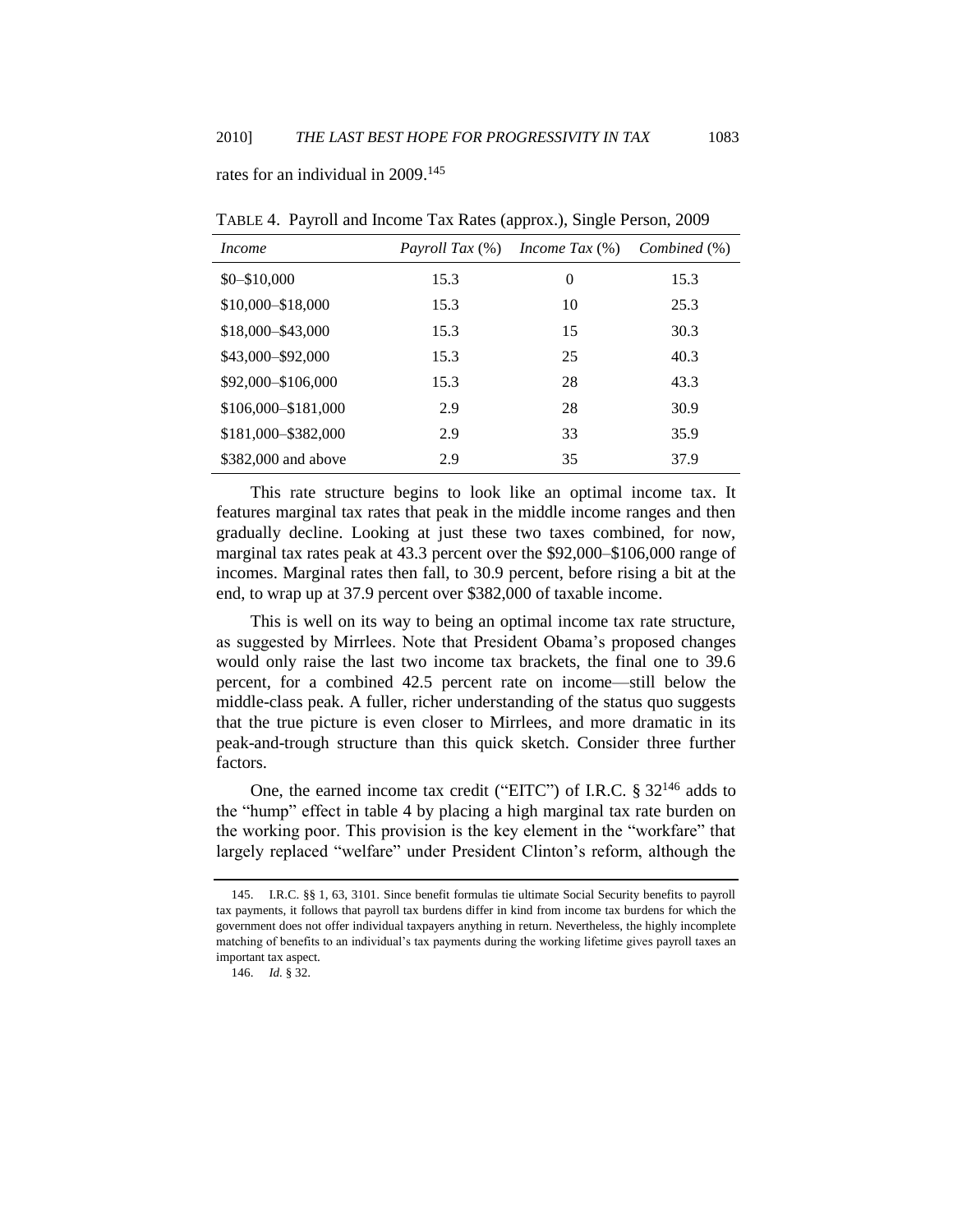rates for an individual in 2009. 145

| <i>Income</i>         | <i>Payroll Tax</i> (%) | <i>Income Tax</i> $(\%)$ | Combined (%) |
|-----------------------|------------------------|--------------------------|--------------|
| $$0 - $10,000$        | 15.3                   | 0                        | 15.3         |
| \$10,000-\$18,000     | 15.3                   | 10                       | 25.3         |
| \$18,000-\$43,000     | 15.3                   | 15                       | 30.3         |
| \$43,000-\$92,000     | 15.3                   | 25                       | 40.3         |
| \$92,000 - \$106,000  | 15.3                   | 28                       | 43.3         |
| \$106,000 - \$181,000 | 2.9                    | 28                       | 30.9         |
| \$181,000-\$382,000   | 2.9                    | 33                       | 35.9         |
| \$382,000 and above   | 2.9                    | 35                       | 37.9         |

TABLE 4. Payroll and Income Tax Rates (approx.), Single Person, 2009

This rate structure begins to look like an optimal income tax. It features marginal tax rates that peak in the middle income ranges and then gradually decline. Looking at just these two taxes combined, for now, marginal tax rates peak at 43.3 percent over the \$92,000–\$106,000 range of incomes. Marginal rates then fall, to 30.9 percent, before rising a bit at the end, to wrap up at 37.9 percent over \$382,000 of taxable income.

This is well on its way to being an optimal income tax rate structure, as suggested by Mirrlees. Note that President Obama's proposed changes would only raise the last two income tax brackets, the final one to 39.6 percent, for a combined 42.5 percent rate on income—still below the middle-class peak. A fuller, richer understanding of the status quo suggests that the true picture is even closer to Mirrlees, and more dramatic in its peak-and-trough structure than this quick sketch. Consider three further factors.

One, the earned income tax credit ("EITC") of I.R.C.  $\S 32^{146}$  adds to the "hump" effect in table 4 by placing a high marginal tax rate burden on the working poor. This provision is the key element in the "workfare" that largely replaced "welfare" under President Clinton's reform, although the

<sup>145.</sup> I.R.C. §§ 1, 63, 3101. Since benefit formulas tie ultimate Social Security benefits to payroll tax payments, it follows that payroll tax burdens differ in kind from income tax burdens for which the government does not offer individual taxpayers anything in return. Nevertheless, the highly incomplete matching of benefits to an individual's tax payments during the working lifetime gives payroll taxes an important tax aspect.

<sup>146.</sup> *Id.* § 32.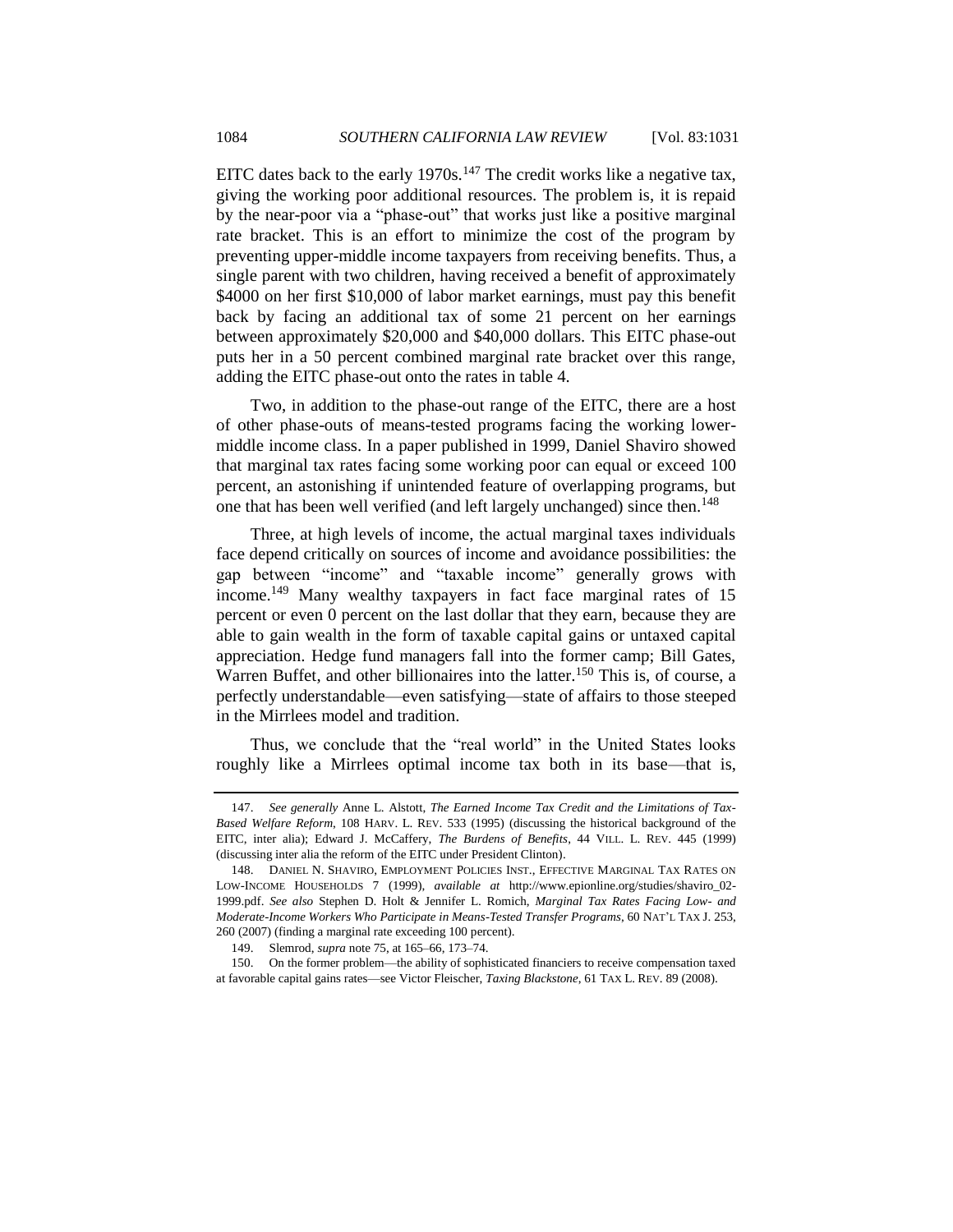EITC dates back to the early  $1970s$ .<sup>147</sup> The credit works like a negative tax, giving the working poor additional resources. The problem is, it is repaid by the near-poor via a "phase-out" that works just like a positive marginal rate bracket. This is an effort to minimize the cost of the program by preventing upper-middle income taxpayers from receiving benefits. Thus, a single parent with two children, having received a benefit of approximately \$4000 on her first \$10,000 of labor market earnings, must pay this benefit back by facing an additional tax of some 21 percent on her earnings between approximately \$20,000 and \$40,000 dollars. This EITC phase-out puts her in a 50 percent combined marginal rate bracket over this range, adding the EITC phase-out onto the rates in table 4.

Two, in addition to the phase-out range of the EITC, there are a host of other phase-outs of means-tested programs facing the working lowermiddle income class. In a paper published in 1999, Daniel Shaviro showed that marginal tax rates facing some working poor can equal or exceed 100 percent, an astonishing if unintended feature of overlapping programs, but one that has been well verified (and left largely unchanged) since then.<sup>148</sup>

Three, at high levels of income, the actual marginal taxes individuals face depend critically on sources of income and avoidance possibilities: the gap between "income" and "taxable income" generally grows with income.<sup>149</sup> Many wealthy taxpayers in fact face marginal rates of 15 percent or even 0 percent on the last dollar that they earn, because they are able to gain wealth in the form of taxable capital gains or untaxed capital appreciation. Hedge fund managers fall into the former camp; Bill Gates, Warren Buffet, and other billionaires into the latter.<sup>150</sup> This is, of course, a perfectly understandable—even satisfying—state of affairs to those steeped in the Mirrlees model and tradition.

Thus, we conclude that the "real world" in the United States looks roughly like a Mirrlees optimal income tax both in its base—that is,

<sup>147.</sup> *See generally* Anne L. Alstott, *The Earned Income Tax Credit and the Limitations of Tax-Based Welfare Reform*, 108 HARV. L. REV. 533 (1995) (discussing the historical background of the EITC, inter alia); Edward J. McCaffery, *The Burdens of Benefits*, 44 VILL. L. REV. 445 (1999) (discussing inter alia the reform of the EITC under President Clinton).

<sup>148.</sup> DANIEL N. SHAVIRO, EMPLOYMENT POLICIES INST., EFFECTIVE MARGINAL TAX RATES ON LOW-INCOME HOUSEHOLDS 7 (1999), *available at* http://www.epionline.org/studies/shaviro\_02- 1999.pdf. *See also* Stephen D. Holt & Jennifer L. Romich, *Marginal Tax Rates Facing Low- and Moderate-Income Workers Who Participate in Means-Tested Transfer Programs*, 60 NAT'L TAX J. 253, 260 (2007) (finding a marginal rate exceeding 100 percent).

<sup>149.</sup> Slemrod, *supra* not[e 75,](#page-27-0) at 165–66, 173–74.

<sup>150.</sup> On the former problem—the ability of sophisticated financiers to receive compensation taxed at favorable capital gains rates—see Victor Fleischer, *Taxing Blackstone*, 61 TAX L. REV. 89 (2008).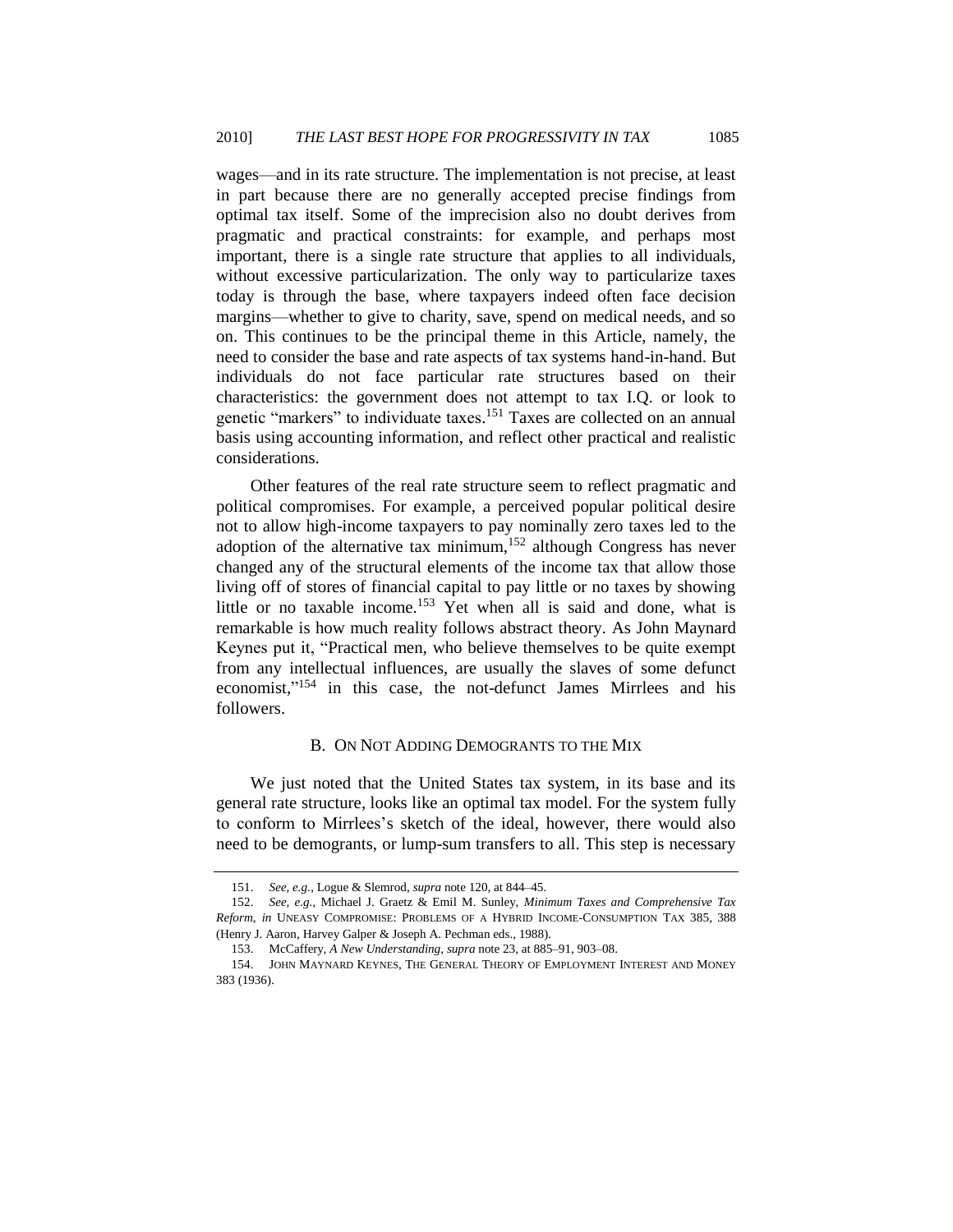wages—and in its rate structure. The implementation is not precise, at least in part because there are no generally accepted precise findings from optimal tax itself. Some of the imprecision also no doubt derives from pragmatic and practical constraints: for example, and perhaps most important, there is a single rate structure that applies to all individuals, without excessive particularization. The only way to particularize taxes today is through the base, where taxpayers indeed often face decision margins—whether to give to charity, save, spend on medical needs, and so on. This continues to be the principal theme in this Article, namely, the need to consider the base and rate aspects of tax systems hand-in-hand. But individuals do not face particular rate structures based on their characteristics: the government does not attempt to tax I.Q. or look to genetic "markers" to individuate taxes.<sup>151</sup> Taxes are collected on an annual basis using accounting information, and reflect other practical and realistic considerations.

Other features of the real rate structure seem to reflect pragmatic and political compromises. For example, a perceived popular political desire not to allow high-income taxpayers to pay nominally zero taxes led to the adoption of the alternative tax minimum,  $152$  although Congress has never changed any of the structural elements of the income tax that allow those living off of stores of financial capital to pay little or no taxes by showing little or no taxable income.<sup>153</sup> Yet when all is said and done, what is remarkable is how much reality follows abstract theory. As John Maynard Keynes put it, "Practical men, who believe themselves to be quite exempt from any intellectual influences, are usually the slaves of some defunct economist,"<sup>154</sup> in this case, the not-defunct James Mirrlees and his followers.

#### B. ON NOT ADDING DEMOGRANTS TO THE MIX

<span id="page-54-0"></span>We just noted that the United States tax system, in its base and its general rate structure, looks like an optimal tax model. For the system fully to conform to Mirrlees's sketch of the ideal, however, there would also need to be demogrants, or lump-sum transfers to all. This step is necessary

<sup>151.</sup> *See, e.g.*, Logue & Slemrod, *supra* not[e 120,](#page-46-1) at 844–45.

<sup>152.</sup> *See, e.g.*, Michael J. Graetz & Emil M. Sunley, *Minimum Taxes and Comprehensive Tax Reform*, *in* UNEASY COMPROMISE: PROBLEMS OF A HYBRID INCOME-CONSUMPTION TAX 385, 388 (Henry J. Aaron, Harvey Galper & Joseph A. Pechman eds., 1988).

<sup>153.</sup> McCaffery, *A New Understanding*, *supra* not[e 23,](#page-8-0) at 885–91, 903–08.

<sup>154.</sup> JOHN MAYNARD KEYNES, THE GENERAL THEORY OF EMPLOYMENT INTEREST AND MONEY 383 (1936).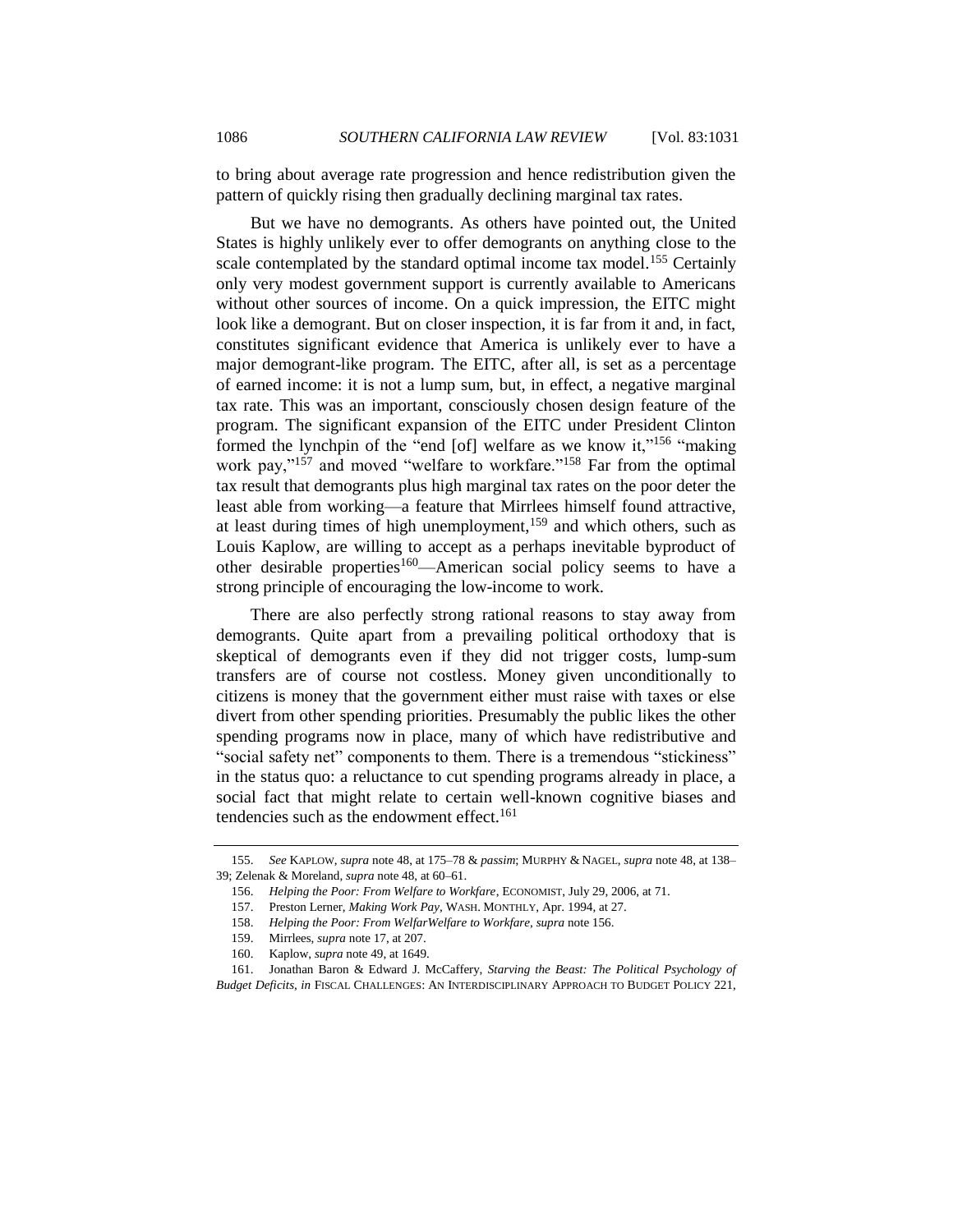to bring about average rate progression and hence redistribution given the pattern of quickly rising then gradually declining marginal tax rates.

<span id="page-55-0"></span>But we have no demogrants. As others have pointed out, the United States is highly unlikely ever to offer demogrants on anything close to the scale contemplated by the standard optimal income tax model.<sup>155</sup> Certainly only very modest government support is currently available to Americans without other sources of income. On a quick impression, the EITC might look like a demogrant. But on closer inspection, it is far from it and, in fact, constitutes significant evidence that America is unlikely ever to have a major demogrant-like program. The EITC, after all, is set as a percentage of earned income: it is not a lump sum, but, in effect, a negative marginal tax rate. This was an important, consciously chosen design feature of the program. The significant expansion of the EITC under President Clinton formed the lynchpin of the "end [of] welfare as we know it,"<sup>156</sup> "making" work pay,"157 and moved "welfare to workfare."<sup>158</sup> Far from the optimal tax result that demogrants plus high marginal tax rates on the poor deter the least able from working—a feature that Mirrlees himself found attractive, at least during times of high unemployment,<sup>159</sup> and which others, such as Louis Kaplow, are willing to accept as a perhaps inevitable byproduct of other desirable properties<sup>160</sup>—American social policy seems to have a strong principle of encouraging the low-income to work.

<span id="page-55-1"></span>There are also perfectly strong rational reasons to stay away from demogrants. Quite apart from a prevailing political orthodoxy that is skeptical of demogrants even if they did not trigger costs, lump-sum transfers are of course not costless. Money given unconditionally to citizens is money that the government either must raise with taxes or else divert from other spending priorities. Presumably the public likes the other spending programs now in place, many of which have redistributive and "social safety net" components to them. There is a tremendous "stickiness" in the status quo: a reluctance to cut spending programs already in place, a social fact that might relate to certain well-known cognitive biases and tendencies such as the endowment effect.<sup>161</sup>

<sup>155.</sup> *See* KAPLOW, *supra* not[e 48,](#page-20-0) at 175–78 & *passim*; MURPHY & NAGEL, *supra* not[e 48,](#page-20-0) at 138– 39; Zelenak & Moreland, *supra* not[e 48,](#page-20-0) at 60–61.

<sup>156.</sup> *Helping the Poor: From Welfare to Workfare*, ECONOMIST, July 29, 2006, at 71.

<sup>157.</sup> Preston Lerner, *Making Work Pay*, WASH. MONTHLY, Apr. 1994, at 27.

<sup>158.</sup> *Helping the Poor: From WelfarWelfare to Workfare*, *supra* not[e 156.](#page-55-1)

<sup>159.</sup> Mirrlees, *supra* not[e 17,](#page-6-0) at 207.

<sup>160.</sup> Kaplow, *supra* not[e 49,](#page-20-1) at 1649.

<sup>161.</sup> Jonathan Baron & Edward J. McCaffery, *Starving the Beast: The Political Psychology of Budget Deficits*, *in* FISCAL CHALLENGES: AN INTERDISCIPLINARY APPROACH TO BUDGET POLICY 221,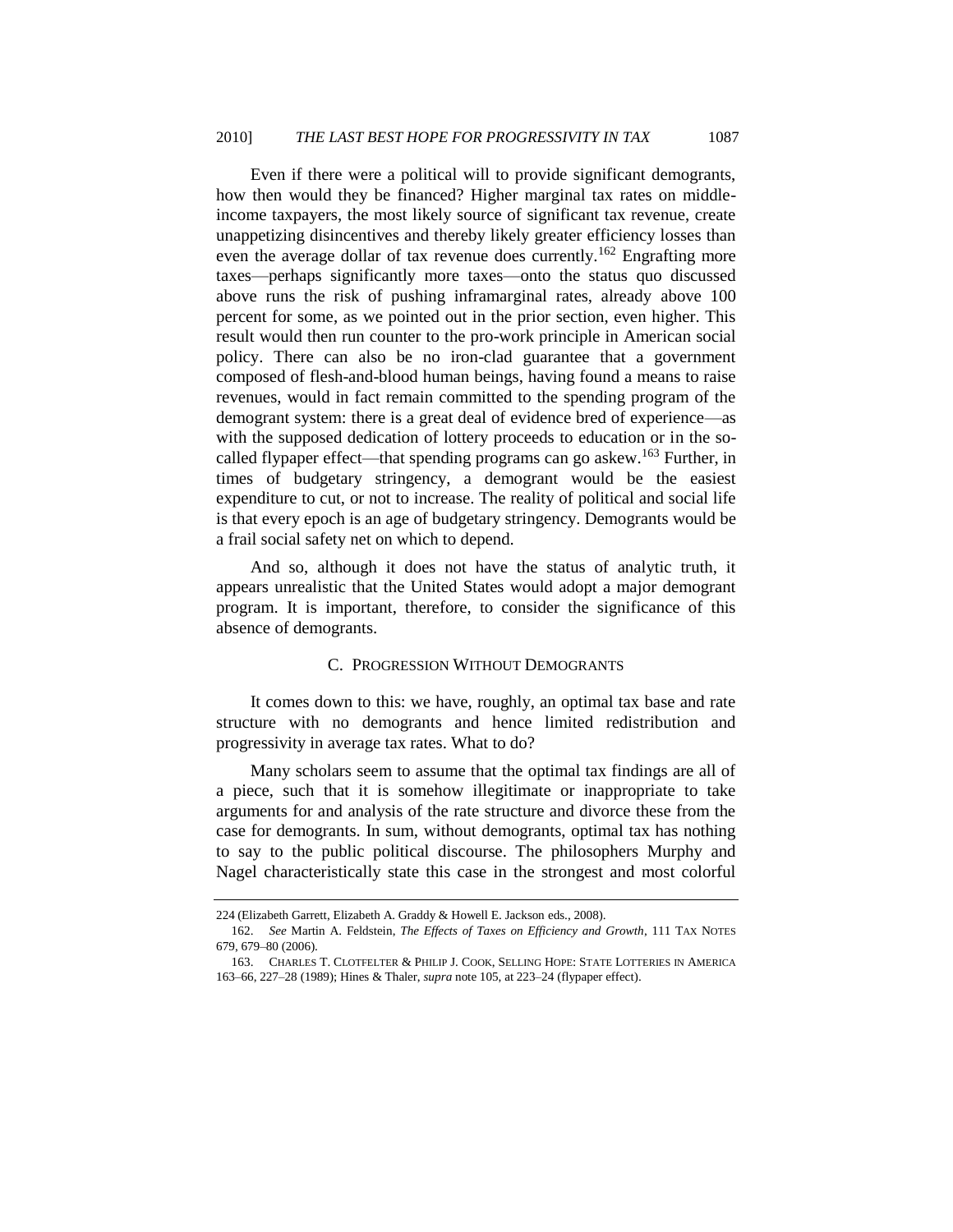Even if there were a political will to provide significant demogrants, how then would they be financed? Higher marginal tax rates on middleincome taxpayers, the most likely source of significant tax revenue, create unappetizing disincentives and thereby likely greater efficiency losses than even the average dollar of tax revenue does currently.<sup>162</sup> Engrafting more taxes—perhaps significantly more taxes—onto the status quo discussed above runs the risk of pushing inframarginal rates, already above 100 percent for some, as we pointed out in the prior section, even higher. This result would then run counter to the pro-work principle in American social policy. There can also be no iron-clad guarantee that a government composed of flesh-and-blood human beings, having found a means to raise revenues, would in fact remain committed to the spending program of the demogrant system: there is a great deal of evidence bred of experience—as with the supposed dedication of lottery proceeds to education or in the socalled flypaper effect—that spending programs can go askew.<sup>163</sup> Further, in times of budgetary stringency, a demogrant would be the easiest expenditure to cut, or not to increase. The reality of political and social life is that every epoch is an age of budgetary stringency. Demogrants would be a frail social safety net on which to depend.

And so, although it does not have the status of analytic truth, it appears unrealistic that the United States would adopt a major demogrant program. It is important, therefore, to consider the significance of this absence of demogrants.

## C. PROGRESSION WITHOUT DEMOGRANTS

<span id="page-56-0"></span>It comes down to this: we have, roughly, an optimal tax base and rate structure with no demogrants and hence limited redistribution and progressivity in average tax rates. What to do?

Many scholars seem to assume that the optimal tax findings are all of a piece, such that it is somehow illegitimate or inappropriate to take arguments for and analysis of the rate structure and divorce these from the case for demogrants. In sum, without demogrants, optimal tax has nothing to say to the public political discourse. The philosophers Murphy and Nagel characteristically state this case in the strongest and most colorful

<sup>224</sup> (Elizabeth Garrett, Elizabeth A. Graddy & Howell E. Jackson eds., 2008).

<sup>162.</sup> *See* Martin A. Feldstein, *The Effects of Taxes on Efficiency and Growth*, 111 TAX NOTES 679, 679–80 (2006).

<sup>163.</sup> CHARLES T. CLOTFELTER & PHILIP J. COOK, SELLING HOPE: STATE LOTTERIES IN AMERICA 163–66, 227–28 (1989); Hines & Thaler, *supra* not[e 105,](#page-38-0) at 223–24 (flypaper effect).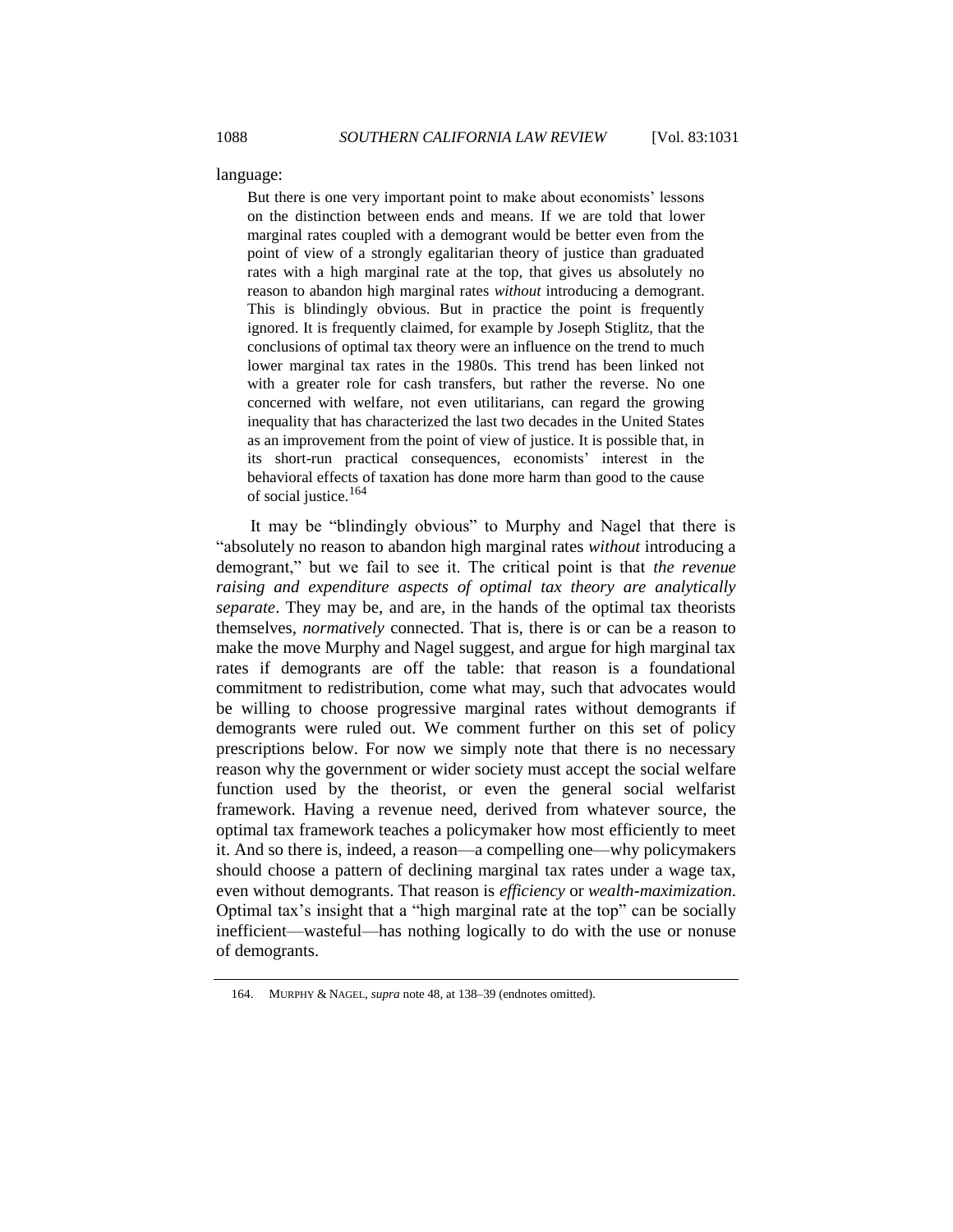language:

But there is one very important point to make about economists' lessons on the distinction between ends and means. If we are told that lower marginal rates coupled with a demogrant would be better even from the point of view of a strongly egalitarian theory of justice than graduated rates with a high marginal rate at the top, that gives us absolutely no reason to abandon high marginal rates *without* introducing a demogrant. This is blindingly obvious. But in practice the point is frequently ignored. It is frequently claimed, for example by Joseph Stiglitz, that the conclusions of optimal tax theory were an influence on the trend to much lower marginal tax rates in the 1980s. This trend has been linked not with a greater role for cash transfers, but rather the reverse. No one concerned with welfare, not even utilitarians, can regard the growing inequality that has characterized the last two decades in the United States as an improvement from the point of view of justice. It is possible that, in its short-run practical consequences, economists' interest in the behavioral effects of taxation has done more harm than good to the cause of social justice.<sup>164</sup>

<span id="page-57-0"></span>It may be "blindingly obvious" to Murphy and Nagel that there is ―absolutely no reason to abandon high marginal rates *without* introducing a demogrant," but we fail to see it. The critical point is that *the revenue raising and expenditure aspects of optimal tax theory are analytically separate*. They may be, and are, in the hands of the optimal tax theorists themselves, *normatively* connected. That is, there is or can be a reason to make the move Murphy and Nagel suggest, and argue for high marginal tax rates if demogrants are off the table: that reason is a foundational commitment to redistribution, come what may, such that advocates would be willing to choose progressive marginal rates without demogrants if demogrants were ruled out. We comment further on this set of policy prescriptions below. For now we simply note that there is no necessary reason why the government or wider society must accept the social welfare function used by the theorist, or even the general social welfarist framework. Having a revenue need, derived from whatever source, the optimal tax framework teaches a policymaker how most efficiently to meet it. And so there is, indeed, a reason—a compelling one—why policymakers should choose a pattern of declining marginal tax rates under a wage tax, even without demogrants. That reason is *efficiency* or *wealth-maximization*. Optimal tax's insight that a "high marginal rate at the top" can be socially inefficient—wasteful—has nothing logically to do with the use or nonuse of demogrants.

<sup>164.</sup> MURPHY & NAGEL, *supra* not[e 48,](#page-20-0) at 138–39 (endnotes omitted).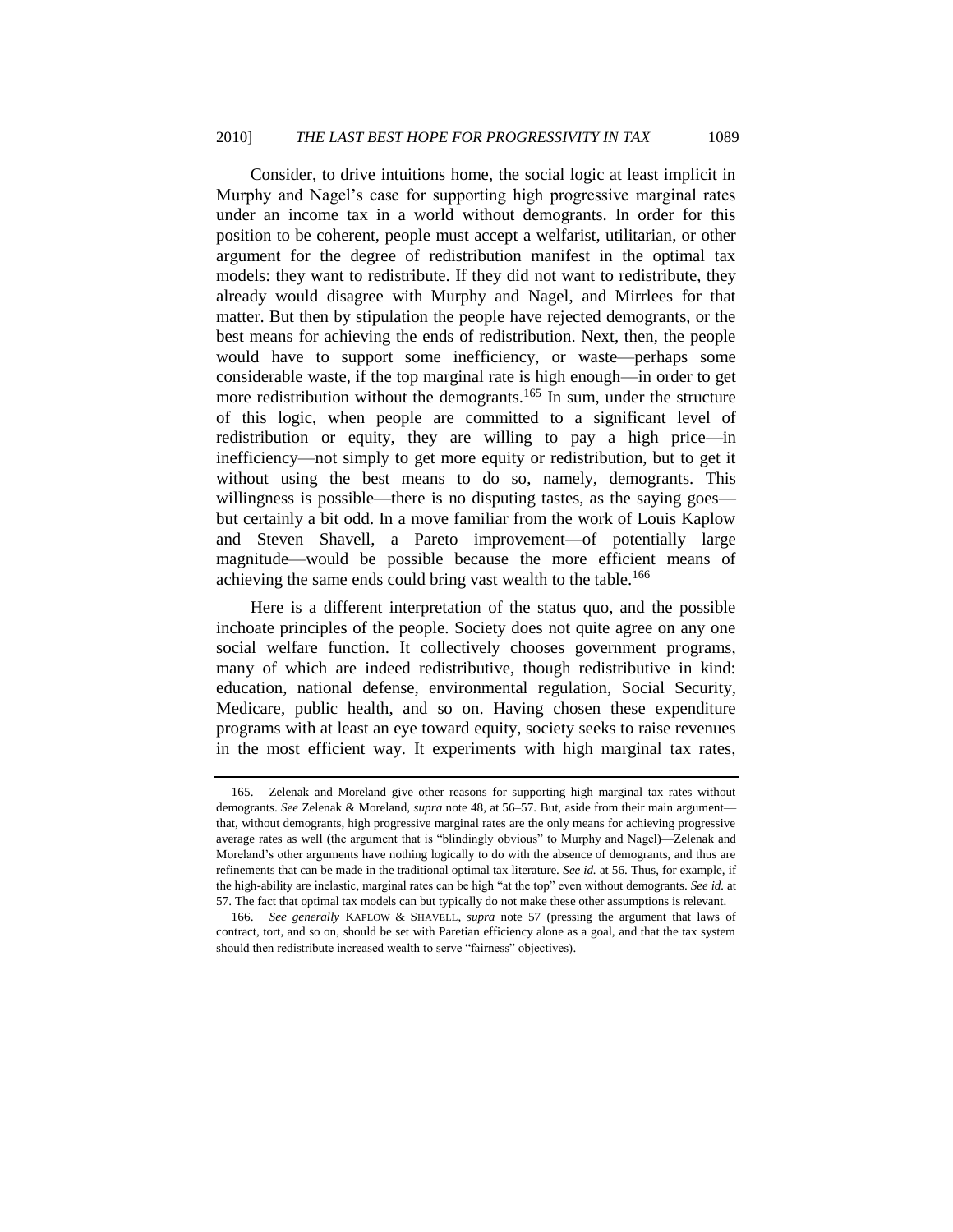Consider, to drive intuitions home, the social logic at least implicit in Murphy and Nagel's case for supporting high progressive marginal rates under an income tax in a world without demogrants. In order for this position to be coherent, people must accept a welfarist, utilitarian, or other argument for the degree of redistribution manifest in the optimal tax models: they want to redistribute. If they did not want to redistribute, they already would disagree with Murphy and Nagel, and Mirrlees for that matter. But then by stipulation the people have rejected demogrants, or the best means for achieving the ends of redistribution. Next, then, the people would have to support some inefficiency, or waste—perhaps some considerable waste, if the top marginal rate is high enough—in order to get more redistribution without the demogrants.<sup>165</sup> In sum, under the structure of this logic, when people are committed to a significant level of redistribution or equity, they are willing to pay a high price—in inefficiency—not simply to get more equity or redistribution, but to get it without using the best means to do so, namely, demogrants. This willingness is possible—there is no disputing tastes, as the saying goes but certainly a bit odd. In a move familiar from the work of Louis Kaplow and Steven Shavell, a Pareto improvement—of potentially large magnitude—would be possible because the more efficient means of achieving the same ends could bring vast wealth to the table.<sup>166</sup>

Here is a different interpretation of the status quo, and the possible inchoate principles of the people. Society does not quite agree on any one social welfare function. It collectively chooses government programs, many of which are indeed redistributive, though redistributive in kind: education, national defense, environmental regulation, Social Security, Medicare, public health, and so on. Having chosen these expenditure programs with at least an eye toward equity, society seeks to raise revenues in the most efficient way. It experiments with high marginal tax rates,

<sup>165.</sup> Zelenak and Moreland give other reasons for supporting high marginal tax rates without demogrants. *See* Zelenak & Moreland, *supra* not[e 48,](#page-20-0) at 56–57. But, aside from their main argument that, without demogrants, high progressive marginal rates are the only means for achieving progressive average rates as well (the argument that is "blindingly obvious" to Murphy and Nagel)—Zelenak and Moreland's other arguments have nothing logically to do with the absence of demogrants, and thus are refinements that can be made in the traditional optimal tax literature. *See id.* at 56. Thus, for example, if the high-ability are inelastic, marginal rates can be high "at the top" even without demogrants. *See id.* at 57. The fact that optimal tax models can but typically do not make these other assumptions is relevant.

<sup>166.</sup> *See generally* KAPLOW & SHAVELL, *supra* note [57](#page-22-3) (pressing the argument that laws of contract, tort, and so on, should be set with Paretian efficiency alone as a goal, and that the tax system should then redistribute increased wealth to serve "fairness" objectives).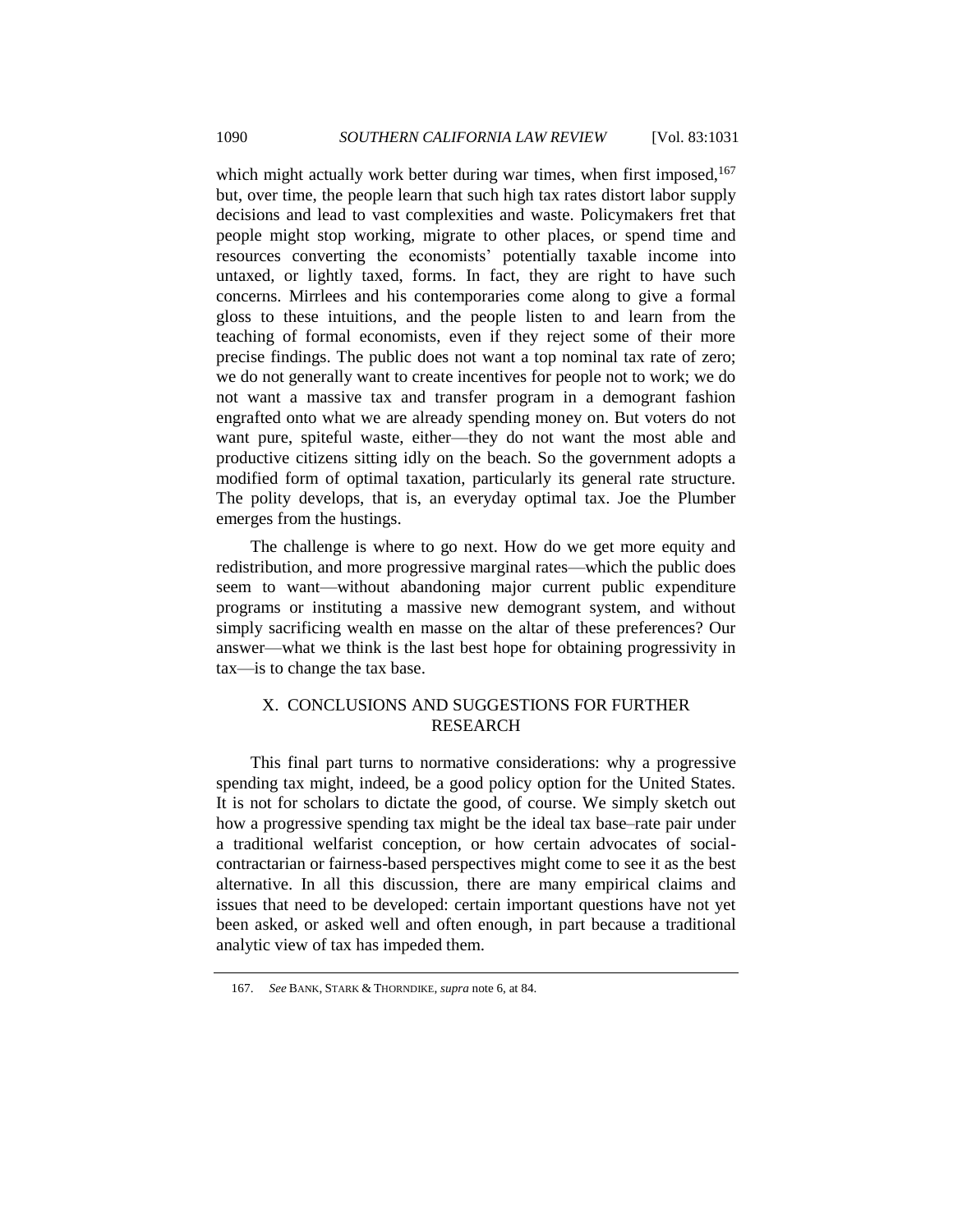which might actually work better during war times, when first imposed,<sup>167</sup> but, over time, the people learn that such high tax rates distort labor supply decisions and lead to vast complexities and waste. Policymakers fret that people might stop working, migrate to other places, or spend time and resources converting the economists' potentially taxable income into untaxed, or lightly taxed, forms. In fact, they are right to have such concerns. Mirrlees and his contemporaries come along to give a formal gloss to these intuitions, and the people listen to and learn from the teaching of formal economists, even if they reject some of their more precise findings. The public does not want a top nominal tax rate of zero; we do not generally want to create incentives for people not to work; we do not want a massive tax and transfer program in a demogrant fashion engrafted onto what we are already spending money on. But voters do not want pure, spiteful waste, either—they do not want the most able and productive citizens sitting idly on the beach. So the government adopts a modified form of optimal taxation, particularly its general rate structure. The polity develops, that is, an everyday optimal tax. Joe the Plumber emerges from the hustings.

The challenge is where to go next. How do we get more equity and redistribution, and more progressive marginal rates—which the public does seem to want—without abandoning major current public expenditure programs or instituting a massive new demogrant system, and without simply sacrificing wealth en masse on the altar of these preferences? Our answer—what we think is the last best hope for obtaining progressivity in tax—is to change the tax base.

# <span id="page-59-0"></span>X. CONCLUSIONS AND SUGGESTIONS FOR FURTHER RESEARCH

This final part turns to normative considerations: why a progressive spending tax might, indeed, be a good policy option for the United States. It is not for scholars to dictate the good, of course. We simply sketch out how a progressive spending tax might be the ideal tax base–rate pair under a traditional welfarist conception, or how certain advocates of socialcontractarian or fairness-based perspectives might come to see it as the best alternative. In all this discussion, there are many empirical claims and issues that need to be developed: certain important questions have not yet been asked, or asked well and often enough, in part because a traditional analytic view of tax has impeded them.

<sup>167.</sup> *See* BANK, STARK & THORNDIKE, *supra* not[e 6,](#page-4-0) at 84.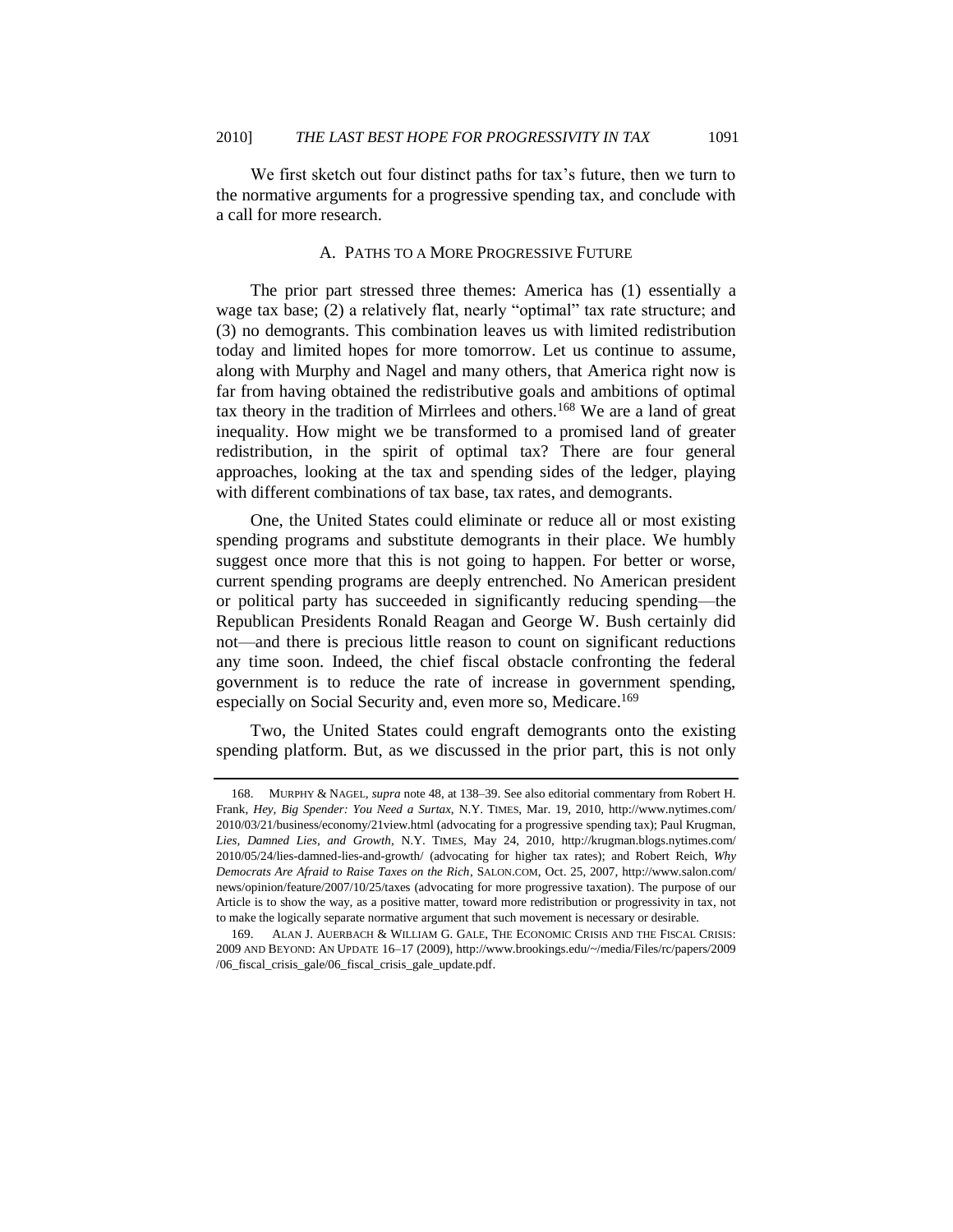<span id="page-60-0"></span>We first sketch out four distinct paths for tax's future, then we turn to the normative arguments for a progressive spending tax, and conclude with a call for more research.

## <span id="page-60-1"></span>A. PATHS TO A MORE PROGRESSIVE FUTURE

The prior part stressed three themes: America has (1) essentially a wage tax base; (2) a relatively flat, nearly "optimal" tax rate structure; and (3) no demogrants. This combination leaves us with limited redistribution today and limited hopes for more tomorrow. Let us continue to assume, along with Murphy and Nagel and many others, that America right now is far from having obtained the redistributive goals and ambitions of optimal tax theory in the tradition of Mirrlees and others.<sup>168</sup> We are a land of great inequality. How might we be transformed to a promised land of greater redistribution, in the spirit of optimal tax? There are four general approaches, looking at the tax and spending sides of the ledger, playing with different combinations of tax base, tax rates, and demogrants.

One, the United States could eliminate or reduce all or most existing spending programs and substitute demogrants in their place. We humbly suggest once more that this is not going to happen. For better or worse, current spending programs are deeply entrenched. No American president or political party has succeeded in significantly reducing spending—the Republican Presidents Ronald Reagan and George W. Bush certainly did not—and there is precious little reason to count on significant reductions any time soon. Indeed, the chief fiscal obstacle confronting the federal government is to reduce the rate of increase in government spending, especially on Social Security and, even more so, Medicare.<sup>169</sup>

Two, the United States could engraft demogrants onto the existing spending platform. But, as we discussed in the prior part, this is not only

<sup>168.</sup> MURPHY & NAGEL, *supra* not[e 48,](#page-20-0) at 138–39. See also editorial commentary from Robert H. Frank, *Hey, Big Spender: You Need a Surtax*, N.Y. TIMES, Mar. 19, 2010, http://www.nytimes.com/ 2010/03/21/business/economy/21view.html (advocating for a progressive spending tax); Paul Krugman, *Lies, Damned Lies, and Growth*, N.Y. TIMES, May 24, 2010, http://krugman.blogs.nytimes.com/ 2010/05/24/lies-damned-lies-and-growth/ (advocating for higher tax rates); and Robert Reich, *Why Democrats Are Afraid to Raise Taxes on the Rich*, SALON.COM, Oct. 25, 2007, http://www.salon.com/ news/opinion/feature/2007/10/25/taxes (advocating for more progressive taxation). The purpose of our Article is to show the way, as a positive matter, toward more redistribution or progressivity in tax, not to make the logically separate normative argument that such movement is necessary or desirable.

<sup>169.</sup> ALAN J. AUERBACH & WILLIAM G. GALE, THE ECONOMIC CRISIS AND THE FISCAL CRISIS: 2009 AND BEYOND: AN UPDATE 16–17 (2009), http://www.brookings.edu/~/media/Files/rc/papers/2009 /06\_fiscal\_crisis\_gale/06\_fiscal\_crisis\_gale\_update.pdf.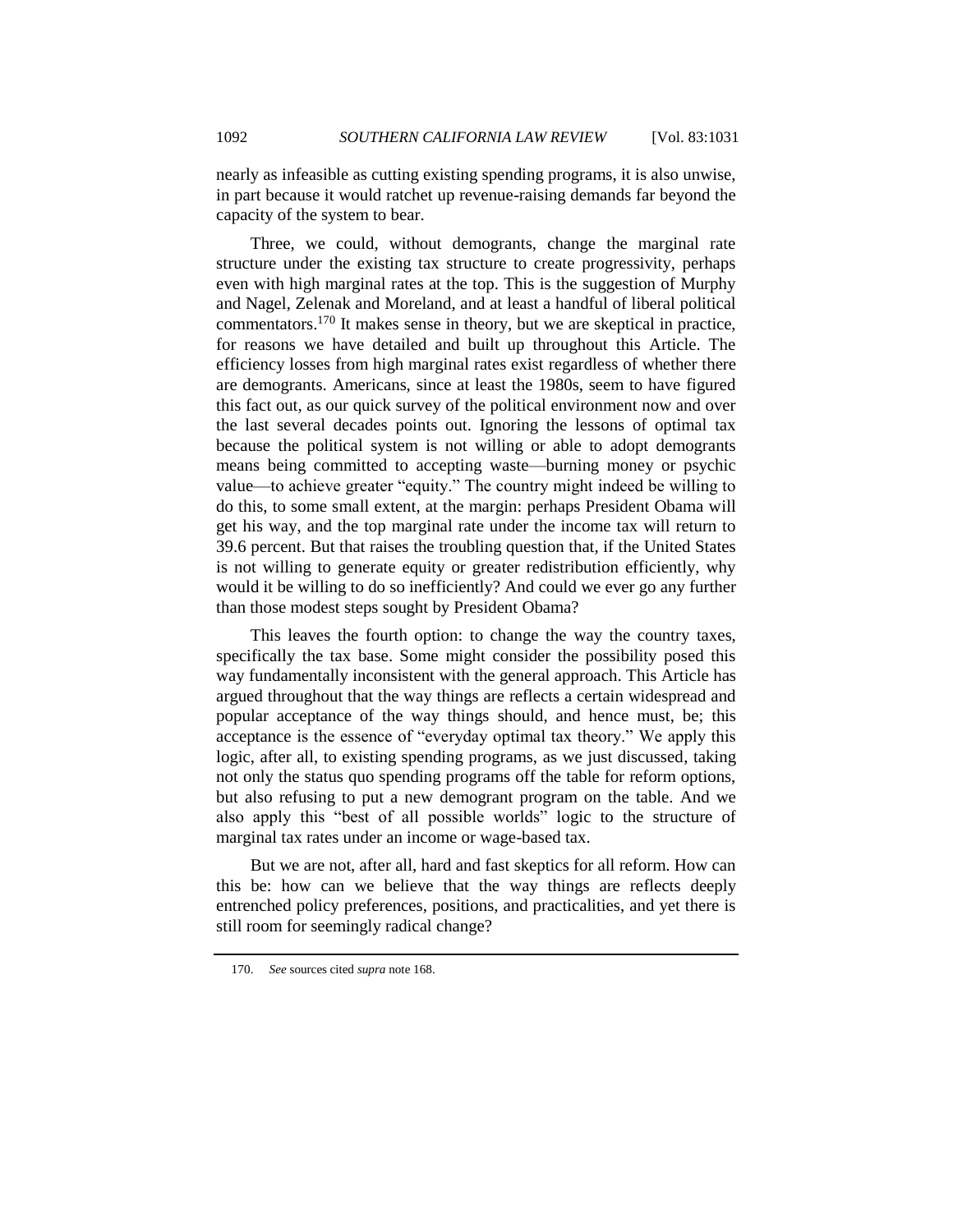nearly as infeasible as cutting existing spending programs, it is also unwise, in part because it would ratchet up revenue-raising demands far beyond the capacity of the system to bear.

Three, we could, without demogrants, change the marginal rate structure under the existing tax structure to create progressivity, perhaps even with high marginal rates at the top. This is the suggestion of Murphy and Nagel, Zelenak and Moreland, and at least a handful of liberal political commentators.<sup>170</sup> It makes sense in theory, but we are skeptical in practice, for reasons we have detailed and built up throughout this Article. The efficiency losses from high marginal rates exist regardless of whether there are demogrants. Americans, since at least the 1980s, seem to have figured this fact out, as our quick survey of the political environment now and over the last several decades points out. Ignoring the lessons of optimal tax because the political system is not willing or able to adopt demogrants means being committed to accepting waste—burning money or psychic value—to achieve greater "equity." The country might indeed be willing to do this, to some small extent, at the margin: perhaps President Obama will get his way, and the top marginal rate under the income tax will return to 39.6 percent. But that raises the troubling question that, if the United States is not willing to generate equity or greater redistribution efficiently, why would it be willing to do so inefficiently? And could we ever go any further than those modest steps sought by President Obama?

This leaves the fourth option: to change the way the country taxes, specifically the tax base. Some might consider the possibility posed this way fundamentally inconsistent with the general approach. This Article has argued throughout that the way things are reflects a certain widespread and popular acceptance of the way things should, and hence must, be; this acceptance is the essence of "everyday optimal tax theory." We apply this logic, after all, to existing spending programs, as we just discussed, taking not only the status quo spending programs off the table for reform options, but also refusing to put a new demogrant program on the table. And we also apply this "best of all possible worlds" logic to the structure of marginal tax rates under an income or wage-based tax.

But we are not, after all, hard and fast skeptics for all reform. How can this be: how can we believe that the way things are reflects deeply entrenched policy preferences, positions, and practicalities, and yet there is still room for seemingly radical change?

<sup>170.</sup> *See* sources cited *supra* note [168.](#page-60-1)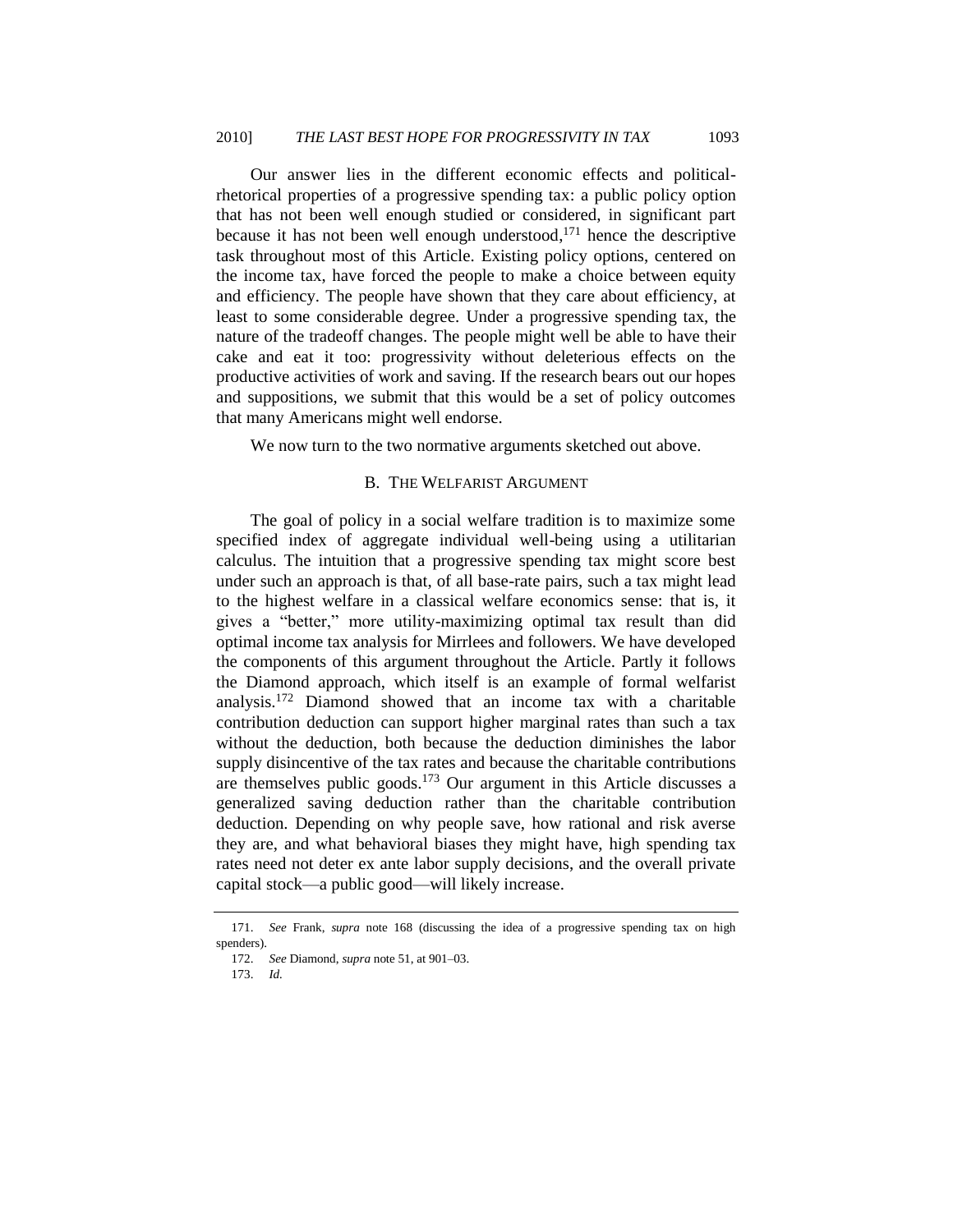Our answer lies in the different economic effects and politicalrhetorical properties of a progressive spending tax: a public policy option that has not been well enough studied or considered, in significant part because it has not been well enough understood, <sup>171</sup> hence the descriptive task throughout most of this Article. Existing policy options, centered on the income tax, have forced the people to make a choice between equity and efficiency. The people have shown that they care about efficiency, at least to some considerable degree. Under a progressive spending tax, the nature of the tradeoff changes. The people might well be able to have their cake and eat it too: progressivity without deleterious effects on the productive activities of work and saving. If the research bears out our hopes and suppositions, we submit that this would be a set of policy outcomes that many Americans might well endorse.

<span id="page-62-0"></span>We now turn to the two normative arguments sketched out above.

#### B. THE WELFARIST ARGUMENT

The goal of policy in a social welfare tradition is to maximize some specified index of aggregate individual well-being using a utilitarian calculus. The intuition that a progressive spending tax might score best under such an approach is that, of all base-rate pairs, such a tax might lead to the highest welfare in a classical welfare economics sense: that is, it gives a "better," more utility-maximizing optimal tax result than did optimal income tax analysis for Mirrlees and followers. We have developed the components of this argument throughout the Article. Partly it follows the Diamond approach, which itself is an example of formal welfarist analysis.<sup>172</sup> Diamond showed that an income tax with a charitable contribution deduction can support higher marginal rates than such a tax without the deduction, both because the deduction diminishes the labor supply disincentive of the tax rates and because the charitable contributions are themselves public goods.<sup>173</sup> Our argument in this Article discusses a generalized saving deduction rather than the charitable contribution deduction. Depending on why people save, how rational and risk averse they are, and what behavioral biases they might have, high spending tax rates need not deter ex ante labor supply decisions, and the overall private capital stock—a public good—will likely increase.

173. *Id.*

<sup>171.</sup> *See* Frank, *supra* note [168](#page-60-1) (discussing the idea of a progressive spending tax on high spenders).

<sup>172.</sup> *See* Diamond, *supra* note [51,](#page-21-0) at 901–03.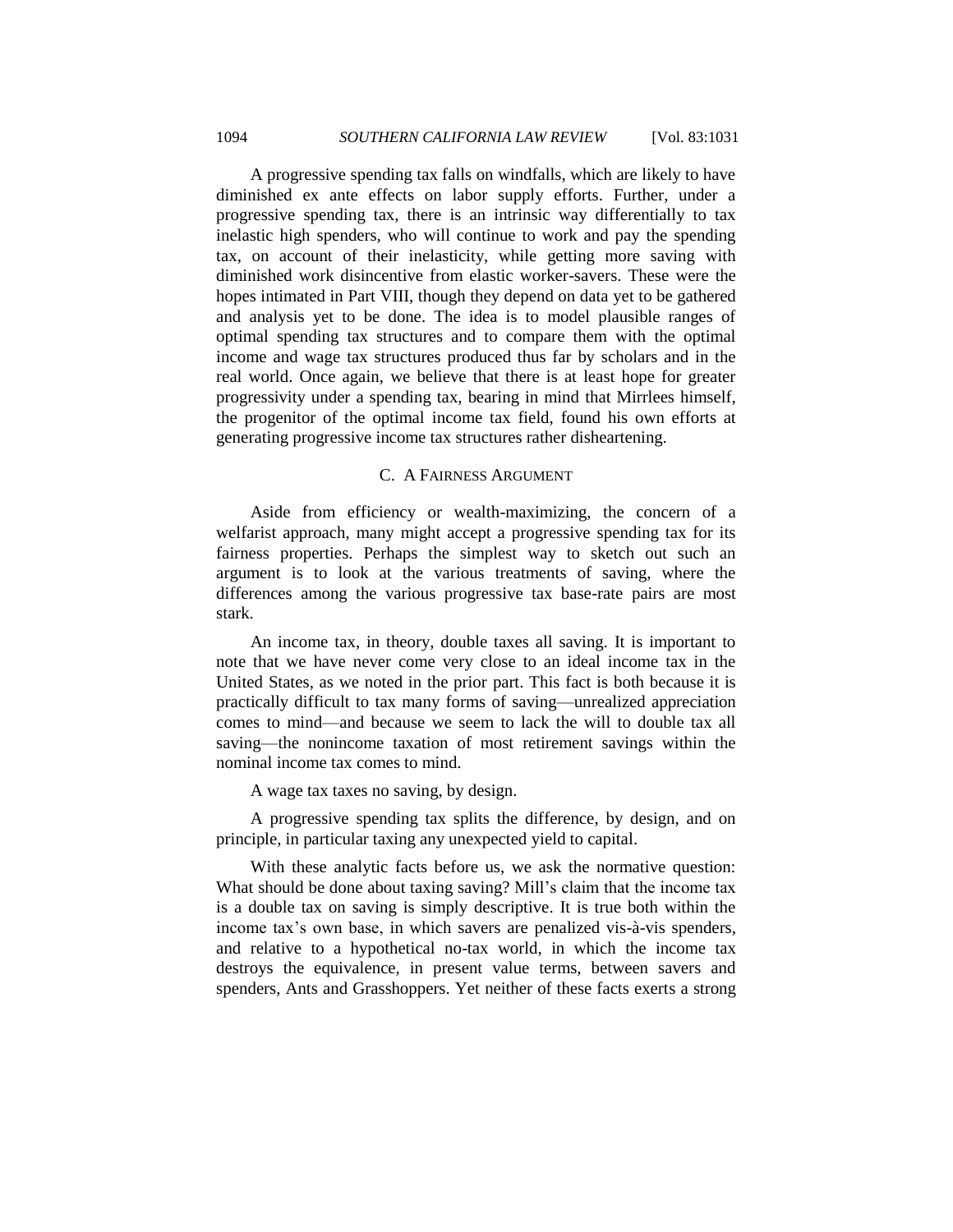A progressive spending tax falls on windfalls, which are likely to have diminished ex ante effects on labor supply efforts. Further, under a progressive spending tax, there is an intrinsic way differentially to tax inelastic high spenders, who will continue to work and pay the spending tax, on account of their inelasticity, while getting more saving with diminished work disincentive from elastic worker-savers. These were the hopes intimated in Part VIII, though they depend on data yet to be gathered and analysis yet to be done. The idea is to model plausible ranges of optimal spending tax structures and to compare them with the optimal income and wage tax structures produced thus far by scholars and in the real world. Once again, we believe that there is at least hope for greater progressivity under a spending tax, bearing in mind that Mirrlees himself, the progenitor of the optimal income tax field, found his own efforts at generating progressive income tax structures rather disheartening.

#### C. A FAIRNESS ARGUMENT

<span id="page-63-0"></span>Aside from efficiency or wealth-maximizing, the concern of a welfarist approach, many might accept a progressive spending tax for its fairness properties. Perhaps the simplest way to sketch out such an argument is to look at the various treatments of saving, where the differences among the various progressive tax base-rate pairs are most stark.

An income tax, in theory, double taxes all saving. It is important to note that we have never come very close to an ideal income tax in the United States, as we noted in the prior part. This fact is both because it is practically difficult to tax many forms of saving—unrealized appreciation comes to mind—and because we seem to lack the will to double tax all saving—the nonincome taxation of most retirement savings within the nominal income tax comes to mind.

A wage tax taxes no saving, by design.

A progressive spending tax splits the difference, by design, and on principle, in particular taxing any unexpected yield to capital.

With these analytic facts before us, we ask the normative question: What should be done about taxing saving? Mill's claim that the income tax is a double tax on saving is simply descriptive. It is true both within the income tax's own base, in which savers are penalized vis-à-vis spenders, and relative to a hypothetical no-tax world, in which the income tax destroys the equivalence, in present value terms, between savers and spenders, Ants and Grasshoppers. Yet neither of these facts exerts a strong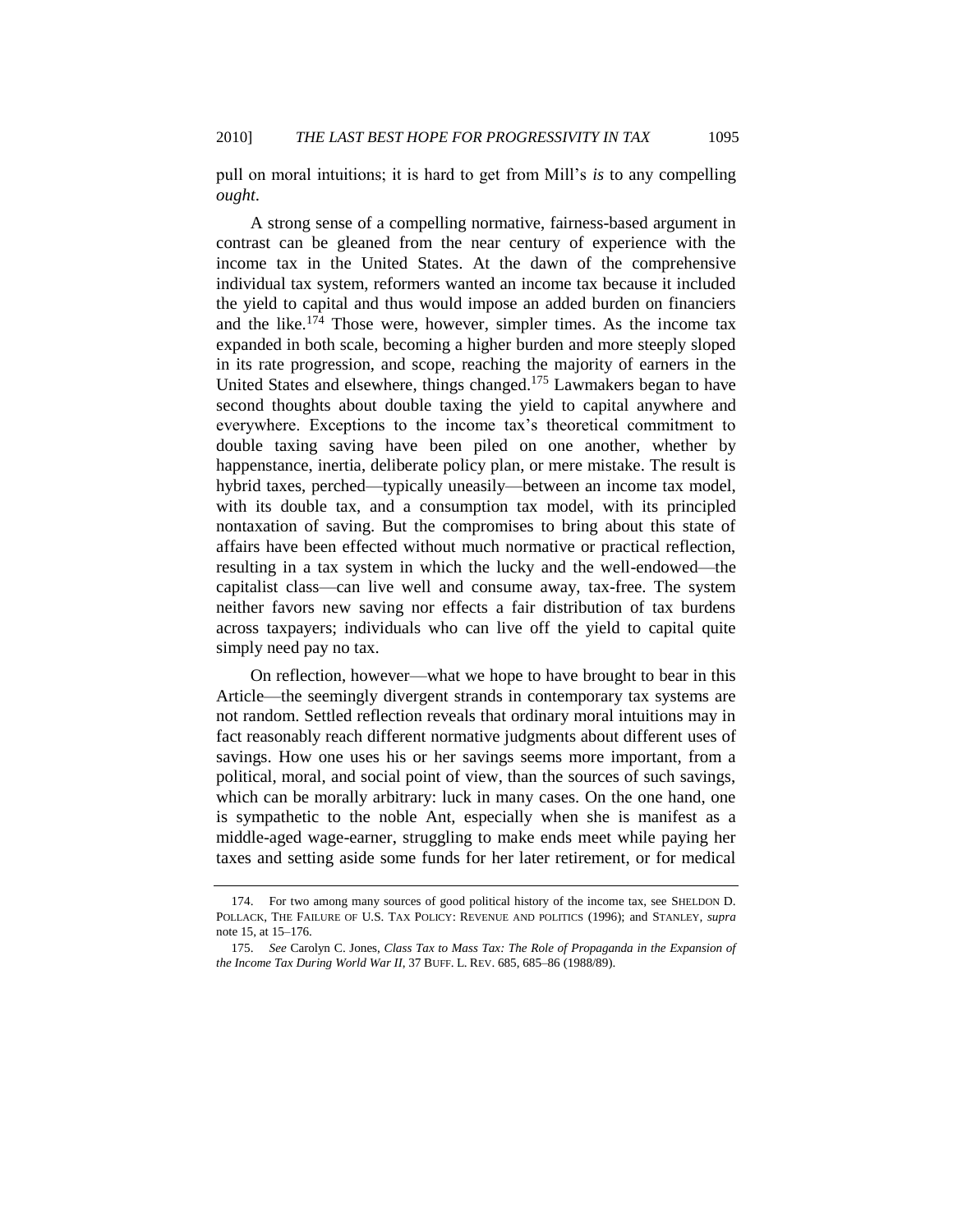pull on moral intuitions; it is hard to get from Mill's *is* to any compelling *ought*.

A strong sense of a compelling normative, fairness-based argument in contrast can be gleaned from the near century of experience with the income tax in the United States. At the dawn of the comprehensive individual tax system, reformers wanted an income tax because it included the yield to capital and thus would impose an added burden on financiers and the like.<sup>174</sup> Those were, however, simpler times. As the income tax expanded in both scale, becoming a higher burden and more steeply sloped in its rate progression, and scope, reaching the majority of earners in the United States and elsewhere, things changed.<sup>175</sup> Lawmakers began to have second thoughts about double taxing the yield to capital anywhere and everywhere. Exceptions to the income tax's theoretical commitment to double taxing saving have been piled on one another, whether by happenstance, inertia, deliberate policy plan, or mere mistake. The result is hybrid taxes, perched—typically uneasily—between an income tax model, with its double tax, and a consumption tax model, with its principled nontaxation of saving. But the compromises to bring about this state of affairs have been effected without much normative or practical reflection, resulting in a tax system in which the lucky and the well-endowed—the capitalist class—can live well and consume away, tax-free. The system neither favors new saving nor effects a fair distribution of tax burdens across taxpayers; individuals who can live off the yield to capital quite simply need pay no tax.

On reflection, however—what we hope to have brought to bear in this Article—the seemingly divergent strands in contemporary tax systems are not random. Settled reflection reveals that ordinary moral intuitions may in fact reasonably reach different normative judgments about different uses of savings. How one uses his or her savings seems more important, from a political, moral, and social point of view, than the sources of such savings, which can be morally arbitrary: luck in many cases. On the one hand, one is sympathetic to the noble Ant, especially when she is manifest as a middle-aged wage-earner, struggling to make ends meet while paying her taxes and setting aside some funds for her later retirement, or for medical

<sup>174.</sup> For two among many sources of good political history of the income tax, see SHELDON D. POLLACK, THE FAILURE OF U.S. TAX POLICY: REVENUE AND POLITICS (1996); and STANLEY*, supra* note [15,](#page-5-1) at 15–176.

<sup>175.</sup> *See* Carolyn C. Jones, *Class Tax to Mass Tax: The Role of Propaganda in the Expansion of the Income Tax During World War II*, 37 BUFF. L. REV. 685, 685–86 (1988/89).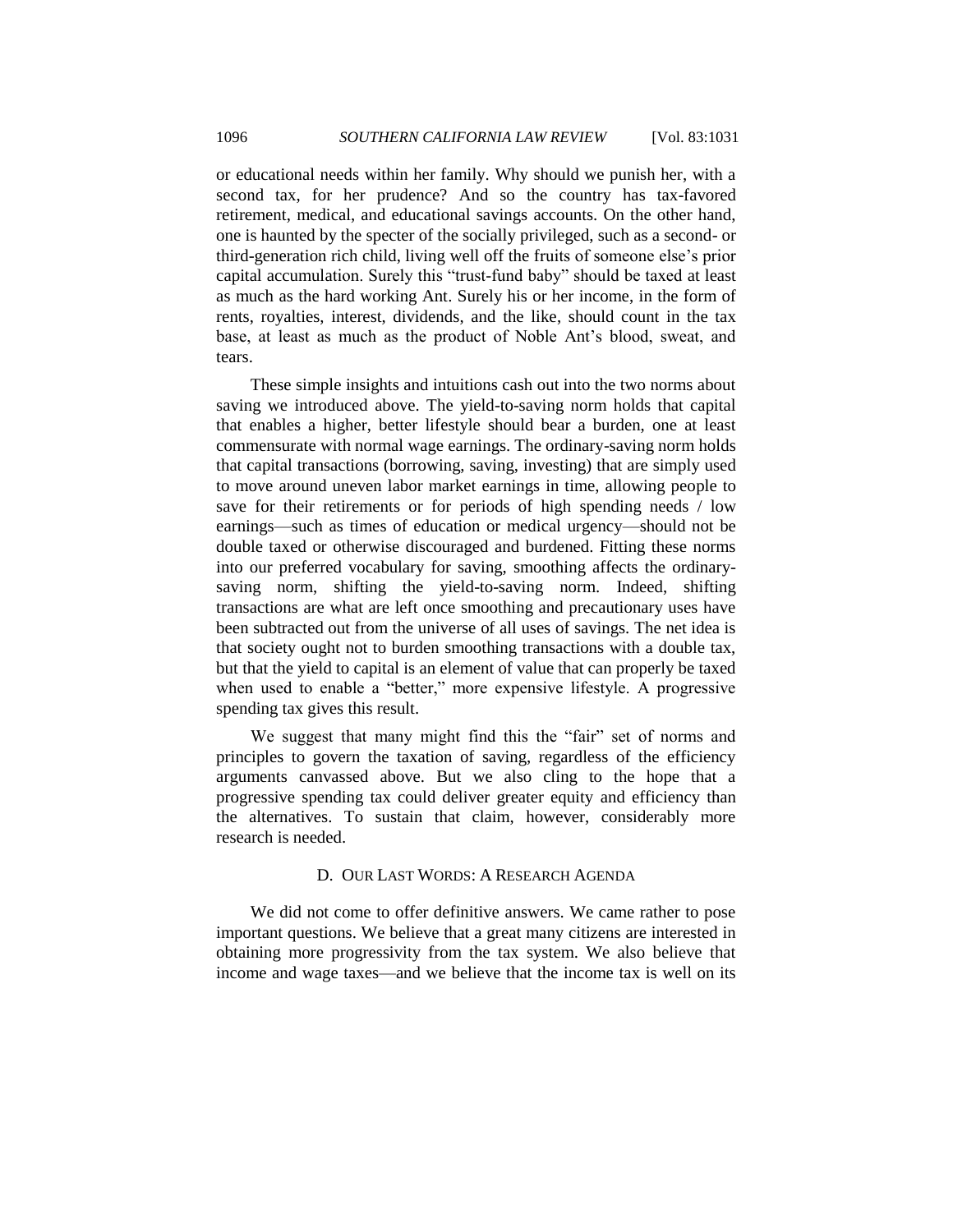or educational needs within her family. Why should we punish her, with a second tax, for her prudence? And so the country has tax-favored retirement, medical, and educational savings accounts. On the other hand, one is haunted by the specter of the socially privileged, such as a second- or third-generation rich child, living well off the fruits of someone else's prior capital accumulation. Surely this "trust-fund baby" should be taxed at least as much as the hard working Ant. Surely his or her income, in the form of rents, royalties, interest, dividends, and the like, should count in the tax base, at least as much as the product of Noble Ant's blood, sweat, and tears.

These simple insights and intuitions cash out into the two norms about saving we introduced above. The yield-to-saving norm holds that capital that enables a higher, better lifestyle should bear a burden, one at least commensurate with normal wage earnings. The ordinary-saving norm holds that capital transactions (borrowing, saving, investing) that are simply used to move around uneven labor market earnings in time, allowing people to save for their retirements or for periods of high spending needs / low earnings—such as times of education or medical urgency—should not be double taxed or otherwise discouraged and burdened. Fitting these norms into our preferred vocabulary for saving, smoothing affects the ordinarysaving norm, shifting the yield-to-saving norm. Indeed, shifting transactions are what are left once smoothing and precautionary uses have been subtracted out from the universe of all uses of savings. The net idea is that society ought not to burden smoothing transactions with a double tax, but that the yield to capital is an element of value that can properly be taxed when used to enable a "better," more expensive lifestyle. A progressive spending tax gives this result.

We suggest that many might find this the "fair" set of norms and principles to govern the taxation of saving, regardless of the efficiency arguments canvassed above. But we also cling to the hope that a progressive spending tax could deliver greater equity and efficiency than the alternatives. To sustain that claim, however, considerably more research is needed.

#### D. OUR LAST WORDS: A RESEARCH AGENDA

<span id="page-65-0"></span>We did not come to offer definitive answers. We came rather to pose important questions. We believe that a great many citizens are interested in obtaining more progressivity from the tax system. We also believe that income and wage taxes—and we believe that the income tax is well on its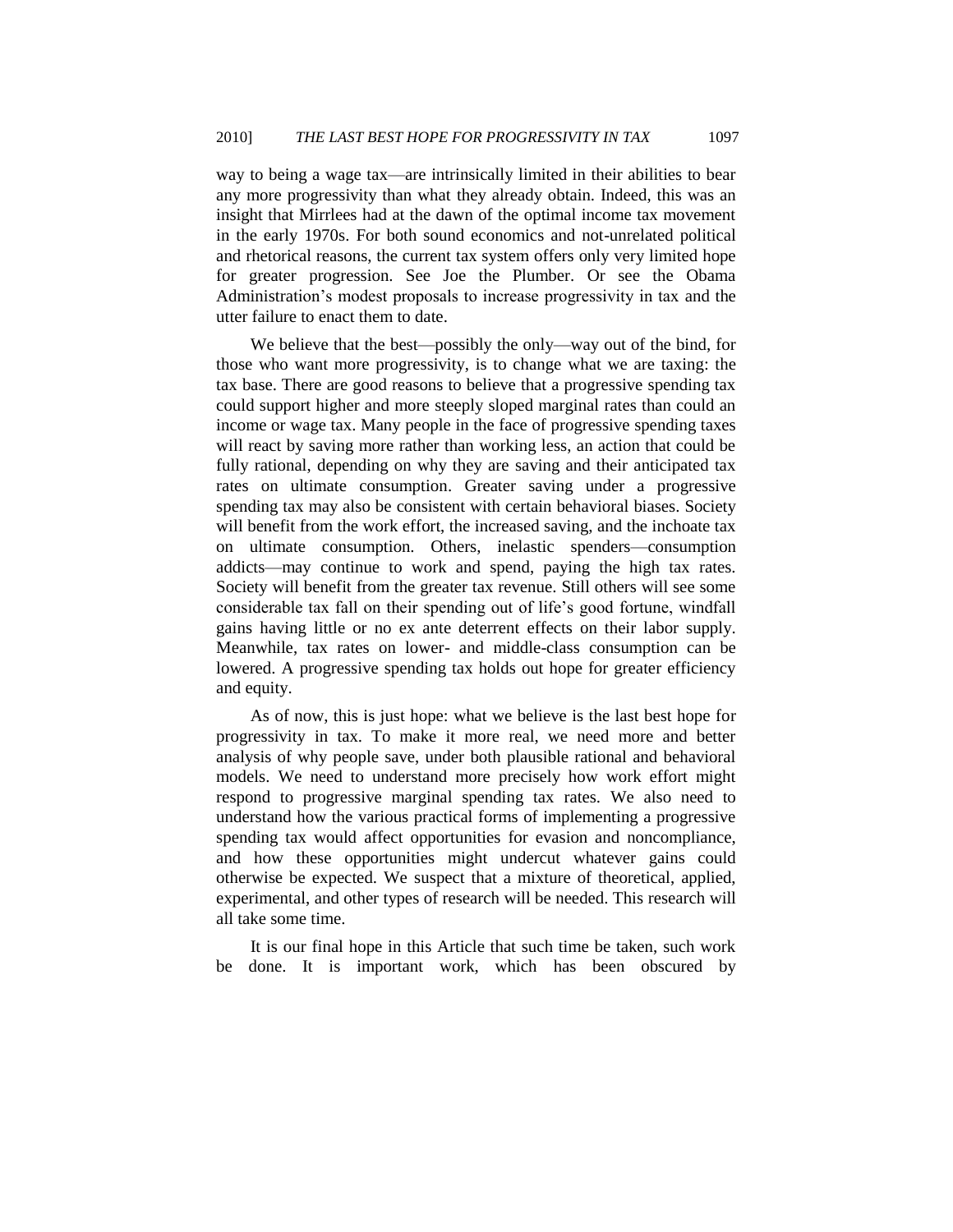way to being a wage tax—are intrinsically limited in their abilities to bear any more progressivity than what they already obtain. Indeed, this was an insight that Mirrlees had at the dawn of the optimal income tax movement in the early 1970s. For both sound economics and not-unrelated political and rhetorical reasons, the current tax system offers only very limited hope for greater progression. See Joe the Plumber. Or see the Obama Administration's modest proposals to increase progressivity in tax and the utter failure to enact them to date.

We believe that the best—possibly the only—way out of the bind, for those who want more progressivity, is to change what we are taxing: the tax base. There are good reasons to believe that a progressive spending tax could support higher and more steeply sloped marginal rates than could an income or wage tax. Many people in the face of progressive spending taxes will react by saving more rather than working less, an action that could be fully rational, depending on why they are saving and their anticipated tax rates on ultimate consumption. Greater saving under a progressive spending tax may also be consistent with certain behavioral biases. Society will benefit from the work effort, the increased saving, and the inchoate tax on ultimate consumption. Others, inelastic spenders—consumption addicts—may continue to work and spend, paying the high tax rates. Society will benefit from the greater tax revenue. Still others will see some considerable tax fall on their spending out of life's good fortune, windfall gains having little or no ex ante deterrent effects on their labor supply. Meanwhile, tax rates on lower- and middle-class consumption can be lowered. A progressive spending tax holds out hope for greater efficiency and equity.

As of now, this is just hope: what we believe is the last best hope for progressivity in tax. To make it more real, we need more and better analysis of why people save, under both plausible rational and behavioral models. We need to understand more precisely how work effort might respond to progressive marginal spending tax rates. We also need to understand how the various practical forms of implementing a progressive spending tax would affect opportunities for evasion and noncompliance, and how these opportunities might undercut whatever gains could otherwise be expected. We suspect that a mixture of theoretical, applied, experimental, and other types of research will be needed. This research will all take some time.

It is our final hope in this Article that such time be taken, such work be done. It is important work, which has been obscured by